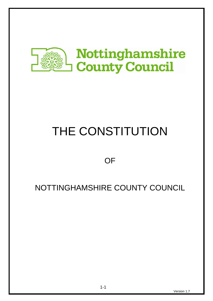

# THE CONSTITUTION

**OF** 

# NOTTINGHAMSHIRE COUNTY COUNCIL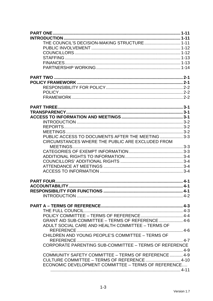| THE COUNCIL'S DECISION-MAKING STRUCTURE 1-11           |  |
|--------------------------------------------------------|--|
|                                                        |  |
|                                                        |  |
|                                                        |  |
|                                                        |  |
|                                                        |  |
|                                                        |  |
|                                                        |  |
|                                                        |  |
|                                                        |  |
|                                                        |  |
|                                                        |  |
|                                                        |  |
|                                                        |  |
|                                                        |  |
|                                                        |  |
|                                                        |  |
| PUBLIC ACCESS TO DOCUMENTS AFTER THE MEETING  3-3      |  |
| CIRCUMSTANCES WHERE THE PUBLIC ARE EXCLUDED FROM       |  |
|                                                        |  |
|                                                        |  |
|                                                        |  |
|                                                        |  |
|                                                        |  |
|                                                        |  |
|                                                        |  |
|                                                        |  |
|                                                        |  |
|                                                        |  |
|                                                        |  |
|                                                        |  |
|                                                        |  |
|                                                        |  |
| GRANT AID SUB-COMMITTEE - TERMS OF REFERENCE  4-6      |  |
| ADULT SOCIAL CARE AND HEALTH COMMITTEE - TERMS OF      |  |
|                                                        |  |
| CHILDREN AND YOUNG PEOPLE'S COMMITTEE - TERMS OF       |  |
|                                                        |  |
| CORPORATE PARENTING SUB-COMMITTEE - TERMS OF REFERENCE |  |
|                                                        |  |
| COMMUNITY SAFETY COMMITTEE - TERMS OF REFERENCE  4-9   |  |
| CULTURE COMMITTEE - TERMS OF REFERENCE  4-10           |  |
| ECONOMIC DEVELOPMENT COMMITTEE - TERMS OF REFERENCE    |  |
|                                                        |  |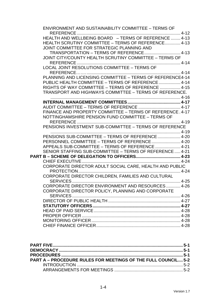| <b>ENVIRONMENT AND SUSTAINABILITY COMMITTEE - TERMS OF</b>    |  |
|---------------------------------------------------------------|--|
|                                                               |  |
| HEALTH AND WELLBEING BOARD - TERMS OF REFERENCE  4-13         |  |
| HEALTH SCRUTINY COMMITTEE - TERMS OF REFERENCE 4-13           |  |
| JOINT COMMITTEE FOR STRATEGIC PLANNING AND                    |  |
| TRANSPORTATION - TERMS OF REFERENCE 4-13                      |  |
| JOINT CITY/COUNTY HEALTH SCRUTINY COMMITTEE - TERMS OF        |  |
|                                                               |  |
| LOCAL JOINT RESOLUTIONS COMMITTEE - TERMS OF                  |  |
|                                                               |  |
| PLANNING AND LICENSING COMMITTEE - TERMS OF REFERENCE4-14     |  |
| PUBLIC HEALTH COMMITTEE - TERMS OF REFERENCE  4-14            |  |
| RIGHTS OF WAY COMMITTEE - TERMS OF REFERENCE  4-15            |  |
| <b>TRANSPORT AND HIGHWAYS COMMITTEE - TERMS OF REFERENCE.</b> |  |
|                                                               |  |
|                                                               |  |
|                                                               |  |
| FINANCE AND PROPERTY COMMITTEE - TERMS OF REFERENCE. 4-17     |  |
| NOTTINGHAMSHIRE PENSION FUND COMMITTEE - TERMS OF             |  |
|                                                               |  |
| PENSIONS INVESTMENT SUB-COMMITTEE - TERMS OF REFERENCE        |  |
|                                                               |  |
| PENSIONS SUB-COMMITTEE - TERMS OF REFERENCE  4-20             |  |
| PERSONNEL COMMITTEE - TERMS OF REFERENCE 4-20                 |  |
| APPEALS SUB-COMMITTEE - TERMS OF REFERENCE  4-21              |  |
| SENIOR STAFFING SUB-COMMITTEE - TERMS OF REFERENCE 4-21       |  |
|                                                               |  |
|                                                               |  |
| CORPORATE DIRECTOR ADULT SOCIAL CARE, HEALTH AND PUBLIC       |  |
|                                                               |  |
| CORPORATE DIRECTOR CHILDREN, FAMILIES AND CULTURAL            |  |
|                                                               |  |
| CORPORATE DIRECTOR ENVIRONMENT AND RESOURCES 4-26             |  |
| CORPORATE DIRECTOR POLICY, PLANNING AND CORPORATE             |  |
|                                                               |  |
|                                                               |  |
|                                                               |  |
|                                                               |  |
|                                                               |  |
|                                                               |  |
|                                                               |  |

| <b>PART A – PROCEDURE RULES FOR MEETINGS OF THE FULL COUNCIL 5-2</b> |  |
|----------------------------------------------------------------------|--|
|                                                                      |  |
|                                                                      |  |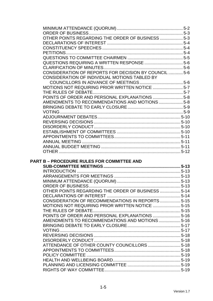| QUESTIONS REQUIRING A WRITTEN RESPONSE  5-6           |  |
|-------------------------------------------------------|--|
|                                                       |  |
| CONSIDERATION OF REPORTS FOR DECISION BY COUNCIL  5-6 |  |
| CONSIDERATION OF INDIVIDUAL MOTIONS TABLED BY         |  |
|                                                       |  |
| MOTIONS NOT REQUIRING PRIOR WRITTEN NOTICE  5-7       |  |
|                                                       |  |
| POINTS OF ORDER AND PERSONAL EXPLANATIONS  5-8        |  |
| AMENDMENTS TO RECOMMENDATIONS AND MOTIONS  5-8        |  |
|                                                       |  |
|                                                       |  |
|                                                       |  |
|                                                       |  |
|                                                       |  |
|                                                       |  |
|                                                       |  |
|                                                       |  |
|                                                       |  |
|                                                       |  |
|                                                       |  |

# **PART B – PROCEDURE RULES FOR COMMITTEE AND**

| OTHER POINTS REGARDING THE ORDER OF BUSINESS  5-14 |  |
|----------------------------------------------------|--|
|                                                    |  |
| CONSIDERATION OF RECOMMENDATIONS IN REPORTS  5-15  |  |
| MOTIONS NOT REQUIRING PRIOR WRITTEN NOTICE  5-15   |  |
|                                                    |  |
| POINTS OF ORDER AND PERSONAL EXPLANATIONS  5-16    |  |
| AMENDMENTS TO RECOMMENDATIONS AND MOTIONS  5-16    |  |
|                                                    |  |
|                                                    |  |
|                                                    |  |
|                                                    |  |
| ATTENDANCE OF OTHER COUNTY COUNCILLORS  5-18       |  |
|                                                    |  |
|                                                    |  |
|                                                    |  |
|                                                    |  |
|                                                    |  |
|                                                    |  |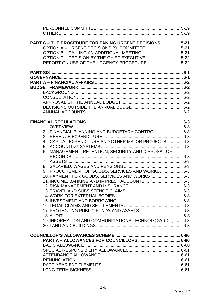| PART C - THE PROCEDURE FOR TAKING URGENT DECISIONS  5-21 |  |
|----------------------------------------------------------|--|
|                                                          |  |
|                                                          |  |
| OPTION C - DECISION BY THE CHIEF EXECUTIVE 5-22          |  |
|                                                          |  |
|                                                          |  |
|                                                          |  |
|                                                          |  |
|                                                          |  |
|                                                          |  |
|                                                          |  |
|                                                          |  |
|                                                          |  |
|                                                          |  |
|                                                          |  |
|                                                          |  |
|                                                          |  |
| 2. FINANCIAL PLANNING AND BUDGETARY CONTROL  6-3         |  |
|                                                          |  |
| 4. CAPITAL EXPENDITURE AND OTHER MAJOR PROJECTS  6-3     |  |
|                                                          |  |
| 6. MANAGEMENT, RETENTION, SECURITY AND DISPOSAL OF       |  |
|                                                          |  |
|                                                          |  |
|                                                          |  |
| 9. PROCUREMENT OF GOODS, SERVICES AND WORKS 6-3          |  |
| 10. PAYMENT FOR GOODS, SERVICES AND WORKS 6-3            |  |
| 11. INCOME, BANKING AND IMPREST ACCOUNTS  6-3            |  |
|                                                          |  |
|                                                          |  |
|                                                          |  |
|                                                          |  |
|                                                          |  |
|                                                          |  |
|                                                          |  |
|                                                          |  |
|                                                          |  |
|                                                          |  |
|                                                          |  |
|                                                          |  |
|                                                          |  |
|                                                          |  |
|                                                          |  |
|                                                          |  |
|                                                          |  |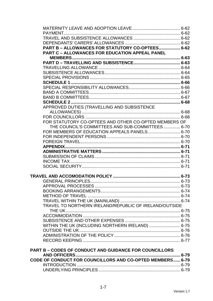| PART B - ALLOWANCES FOR STATUTORY CO-OPTEES 6-62              |  |
|---------------------------------------------------------------|--|
| <b>PART C - ALLOWANCES FOR EDUCATION APPEAL PANEL</b>         |  |
|                                                               |  |
|                                                               |  |
|                                                               |  |
|                                                               |  |
|                                                               |  |
|                                                               |  |
|                                                               |  |
|                                                               |  |
|                                                               |  |
|                                                               |  |
| APPROVED DUTIES (TRAVELLING AND SUBSISTENCE                   |  |
|                                                               |  |
|                                                               |  |
| FOR STATUTORY CO-OPTEES AND OTHER CO-OPTED MEMBERS OF         |  |
| THE COUNCIL'S COMMITTEES AND SUB-COMMITTEES  6-70             |  |
| FOR MEMBERS OF EDUCATION APPEALS PANELS 6-70                  |  |
|                                                               |  |
|                                                               |  |
|                                                               |  |
|                                                               |  |
|                                                               |  |
|                                                               |  |
|                                                               |  |
|                                                               |  |
|                                                               |  |
|                                                               |  |
|                                                               |  |
|                                                               |  |
|                                                               |  |
|                                                               |  |
| TRAVEL TO NORTHERN IRELAND/REPUBLIC OF IRELAND/OUTSIDE        |  |
|                                                               |  |
|                                                               |  |
|                                                               |  |
| WITHIN THE UK (INCLUDING NORTHERN IRELAND)  6-75              |  |
|                                                               |  |
|                                                               |  |
|                                                               |  |
|                                                               |  |
| <b>PART B - CODES OF CONDUCT AND GUIDANCE FOR COUNCILLORS</b> |  |
|                                                               |  |
| CODE OF CONDUCT FOR COUNCILLORS AND CO-OPTED MEMBERS 6-79     |  |
|                                                               |  |
|                                                               |  |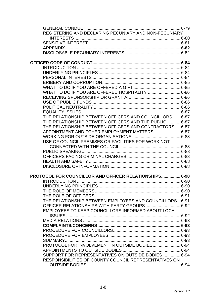| REGISTERING AND DECLARING PECUNIARY AND NON-PECUNIARY         |  |
|---------------------------------------------------------------|--|
|                                                               |  |
|                                                               |  |
|                                                               |  |
|                                                               |  |
|                                                               |  |
|                                                               |  |
|                                                               |  |
|                                                               |  |
|                                                               |  |
|                                                               |  |
|                                                               |  |
|                                                               |  |
|                                                               |  |
|                                                               |  |
| THE RELATIONSHIP BETWEEN OFFICERS AND COUNCILLORS  6-87       |  |
| THE RELATIONSHIP BETWEEN OFFICERS AND THE PUBLIC  6-87        |  |
| THE RELATIONSHIP BETWEEN OFFICERS AND CONTRACTORS 6-87        |  |
| APPOINTMENT AND OTHER EMPLOYMENT MATTERS 6-87                 |  |
|                                                               |  |
| USE OF COUNCIL PREMISES OR FACILITIES FOR WORK NOT            |  |
|                                                               |  |
|                                                               |  |
|                                                               |  |
|                                                               |  |
|                                                               |  |
| <b>PROTOCOL FOR COUNCILLOR AND OFFICER RELATIONSHIPS 6-90</b> |  |
|                                                               |  |
|                                                               |  |
|                                                               |  |
| THE RELATIONSHIP BETWEEN EMPLOYEES AND COUNCILLORS  6-91      |  |
|                                                               |  |
| EMPLOYEES TO KEEP COUNCILLORS INFORMED ABOUT LOCAL            |  |
|                                                               |  |
|                                                               |  |
|                                                               |  |
|                                                               |  |
|                                                               |  |
|                                                               |  |
| PROTOCOL FOR INVOLVEMENT IN OUTSIDE BODIES 6-94               |  |
|                                                               |  |
| SUPPORT FOR REPRESENTATIVES ON OUTSIDE BODIES 6-94            |  |
| RESPONSIBILITIES OF COUNTY COUNCIL REPRESENTATIVES ON         |  |
|                                                               |  |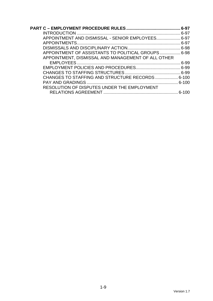| APPOINTMENT AND DISMISSAL - SENIOR EMPLOYEES 6-97   |  |
|-----------------------------------------------------|--|
|                                                     |  |
|                                                     |  |
| APPOINTMENT OF ASSISTANTS TO POLITICAL GROUPS  6-98 |  |
| APPOINTMENT, DISMISSAL AND MANAGEMENT OF ALL OTHER  |  |
|                                                     |  |
|                                                     |  |
|                                                     |  |
| CHANGES TO STAFFING AND STRUCTURE RECORDS 6-100     |  |
|                                                     |  |
| RESOLUTION OF DISPUTES UNDER THE EMPLOYMENT         |  |
|                                                     |  |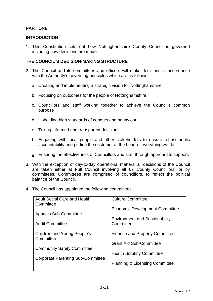# **PART ONE**

# **INTRODUCTION**

1. This Constitution sets out how Nottinghamshire County Council is governed including how decisions are made.

# **THE COUNCIL'S DECISION-MAKING STRUCTURE**

- 2. The Council and its committees and officers will make decisions in accordance with the Authority's governing principles which are as follows:
	- a. Creating and implementing a strategic vision for Nottinghamshire
	- b. Focusing on outcomes for the people of Nottinghamshire
	- c. Councillors and staff working together to achieve the Council's common purpose
	- d. Upholding high standards of conduct and behaviour
	- e. Taking informed and transparent decisions
	- f. Engaging with local people and other stakeholders to ensure robust public accountability and putting the customer at the heart of everything we do
	- g. Ensuring the effectiveness of Councillors and staff through appropriate support.
- 3. With the exception of day-to-day operational matters, all decisions of the Council are taken either at Full Council involving all 67 County Councillors, or by committees. Committees are comprised of councillors, to reflect the political balance of the Council.
- 4. The Council has appointed the following committees:

| <b>Adult Social Care and Health</b><br>Committee | <b>Culture Committee</b>                           |
|--------------------------------------------------|----------------------------------------------------|
| <b>Appeals Sub-Committee</b>                     | <b>Economic Development Committee</b>              |
| <b>Audit Committee</b>                           | <b>Environment and Sustainability</b><br>Committee |
| <b>Children and Young People's</b><br>Committee  | <b>Finance and Property Committee</b>              |
|                                                  | <b>Grant Aid Sub-Committee</b>                     |
| <b>Community Safety Committee</b>                | <b>Health Scrutiny Committee</b>                   |
| <b>Corporate Parenting Sub-Committee</b>         | <b>Planning &amp; Licensing Committee</b>          |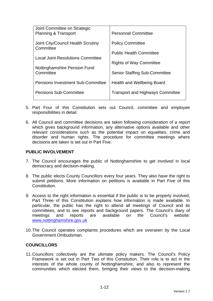| Joint Committee on Strategic<br>Planning & Transport | <b>Personnel Committee</b>              |
|------------------------------------------------------|-----------------------------------------|
| Joint City/Council Health Scrutiny<br>Committee      | <b>Policy Committee</b>                 |
|                                                      | <b>Public Health Committee</b>          |
| <b>Local Joint Resolutions Committee</b>             |                                         |
|                                                      | <b>Rights of Way Committee</b>          |
| Nottinghamshire Pension Fund<br>Committee            | <b>Senior Staffing Sub-Committee</b>    |
| <b>Pensions Investment Sub-Committee</b>             | Health and Wellbeing Board              |
| <b>Pensions Sub-Committee</b>                        | <b>Transport and Highways Committee</b> |
|                                                      |                                         |

- 5. Part Four of this Constitution sets out Council, committee and employee responsibilities in detail.
- 6. All Council and committee decisions are taken following consideration of a report which gives background information, any alternative options available and other relevant considerations such as the potential impact on equalities, crime and disorder and human rights. The procedure for committee meetings where decisions are taken is set out in Part Five.

# **PUBLIC INVOLVEMENT**

- 7. The Council encourages the public of Nottinghamshire to get involved in local democracy and decision-making.
- 8. The public elects County Councillors every four years. They also have the right to submit petitions. More information on petitions is available in Part Five of this Constitution.
- 9. Access to the right information is essential if the public is to be properly involved; Part Three of this Constitution explains how information is made available. In particular, the public has the right to attend all meetings of Council and its committees, and to see reports and background papers. The Council's diary of meetings and reports are available on the Council's website: www.nottinghamshire.gov.uk
- 10. The Council operates complaints procedures which are overseen by the Local Government Ombudsman.

# **COUNCILLORS**

11. Councillors collectively are the ultimate policy makers. The Council's Policy Framework is set out in Part Two of this Consitution. Their role is to act in the interests of the whole county of Nottinghamshire, and also to represent the communities which elected them, bringing their views to the decision-making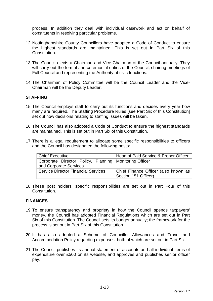process. In addition they deal with individual casework and act on behalf of constituents in resolving particular problems.

- 12. Nottinghamshire County Councillors have adopted a Code of Conduct to ensure the highest standards are maintained. This is set out in Part Six of this Constitution.
- 13. The Council elects a Chairman and Vice-Chairman of the Council annually. They will carry out the formal and ceremonial duties of the Council, chairing meetings of Full Council and representing the Authority at civic functions.
- 14. The Chairman of Policy Committee will be the Council Leader and the Vice-Chairman will be the Deputy Leader.

# **STAFFING**

- 15. The Council employs staff to carry out its functions and decides every year how many are required. The Staffing Procedure Rules [see Part Six of this Constitution] set out how decisions relating to staffing issues will be taken.
- 16. The Council has also adopted a Code of Conduct to ensure the highest standards are maintained. This is set out in Part Six of this Constitution.
- 17. There is a legal requirement to allocate some specific responsibilities to officers and the Council has designated the following posts:

| <b>Chief Executive</b>                                   | Head of Paid Service & Proper Officer |
|----------------------------------------------------------|---------------------------------------|
| Corporate Director Policy, Planning   Monitoring Officer |                                       |
| and Corporate Services                                   |                                       |
| <b>Service Director Financial Services</b>               | Chief Finance Officer (also known as  |
|                                                          | <sup>I</sup> Section 151 Officer)     |

18. These post holders' specific responsibilities are set out in Part Four of this Constitution.

#### **FINANCES**

- 19. To ensure transparency and propriety in how the Council spends taxpayers' money, the Council has adopted Financial Regulations which are set out in Part Six of this Constitution. The Council sets its budget annually; the framework for the process is set out in Part Six of this Constitution.
- 20. It has also adopted a Scheme of Councillor Allowances and Travel and Accommodation Policy regarding expenses, both of which are set out in Part Six.
- 21. The Council publishes its annual statement of accounts and all individual items of expenditure over £500 on its website, and approves and publishes senior officer pay.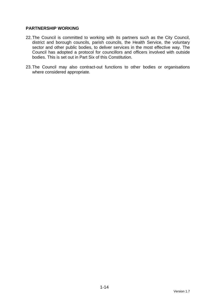# **PARTNERSHIP WORKING**

- 22. The Council is committed to working with its partners such as the City Council, district and borough councils, parish councils, the Health Service, the voluntary sector and other public bodies, to deliver services in the most effective way. The Council has adopted a protocol for councillors and officers involved with outside bodies. This is set out in Part Six of this Constitution.
- 23. The Council may also contract-out functions to other bodies or organisations where considered appropriate.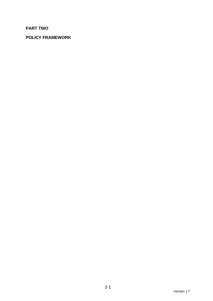# **PART TWO**

# **POLICY FRAMEWORK**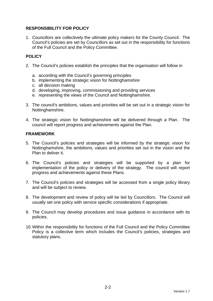# **RESPONSIBILITY FOR POLICY**

1. Councillors are collectively the ultimate policy makers for the County Council. The Council's policies are set by Councillors as set out in the responsibility for functions of the Full Council and the Policy Committee.

# **POLICY**

- 2. The Council's policies establish the principles that the organisation will follow in
	- a. according with the Council's governing principles
	- b. implementing the strategic vision for Nottinghamshire
	- c. all decision making
	- d. developing, improving, commissioning and providing services
	- e. representing the views of the Council and Nottinghamshire.
- 3. The council's ambitions, values and priorities will be set out in a strategic vision for Nottinghamshire.
- 4. The strategic vision for Nottinghamshire will be delivered through a Plan. The council will report progress and achievements against the Plan.

# **FRAMEWORK**

- 5. The Council's policies and strategies will be informed by the strategic vision for Nottinghamshire, the ambitions, values and priorities set out in the vision and the Plan to deliver it.
- 6. The Council's policies and strategies will be supported by a plan for implementation of the policy or delivery of the strategy. The council will report progress and achievements against these Plans.
- 7. The Council's policies and strategies will be accessed from a single policy library and will be subject to review.
- 8. The development and review of policy will be led by Councillors. The Council will usually set one policy with service specific considerations if appropriate.
- 9. The Council may develop procedures and issue guidance in accordance with its policies.
- 10. Within the responsibility for functions of the Full Council and the Policy Committee Policy is a collective term which includes the Council's policies, strategies and statutory plans.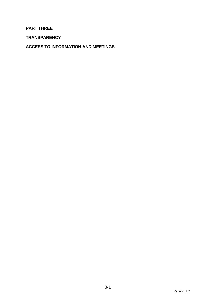**PART THREE** 

**TRANSPARENCY** 

**ACCESS TO INFORMATION AND MEETINGS**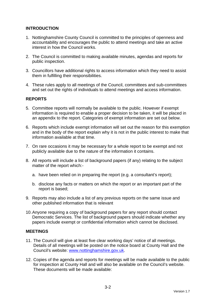# **INTRODUCTION**

- 1. Nottinghamshire County Council is committed to the principles of openness and accountability and encourages the public to attend meetings and take an active interest in how the Council works.
- 2. The Council is committed to making available minutes, agendas and reports for public inspection.
- 3. Councillors have additional rights to access information which they need to assist them in fulfilling their responsibilities.
- 4. These rules apply to all meetings of the Council, committees and sub-committees and set out the rights of individuals to attend meetings and access information.

# **REPORTS**

- 5. Committee reports will normally be available to the public. However if exempt information is required to enable a proper decision to be taken, it will be placed in an appendix to the report. Categories of exempt information are set out below.
- 6. Reports which include exempt information will set out the reason for this exemption and in the body of the report explain why it is not in the public interest to make that information available at that time.
- 7. On rare occasions it may be necessary for a whole report to be exempt and not publicly available due to the nature of the information it contains.
- 8. All reports will include a list of background papers (if any) relating to the subject matter of the report which:
	- a. have been relied on in preparing the report (e.g. a consultant's report);
	- b. disclose any facts or matters on which the report or an important part of the report is based;
- 9. Reports may also include a list of any previous reports on the same issue and other published information that is relevant
- 10. Anyone requiring a copy of background papers for any report should contact Democratic Services. The list of background papers should indicate whether any papers include exempt or confidential information which cannot be disclosed.

# **MEETINGS**

- 11. The Council will give at least five clear working days' notice of all meetings. Details of all meetings will be posted on the notice board at County Hall and the Council's website: www.nottinghamshire.gov.uk.
- 12. Copies of the agenda and reports for meetings will be made available to the public for inspection at County Hall and will also be available on the Council's website. These documents will be made available: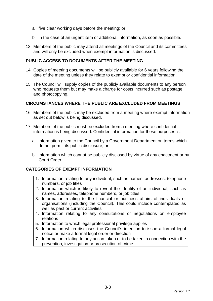- a. five clear working days before the meeting; or
- b. in the case of an urgent item or additional information, as soon as possible.
- 13. Members of the public may attend all meetings of the Council and its committees and will only be excluded when exempt information is discussed.

# **PUBLIC ACCESS TO DOCUMENTS AFTER THE MEETING**

- 14. Copies of meeting documents will be publicly available for 6 years following the date of the meeting unless they relate to exempt or confidential information.
- 15. The Council will supply copies of the publicly available documents to any person who requests them but may make a charge for costs incurred such as postage and photocopying.

# **CIRCUMSTANCES WHERE THE PUBLIC ARE EXCLUDED FROM MEETINGS**

- 16. Members of the public may be excluded from a meeting where exempt information as set out below is being discussed.
- 17. Members of the public must be excluded from a meeting where confidential information is being discussed. Confidential information for these purposes is:
	- a. information given to the Council by a Government Department on terms which do not permit its public disclosure; or
	- b. information which cannot be publicly disclosed by virtue of any enactment or by Court Order.

# **CATEGORIES OF EXEMPT INFORMATION**

- 1. Information relating to any individual, such as names, addresses, telephone numbers, or job titles
- 2. Information which is likely to reveal the identity of an individual, such as names, addresses, telephone numbers, or job titles
- 3. Information relating to the financial or business affairs of individuals or organisations (including the Council). This could include contemplated as well as past or current activities
- 4. Information relating to any consultations or negotiations on employee relations
- 5. Information to which legal professional privilege applies
- 6. Information which discloses the Council's intention to issue a formal legal notice or make a formal legal order or direction
- 7. Information relating to any action taken or to be taken in connection with the prevention, investigation or prosecution of crime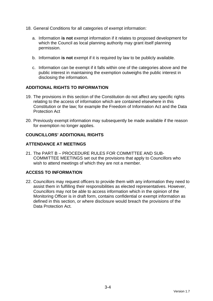- 18. General Conditions for all categories of exempt information:
	- a. Information **is not** exempt information if it relates to proposed development for which the Council as local planning authority may grant itself planning permission.
	- b. Information **is not** exempt if it is required by law to be publicly available.
	- c. Information can be exempt if it falls within one of the categories above and the public interest in maintaining the exemption outweighs the public interest in disclosing the information.

# **ADDITIONAL RIGHTS TO INFORMATION**

- 19. The provisions in this section of the Constitution do not affect any specific rights relating to the access of information which are contained elsewhere in this Constitution or the law; for example the Freedom of Information Act and the Data Protection Act
- 20. Previously exempt information may subsequently be made available if the reason for exemption no longer applies.

# **COUNCILLORS' ADDITIONAL RIGHTS**

# **ATTENDANCE AT MEETINGS**

21. The PART B – PROCEDURE RULES FOR COMMITTEE AND SUB-COMMITTEE MEETINGS set out the provisions that apply to Councillors who wish to attend meetings of which they are not a member.

# **ACCESS TO INFORMATION**

22. Councillors may request officers to provide them with any information they need to assist them in fulfilling their responsibilities as elected representatives. However, Councillors may not be able to access information which in the opinion of the Monitoring Officer is in draft form, contains confidential or exempt information as defined in this section, or where disclosure would breach the provisions of the Data Protection Act.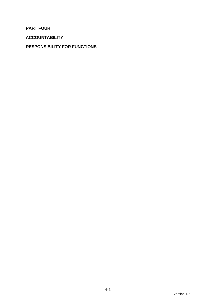**PART FOUR** 

**ACCOUNTABILITY** 

# **RESPONSIBILITY FOR FUNCTIONS**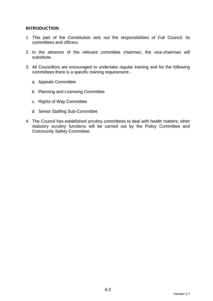# **INTRODUCTION**

- 1. This part of the Constitution sets out the responsibilities of Full Council, its committees and officers.
- 2. In the absence of the relevant committee chairman, the vice-chairman will substitute.
- 3. All Councillors are encouraged to undertake regular training and for the following committees there is a specific training requirement:
	- a. Appeals Committee
	- b. Planning and Licensing Committee
	- c. Rights of Way Committee
	- d. Senior Staffing Sub-Committee
- 4. The Council has established scrutiny committees to deal with health matters; other statutory scrutiny functions will be carried out by the Policy Committee and Community Safety Committee.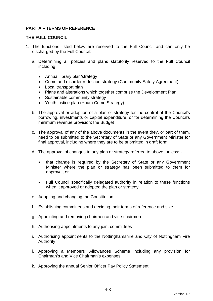# **PART A – TERMS OF REFERENCE**

# **THE FULL COUNCIL**

- 1. The functions listed below are reserved to the Full Council and can only be discharged by the Full Council:
	- a. Determining all policies and plans statutorily reserved to the Full Council including:
		- Annual library plan/strategy
		- Crime and disorder reduction strategy (Community Safety Agreement)
		- Local transport plan
		- Plans and alterations which together comprise the Development Plan
		- Sustainable community strategy
		- Youth justice plan (Youth Crime Strategy)
	- b. The approval or adoption of a plan or strategy for the control of the Council's borrowing, investments or capital expenditure, or for determining the Council's minimum revenue provision; the Budget
	- c. The approval of any of the above documents in the event they, or part of them, need to be submitted to the Secretary of State or any Government Minister for final approval, including where they are to be submitted in draft form
	- d. The approval of changes to any plan or strategy referred to above, unless:
		- that change is required by the Secretary of State or any Government Minister where the plan or strategy has been submitted to them for approval, or
		- Full Council specifically delegated authority in relation to these functions when it approved or adopted the plan or strategy
	- e. Adopting and changing the Constitution
	- f. Establishing committees and deciding their terms of reference and size
	- g. Appointing and removing chairmen and vice-chairmen
	- h. Authorising appointments to any joint committees
	- i. Authorising appointments to the Nottinghamshire and City of Nottingham Fire Authority
	- j. Approving a Members' Allowances Scheme including any provision for Chairman's and Vice Chairman's expenses
	- k. Approving the annual Senior Officer Pay Policy Statement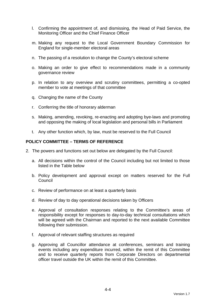- l. Confirming the appointment of, and dismissing, the Head of Paid Service, the Monitoring Officer and the Chief Finance Officer
- m. Making any request to the Local Government Boundary Commission for England for single-member electoral areas
- n. The passing of a resolution to change the County's electoral scheme
- o. Making an order to give effect to recommendations made in a community governance review
- p. In relation to any overview and scrutiny committees, permitting a co-opted member to vote at meetings of that committee
- q. Changing the name of the County
- r. Conferring the title of honorary alderman
- s. Making, amending, revoking, re-enacting and adopting bye-laws and promoting and opposing the making of local legislation and personal bills in Parliament
- t. Any other function which, by law, must be reserved to the Full Council

#### **POLICY COMMITTEE – TERMS OF REFERENCE**

- 2. The powers and functions set out below are delegated by the Full Council:
	- a. All decisions within the control of the Council including but not limited to those listed in the Table below
	- b. Policy development and approval except on matters reserved for the Full **Council**
	- c. Review of performance on at least a quarterly basis
	- d. Review of day to day operational decisions taken by Officers
	- e. Approval of consultation responses relating to the Committee's areas of responsibility except for responses to day-to-day technical consultations which will be agreed with the Chairman and reported to the next available Committee following their submission.
	- f. Approval of relevant staffing structures as required
	- g. Approving all Councillor attendance at conferences, seminars and training events including any expenditure incurred, within the remit of this Committee and to receive quarterly reports from Corporate Directors on departmental officer travel outside the UK within the remit of this Committee.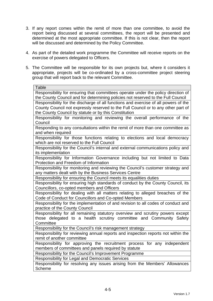- 3. If any report comes within the remit of more than one committee, to avoid the report being discussed at several committees, the report will be presented and determined at the most appropriate committee. If this is not clear, then the report will be discussed and determined by the Policy Committee.
- 4. As part of the detailed work programme the Committee will receive reports on the exercise of powers delegated to Officers.
- 5. The Committee will be responsible for its own projects but, where it considers it appropriate, projects will be co-ordinated by a cross-committee project steering group that will report back to the relevant Committee.

| Table                                                                                                                            |
|----------------------------------------------------------------------------------------------------------------------------------|
| Responsibility for ensuring that committees operate under the policy direction of                                                |
| the County Council and for determining policies not reserved to the Full Council                                                 |
| Responsibility for the discharge of all functions and exercise of all powers of the                                              |
| County Council not expressly reserved to the Full Council or to any other part of                                                |
| the County Council by statute or by this Constitution                                                                            |
| Responsibility for monitoring and reviewing the overall performance of the<br>Council                                            |
| Responding to any consultations within the remit of more than one committee as                                                   |
| and when required                                                                                                                |
| Responsibility for those functions relating to elections and local democracy                                                     |
| which are not reserved to the Full Council                                                                                       |
| Responsibility for the Council's internal and external communications policy and                                                 |
| its implementation                                                                                                               |
| Responsibility for Information Governance including but not limited to Data                                                      |
| Protection and Freedom of Information                                                                                            |
| Responsibility for monitoring and reviewing the Council's customer strategy and                                                  |
| any matters dealt with by the Business Services Centre                                                                           |
| Responsibility for ensuring the Council meets its equalities duties                                                              |
| Responsibility for ensuring high standards of conduct by the County Council, its                                                 |
| Councillors, co-opted members and Officers                                                                                       |
| Responsibility for dealing with all matters relating to alleged breaches of the                                                  |
| Code of Conduct for Councillors and Co-opted Members                                                                             |
| Responsibility for the implementation of and revision to all codes of conduct and                                                |
| practice of the County Council                                                                                                   |
| Responsibility for all remaining statutory overview and scrutiny powers except                                                   |
| those delegated to a health scrutiny committee and Community Safety                                                              |
| Committee                                                                                                                        |
| Responsibility for the Council's risk management strategy                                                                        |
| Responsibility for reviewing annual reports and inspection reports not within the                                                |
| remit of another committee                                                                                                       |
| Responsibility for approving the recruitment process for any independent<br>members of committees and panels required by statute |
| Responsibility for the Council's Improvement Programme                                                                           |
| <b>Responsibility for Legal and Democratic Services</b>                                                                          |
| Responsibility for resolving any issues arising from the Members' Allowances                                                     |
| <b>Scheme</b>                                                                                                                    |
|                                                                                                                                  |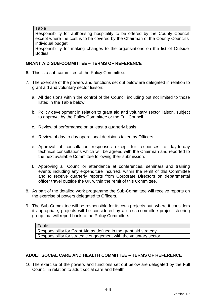**Table** 

Responsibility for authorising hospitality to be offered by the County Council except where the cost is to be covered by the Chairman of the County Council's individual budget

Responsibility for making changes to the organsiations on the list of Outside Bodies

# **GRANT AID SUB-COMMITTEE – TERMS OF REFERENCE**

- 6. This is a sub-committee of the Policy Committee.
- 7. The exercise of the powers and functions set out below are delegated in relation to grant aid and voluntary sector liaison:
	- a. All decisions within the control of the Council including but not limited to those listed in the Table below
	- b. Policy development in relation to grant aid and voluntary sector liaison, subject to approval by the Policy Committee or the Full Council
	- c. Review of performance on at least a quarterly basis
	- d. Review of day to day operational decisions taken by Officers
	- e. Approval of consultation responses except for responses to day-to-day technical consultations which will be agreed with the Chairman and reported to the next available Committee following their submission.
	- f. Approving all Councillor attendance at conferences, seminars and training events including any expenditure incurred, within the remit of this Committee and to receive quarterly reports from Corporate Directors on departmental officer travel outside the UK within the remit of this Committee.
- 8. As part of the detailed work programme the Sub-Committee will receive reports on the exercise of powers delegated to Officers.
- 9. The Sub-Committee will be responsible for its own projects but, where it considers it appropriate, projects will be considered by a cross-committee project steering group that will report back to the Policy Committee.

**Table** Responsibility for Grant Aid as defined in the grant aid strategy Responsibility for strategic engagement with the voluntary sector

# **ADULT SOCIAL CARE AND HEALTH COMMITTEE – TERMS OF REFERENCE**

10. The exercise of the powers and functions set out below are delegated by the Full Council in relation to adult social care and health: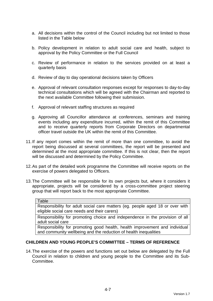- a. All decisions within the control of the Council including but not limited to those listed in the Table below
- b. Policy development in relation to adult social care and health, subject to approval by the Policy Committee or the Full Council
- c. Review of performance in relation to the services provided on at least a quarterly basis
- d. Review of day to day operational decisions taken by Officers
- e. Approval of relevant consultation responses except for responses to day-to-day technical consultations which will be agreed with the Chairman and reported to the next available Committee following their submission.
- f. Approval of relevant staffing structures as required
- g. Approving all Councillor attendance at conferences, seminars and training events including any expenditure incurred, within the remit of this Committee and to receive quarterly reports from Corporate Directors on departmental officer travel outside the UK within the remit of this Committee.
- 11. If any report comes within the remit of more than one committee, to avoid the report being discussed at several committees, the report will be presented and determined at the most appropriate committee. If this is not clear, then the report will be discussed and determined by the Policy Committee.
- 12. As part of the detailed work programme the Committee will receive reports on the exercise of powers delegated to Officers.
- 13. The Committee will be responsible for its own projects but, where it considers it appropriate, projects will be considered by a cross-committee project steering group that will report back to the most appropriate Committee.

#### Table

Responsibility for adult social care matters (eg. people aged 18 or over with eligible social care needs and their carers)

Responsibility for promoting choice and independence in the provision of all adult social care

Responsibility for promoting good health, health improvement and individual and community wellbeing and the reduction of health inequalities

# **CHILDREN AND YOUNG PEOPLE'S COMMITTEE – TERMS OF REFERENCE**

14. The exercise of the powers and functions set out below are delegated by the Full Council in relation to children and young people to the Committee and its Sub-Committee.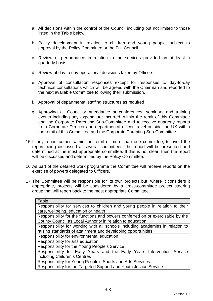- a. All decisions within the control of the Council including but not limited to those listed in the Table below
- b. Policy development in relation to children and young people, subject to approval by the Policy Committee or the Full Council
- c. Review of performance in relation to the services provided on at least a quarterly basis
- d. Review of day to day operational decisions taken by Officers
- e. Approval of consultation responses except for responses to day-to-day technical consultations which will be agreed with the Chairman and reported to the next available Committee following their submission.
- f. Approval of departmental staffing structures as required
- g. Approving all Councillor attendance at conferences, seminars and training events including any expenditure incurred, within the remit of this Committee and the Corporate Parenting Sub-Committee and to receive quarterly reports from Corporate Directors on departmental officer travel outside the UK within the remit of this Committee and the Corporate Parenting Sub-Committee.
- 15. If any report comes within the remit of more than one committee, to avoid the report being discussed at several committees, the report will be presented and determined at the most appropriate committee. If this is not clear, then the report will be discussed and determined by the Policy Committee.
- 16. As part of the detailed work programme the Committee will receive reports on the exercise of powers delegated to Officers.
- 17. The Committee will be responsible for its own projects but, where it considers it appropriate, projects will be considered by a cross-committee project steering group that will report back to the most appropriate Committee.

| Table                                                                          |
|--------------------------------------------------------------------------------|
| Responsibility for services to children and young people in relation to their  |
| care, wellbeing, education or health                                           |
| Responsibility for the functions and powers conferred on or exercisable by the |
| County Council as Local Authority in relation to education                     |
| Responsibility for working with all schools including academies in relation to |
| raising standards of attainment and developing opportunities                   |
| Responsibility for environmental education                                     |
| Responsibility for arts education                                              |
| Responsibility for the Young People's Service                                  |
| Responsibility for Early Years and the Early Years Intervention Service        |
| including Children's Centres                                                   |
| Responsibility for Young People's Sports and Arts Services                     |
| Responsibility for the Targeted Support and Youth Justice Service              |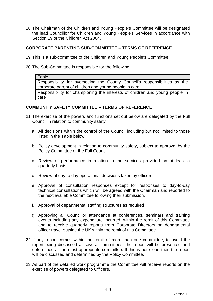18. The Chairman of the Children and Young People's Committee will be designated the lead Councillor for Children and Young People's Services in accordance with Section 19 of the Children Act 2004.

# **CORPORATE PARENTING SUB-COMMITTEE – TERMS OF REFERENCE**

- 19. This is a sub-committee of the Children and Young People's Committee
- 20. The Sub-Committee is responsible for the following:

**Table** Responsibility for overseeing the County Council's responsibilities as the corporate parent of children and young people in care Responsibility for championing the interests of children and young people in care

# **COMMUNITY SAFETY COMMITTEE – TERMS OF REFERENCE**

- 21. The exercise of the powers and functions set out below are delegated by the Full Council in relation to community safety:
	- a. All decisions within the control of the Council including but not limited to those listed in the Table below
	- b. Policy development in relation to community safety, subject to approval by the Policy Committee or the Full Council
	- c. Review of performance in relation to the services provided on at least a quarterly basis
	- d. Review of day to day operational decisions taken by officers
	- e. Approval of consultation responses except for responses to day-to-day technical consultations which will be agreed with the Chairman and reported to the next available Committee following their submission.
	- f. Approval of departmental staffing structures as required
	- g. Approving all Councillor attendance at conferences, seminars and training events including any expenditure incurred, within the remit of this Committee and to receive quarterly reports from Corporate Directors on departmental officer travel outside the UK within the remit of this Committee.
- 22. If any report comes within the remit of more than one committee, to avoid the report being discussed at several committees, the report will be presented and determined at the most appropriate committee. If this is not clear, then the report will be discussed and determined by the Policy Committee.
- 23. As part of the detailed work programme the Committee will receive reports on the exercise of powers delegated to Officers.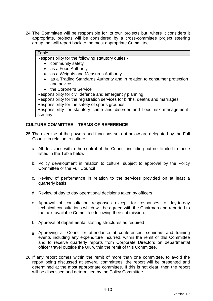24. The Committee will be responsible for its own projects but, where it considers it appropriate, projects will be considered by a cross-committee project steering group that will report back to the most appropriate Committee.

# **Table**

Responsibility for the following statutory duties:-

- community safety
- as a Food Authority
- as a Weights and Measures Authority
- as a Trading Standards Authority and in relation to consumer protection and advice
- the Coroner's Service

Responsibility for civil defence and emergency planning

Responsibility for the registration services for births, deaths and marriages Responsibility for the safety of sports grounds

Responsibility for statutory crime and disorder and flood risk management scrutiny

# **CULTURE COMMITTEE – TERMS OF REFERENCE**

- 25. The exercise of the powers and functions set out below are delegated by the Full Council in relation to culture:
	- a. All decisions within the control of the Council including but not limited to those listed in the Table below
	- b. Policy development in relation to culture, subject to approval by the Policy Committee or the Full Council
	- c. Review of performance in relation to the services provided on at least a quarterly basis
	- d. Review of day to day operational decisions taken by officers
	- e. Approval of consultation responses except for responses to day-to-day technical consultations which will be agreed with the Chairman and reported to the next available Committee following their submission.
	- f. Approval of departmental staffing structures as required
	- g. Approving all Councillor attendance at conferences, seminars and training events including any expenditure incurred, within the remit of this Committee and to receive quarterly reports from Corporate Directors on departmental officer travel outside the UK within the remit of this Committee.
- 26. If any report comes within the remit of more than one committee, to avoid the report being discussed at several committees, the report will be presented and determined at the most appropriate committee. If this is not clear, then the report will be discussed and determined by the Policy Committee.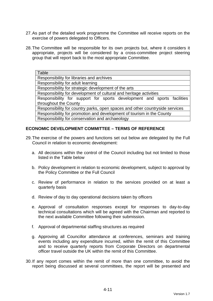- 27. As part of the detailed work programme the Committee will receive reports on the exercise of powers delegated to Officers.
- 28. The Committee will be responsible for its own projects but, where it considers it appropriate, projects will be considered by a cross-committee project steering group that will report back to the most appropriate Committee.

| Table                                                                        |
|------------------------------------------------------------------------------|
| Responsibility for libraries and archives                                    |
| Responsibility for adult learning                                            |
| Responsibility for strategic development of the arts                         |
| Responsibility for development of cultural and heritage activities           |
| Responsibility for support for sports development and sports facilities      |
| throughout the County                                                        |
| Responsibility for country parks, open spaces and other countryside services |
| Responsibility for promotion and development of tourism in the County        |
| Responsibility for conservation and archaeology                              |

# **ECONOMIC DEVELOPMENT COMMITTEE – TERMS OF REFERENCE**

- 29. The exercise of the powers and functions set out below are delegated by the Full Council in relation to economic development:
	- a. All decisions within the control of the Council including but not limited to those listed in the Table below
	- b. Policy development in relation to economic development, subject to approval by the Policy Committee or the Full Council
	- c. Review of performance in relation to the services provided on at least a quarterly basis
	- d. Review of day to day operational decisions taken by officers
	- e. Approval of consultation responses except for responses to day-to-day technical consultations which will be agreed with the Chairman and reported to the next available Committee following their submission.
	- f. Approval of departmental staffing structures as required
	- g. Approving all Councillor attendance at conferences, seminars and training events including any expenditure incurred, within the remit of this Committee and to receive quarterly reports from Corporate Directors on departmental officer travel outside the UK within the remit of this Committee.
- 30. If any report comes within the remit of more than one committee, to avoid the report being discussed at several committees, the report will be presented and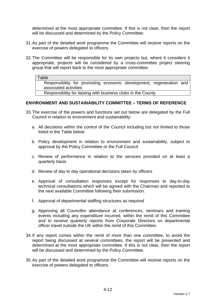determined at the most appropriate committee. If this is not clear, then the report will be discussed and determined by the Policy Committee.

- 31. As part of the detailed work programme the Committee will receive reports on the exercise of powers delegated to officers.
- 32. The Committee will be responsible for its own projects but, where it considers it appropriate, projects will be considered by a cross-committee project steering group that will report back to the most appropriate committee.

#### **Table**

Responsibility for promoting economic development, regeneration and associated activities

Responsibility for liaising with business clubs in the County

#### **ENVIRONMENT AND SUSTAINABILITY COMMITTEE – TERMS OF REFERENCE**

- 33. The exercise of the powers and functions set out below are delegated by the Full Council in relation to environment and sustainability:
	- a. All decisions within the control of the Council including but not limited to those listed in the Table below
	- b. Policy development in relation to environment and sustainability, subject to approval by the Policy Committee or the Full Council
	- c. Review of performance in relation to the services provided on at least a quarterly basis
	- d. Review of day to day operational decisions taken by officers
	- e. Approval of consultation responses except for responses to day-to-day technical consultations which will be agreed with the Chairman and reported to the next available Committee following their submission.
	- f. Approval of departmental staffing structures as required
	- g. Approving all Councillor attendance at conferences, seminars and training events including any expenditure incurred, within the remit of this Committee and to receive quarterly reports from Corporate Directors on departmental officer travel outside the UK within the remit of this Committee.
- 34. If any report comes within the remit of more than one committee, to avoid the report being discussed at several committees, the report will be presented and determined at the most appropriate committee. If this is not clear, then the report will be discussed and determined by the Policy Committee.
- 35. As part of the detailed work programme the Committee will receive reports on the exercise of powers delegated to officers.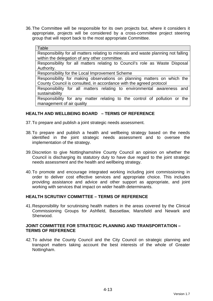36. The Committee will be responsible for its own projects but, where it considers it appropriate, projects will be considered by a cross-committee project steering group that will report back to the most appropriate Committee.

#### Table

Responsibility for all matters relating to minerals and waste planning not falling within the delegation of any other committee.

Responsibility for all matters relating to Council's role as Waste Disposal Authority.

Responsibility for the Local Improvement Scheme

Responsibility for making observations on planning matters on which the County Council is consulted, in accordance with the agreed protocol

Responsibility for all matters relating to environmental awareness and sustainability

Responsibility for any matter relating to the control of pollution or the management of air quality

#### **HEALTH AND WELLBEING BOARD – TERMS OF REFERENCE**

37. To prepare and publish a joint strategic needs assessment.

- 38. To prepare and publish a health and wellbeing strategy based on the needs identified in the joint strategic needs assessment and to oversee the implementation of the strategy.
- 39. Discretion to give Nottinghamshire County Council an opinion on whether the Council is discharging its statutory duty to have due regard to the joint strategic needs assessment and the health and wellbeing strategy.
- 40. To promote and encourage integrated working including joint commissioning in order to deliver cost effective services and appropriate choice. This includes providing assistance and advice and other support as appropriate, and joint working with services that impact on wider health determinants.

# **HEALTH SCRUTINY COMMITTEE – TERMS OF REFERENCE**

41. Responsibility for scrutinising health matters in the areas covered by the Clinical Commissioning Groups for Ashfield, Bassetlaw, Mansfield and Newark and Sherwood.

#### **JOINT COMMITTEE FOR STRATEGIC PLANNING AND TRANSPORTATION – TERMS OF REFERENCE**

42. To advise the County Council and the City Council on strategic planning and transport matters taking account the best interests of the whole of Greater Nottingham.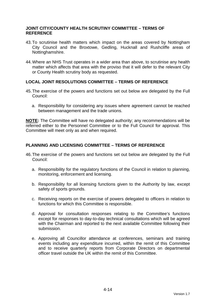# **JOINT CITY/COUNTY HEALTH SCRUTINY COMMITTEE – TERMS OF REFERENCE**

- 43. To scrutinise health matters which impact on the areas covered by Nottingham City Council and the Broxtowe, Gedling, Hucknall and Rushcliffe areas of Nottinghamshire.
- 44. Where an NHS Trust operates in a wider area than above, to scrutinise any health matter which affects that area with the proviso that it will defer to the relevant City or County Health scrutiny body as requested.

# **LOCAL JOINT RESOLUTIONS COMMITTEE – TERMS OF REFERENCE**

- 45. The exercise of the powers and functions set out below are delegated by the Full Council:
	- a. Responsibility for considering any issues where agreement cannot be reached between management and the trade unions.

**NOTE:** The Committee will have no delegated authority; any recommendations will be referred either to the Personnel Committee or to the Full Council for approval. This Committee will meet only as and when required.

# **PLANNING AND LICENSING COMMITTEE – TERMS OF REFERENCE**

- 46. The exercise of the powers and functions set out below are delegated by the Full Council:
	- a. Responsibility for the regulatory functions of the Council in relation to planning, monitoring, enforcement and licensing.
	- b. Responsibility for all licensing functions given to the Authority by law, except safety of sports grounds.
	- c. Receiving reports on the exercise of powers delegated to officers in relation to functions for which this Committee is responsible.
	- d. Approval for consultation responses relating to the Committee's functions except for responses to day-to-day technical consultations which will be agreed with the Chairman and reported to the next available Committee following their submission.
	- e. Approving all Councillor attendance at conferences, seminars and training events including any expenditure incurred, within the remit of this Committee and to receive quarterly reports from Corporate Directors on departmental officer travel outside the UK within the remit of this Committee.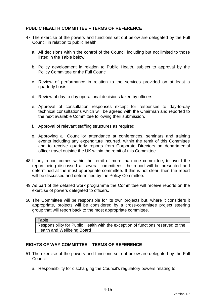# **PUBLIC HEALTH COMMITTEE – TERMS OF REFERENCE**

- 47. The exercise of the powers and functions set out below are delegated by the Full Council in relation to public health:
	- a. All decisions within the control of the Council including but not limited to those listed in the Table below
	- b. Policy development in relation to Public Health, subject to approval by the Policy Committee or the Full Council
	- c. Review of performance in relation to the services provided on at least a quarterly basis
	- d. Review of day to day operational decisions taken by officers
	- e. Approval of consultation responses except for responses to day-to-day technical consultations which will be agreed with the Chairman and reported to the next available Committee following their submission.
	- f. Approval of relevant staffing structures as required
	- g. Approving all Councillor attendance at conferences, seminars and training events including any expenditure incurred, within the remit of this Committee and to receive quarterly reports from Corporate Directors on departmental officer travel outside the UK within the remit of this Committee.
- 48. If any report comes within the remit of more than one committee, to avoid the report being discussed at several committees, the report will be presented and determined at the most appropriate committee. If this is not clear, then the report will be discussed and determined by the Policy Committee.
- 49. As part of the detailed work programme the Committee will receive reports on the exercise of powers delegated to officers.
- 50. The Committee will be responsible for its own projects but, where it considers it appropriate, projects will be considered by a cross-committee project steering group that will report back to the most appropriate committee.

**Table** 

Responsibility for Public Health with the exception of functions reserved to the Health and Wellbeing Board

# **RIGHTS OF WAY COMMITTEE – TERMS OF REFERENCE**

- 51. The exercise of the powers and functions set out below are delegated by the Full Council:
	- a. Responsibility for discharging the Council's regulatory powers relating to: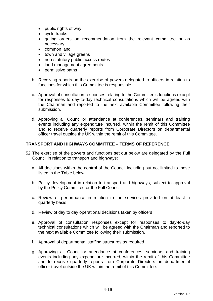- public rights of way
- cycle tracks
- gating orders on recommendation from the relevant committee or as necessary
- common land
- town and village greens
- non-statutory public access routes
- land management agreements
- permissive paths
- b. Receiving reports on the exercise of powers delegated to officers in relation to functions for which this Committee is responsible
- c. Approval of consultation responses relating to the Committee's functions except for responses to day-to-day technical consultations which will be agreed with the Chairman and reported to the next available Committee following their submission.
- d. Approving all Councillor attendance at conferences, seminars and training events including any expenditure incurred, within the remit of this Committee and to receive quarterly reports from Corporate Directors on departmental officer travel outside the UK within the remit of this Committee.

# **TRANSPORT AND HIGHWAYS COMMITTEE – TERMS OF REFERENCE**

- 52. The exercise of the powers and functions set out below are delegated by the Full Council in relation to transport and highways:
	- a. All decisions within the control of the Council including but not limited to those listed in the Table below
	- b. Policy development in relation to transport and highways, subject to approval by the Policy Committee or the Full Council
	- c. Review of performance in relation to the services provided on at least a quarterly basis
	- d. Review of day to day operational decisions taken by officers
	- e. Approval of consultation responses except for responses to day-to-day technical consultations which will be agreed with the Chairman and reported to the next available Committee following their submission.
	- f. Approval of departmental staffing structures as required
	- g. Approving all Councillor attendance at conferences, seminars and training events including any expenditure incurred, within the remit of this Committee and to receive quarterly reports from Corporate Directors on departmental officer travel outside the UK within the remit of this Committee.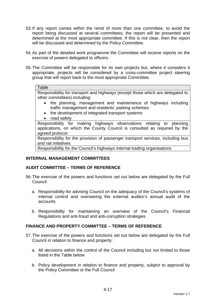- 53. If any report comes within the remit of more than one committee, to avoid the report being discussed at several committees, the report will be presented and determined at the most appropriate committee. If this is not clear, then the report will be discussed and determined by the Policy Committee.
- 54. As part of the detailed work programme the Committee will receive reports on the exercise of powers delegated to officers.
- 55. The Committee will be responsible for its own projects but, where it considers it appropriate, projects will be considered by a cross-committee project steering group that will report back to the most appropriate Committee.

#### Table

Responsibility for transport and highways (except those which are delegated to other committees) including:

- the planning, management and maintenance of highways including traffic management and residents' parking schemes
- the development of integrated transport systems
- road safety

Responsibility for making highways observations relating to planning applications, on which the County Council is consulted as required by the agreed protocol

Responsibility for the provision of passenger transport services, including bus and rail initiatives

Responsibility for the Council's highways internal trading organisations

## **INTERNAL MANAGEMENT COMMITTEES**

## **AUDIT COMMITTEE – TERMS OF REFERENCE**

- 56. The exercise of the powers and functions set out below are delegated by the Full Council:
	- a. Responsibility for advising Council on the adequacy of the Council's systems of internal control and overseeing the external auditor's annual audit of the accounts
	- b. Responsibility for maintaining an overview of the Council's Financial Regulations and anti-fraud and anti-corruption strategies

#### **FINANCE AND PROPERTY COMMITTEE – TERMS OF REFERENCE**

- 57. The exercise of the powers and functions set out below are delegated by the Full Council in relation to finance and property:
	- a. All decisions within the control of the Council including but not limited to those listed in the Table below
	- b. Policy development in relation to finance and property, subject to approval by the Policy Committee or the Full Council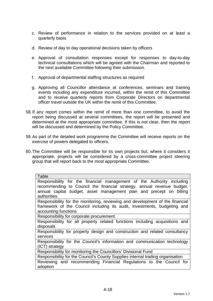- c. Review of performance in relation to the services provided on at least a quarterly basis
- d. Review of day to day operational decisions taken by officers
- e. Approval of consultation responses except for responses to day-to-day technical consultations which will be agreed with the Chairman and reported to the next available Committee following their submission.
- f. Approval of departmental staffing structures as required
- g. Approving all Councillor attendance at conferences, seminars and training events including any expenditure incurred, within the remit of this Committee and to receive quarterly reports from Corporate Directors on departmental officer travel outside the UK within the remit of this Committee.
- 58. If any report comes within the remit of more than one committee, to avoid the report being discussed at several committees, the report will be presented and determined at the most appropriate committee. If this is not clear, then the report will be discussed and determined by the Policy Committee.
- 59. As part of the detailed work programme the Committee will receive reports on the exercise of powers delegated to officers.
- 60. The Committee will be responsible for its own projects but, where it considers it appropriate, projects will be considered by a cross-committee project steering group that will report back to the most appropriate Committee.

| Table                                                                          |
|--------------------------------------------------------------------------------|
| Responsibility for the financial management of the Authority including         |
| recommending to Council the financial strategy, annual revenue budget,         |
| annual capital budget, asset management plan and precept on billing            |
| authorities                                                                    |
| Responsibility for the monitoring, reviewing and development of the financial  |
| framework of the Council including its audit, investments, budgeting and       |
| accounting functions                                                           |
| Responsibility for corporate procurement                                       |
| Responsibility for all property related functions including acquisitions and   |
| disposals                                                                      |
| Responsibility for property design and construction and related consultancy    |
| services                                                                       |
| Responsibility for the Council's information and communication technology      |
| (ICT) strategy                                                                 |
| Responsibility for monitoring the Councillors' Divisional Fund                 |
| Responsibility for the Council's County Supplies internal trading organisation |
| Reviewing and recommending Financial Regulations to the Council for            |
| adoption                                                                       |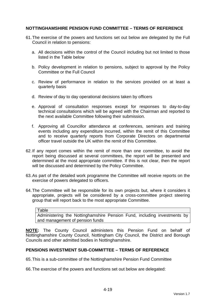## **NOTTINGHAMSHIRE PENSION FUND COMMITTEE – TERMS OF REFERENCE**

- 61. The exercise of the powers and functions set out below are delegated by the Full Council in relation to pensions:
	- a. All decisions within the control of the Council including but not limited to those listed in the Table below
	- b. Policy development in relation to pensions, subject to approval by the Policy Committee or the Full Council
	- c. Review of performance in relation to the services provided on at least a quarterly basis
	- d. Review of day to day operational decisions taken by officers
	- e. Approval of consultation responses except for responses to day-to-day technical consultations which will be agreed with the Chairman and reported to the next available Committee following their submission.
	- f. Approving all Councillor attendance at conferences, seminars and training events including any expenditure incurred, within the remit of this Committee and to receive quarterly reports from Corporate Directors on departmental officer travel outside the UK within the remit of this Committee.
- 62. If any report comes within the remit of more than one committee, to avoid the report being discussed at several committees, the report will be presented and determined at the most appropriate committee. If this is not clear, then the report will be discussed and determined by the Policy Committee.
- 63. As part of the detailed work programme the Committee will receive reports on the exercise of powers delegated to officers.
- 64. The Committee will be responsible for its own projects but, where it considers it appropriate, projects will be considered by a cross-committee project steering group that will report back to the most appropriate Committee.

**Table** Administering the Nottinghamshire Pension Fund, including investments by and management of pension funds

**NOTE:** The County Council administers this Pension Fund on behalf of Nottinghamshire County Council, Nottingham City Council, the District and Borough Councils and other admitted bodies in Nottinghamshire.

## **PENSIONS INVESTMENT SUB-COMMITTEE – TERMS OF REFERENCE**

65. This is a sub-committee of the Nottinghamshire Pension Fund Committee

66. The exercise of the powers and functions set out below are delegated: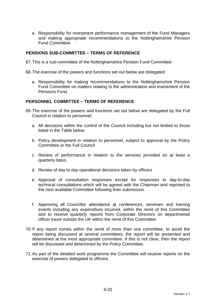a. Responsibility for investment performance management of the Fund Managers and making appropriate recommendations to the Nottinghamshire Pension Fund Committee.

#### **PENSIONS SUB-COMMITTEE – TERMS OF REFERENCE**

- 67. This is a sub-committee of the Nottinghamshire Pension Fund Committee
- 68. The exercise of the powers and functions set out below are delegated:
	- a. Responsibility for making recommendations to the Nottinghamshire Pension Fund Committee on matters relating to the administration and investment of the Pensions Fund.

#### **PERSONNEL COMMITTEE – TERMS OF REFERENCE**

- 69. The exercise of the powers and functions set out below are delegated by the Full Council in relation to personnel:
	- a. All decisions within the control of the Council including but not limited to those listed in the Table below
	- b. Policy development in relation to personnel, subject to approval by the Policy Committee or the Full Council
	- c. Review of performance in relation to the services provided on at least a quarterly basis
	- d. Review of day to day operational decisions taken by officers
	- e. Approval of consultation responses except for responses to day-to-day technical consultations which will be agreed with the Chairman and reported to the next available Committee following their submission.
	- f. Approving all Councillor attendance at conferences, seminars and training events including any expenditure incurred, within the remit of this Committee and to receive quarterly reports from Corporate Directors on departmental officer travel outside the UK within the remit of this Committee.
- 70. If any report comes within the remit of more than one committee, to avoid the report being discussed at several committees, the report will be presented and determined at the most appropriate committee. If this is not clear, then the report will be discussed and determined by the Policy Committee.
- 71. As part of the detailed work programme the Committee will receive reports on the exercise of powers delegated to officers.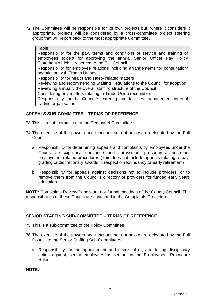72. The Committee will be responsible for its own projects but, where it considers it appropriate, projects will be considered by a cross-committee project steering group that will report back to the most appropriate Committee.

## Table Responsibility for the pay, terms and conditions of service and training of employees except for approving the annual Senior Officer Pay Policy Statement which is reserved to the Full Council Responsibility for employee relations including arrangements for consultation/ negotiation with Trades Unions Responsibility for health and safety related matters Reviewing and recommending Staffing Regulations to the Council for adoption Reviewing annually the overall staffing structure of the Council Considering any matters relating to Trade Union recognition Responsibility for the Council's catering and facilities management internal trading organisation

# **APPEALS SUB-COMMITTEE – TERMS OF REFERENCE**

73. This is a sub-committee of the Personnel Committee

- 74. The exercise of the powers and functions set out below are delegated by the Full Council:
	- a. Responsibility for determining appeals and complaints by employees under the Council's disciplinary, grievance and harassment procedures and other employment related procedures (This does not include appeals relating to pay, grading or discretionary awards in respect of redundancy or early retirement)
	- b. Responsibility for appeals against decisions not to include providers, or to remove them from the Council's directory of providers for funded early years education

**NOTE:** Complaints Review Panels are not formal meetings of the County Council. The responsibilities of these Panels are contained in the Complaints Procedures.

# **SENIOR STAFFING SUB-COMMITTEE – TERMS OF REFERENCE**

- 75. This is a sub-committee of the Policy Committee.
- 76. The exercise of the powers and functions set out below are delegated by the Full Council to the Senior Staffing Sub-Committee:
	- a. Responsibility for the appointment and dismissal of, and taking disciplinary action against, senior employees as set out in the Employment Procedure Rules

**NOTE:-**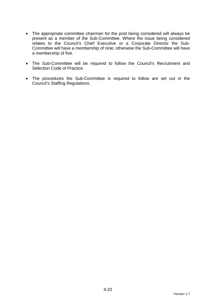- The appropriate committee chairman for the post being considered will always be present as a member of the Sub-Committee. Where the issue being considered relates to the Council's Chief Executive or a Corporate Director the Sub-Committee will have a membership of nine; otherwise the Sub-Committee will have a membership of five.
- The Sub-Committee will be required to follow the Council's Recruitment and Selection Code of Practice.
- The procedures the Sub-Committee is required to follow are set out in the Council's Staffing Regulations.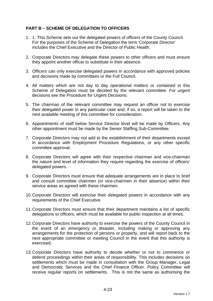# **PART B – SCHEME OF DELEGATION TO OFFICERS**

- 1. 1. This Scheme sets out the delegated powers of officers of the County Council. For the purposes of the Scheme of Delegation the term 'Corporate Director' includes the Chief Executive and the Director of Public Health.
- 2. Corporate Directors may delegate these powers to other officers and must ensure they appoint another officer to substitute in their absence.
- 3. Officers can only exercise delegated powers in accordance with approved policies and decisions made by committees or the Full Council.
- 4. All matters which are not day to day operational matters or contained in this Scheme of Delegation must be decided by the relevant committee. For urgent decisions see the Procedure for Urgent Decisions.
- 5. The chairman of the relevant committee may request an officer not to exercise their delegated power in any particular case and, if so, a report will be taken to the next available meeting of this committee for consideration.
- 6. Appointments of staff below Service Director level will be made by Officers. Any other appointment must be made by the Senior Staffing Sub-Committee.
- 7. Corporate Directors may not add to the establishment of their departments except in accordance with Employment Procedure Regulations, or any other specific committee approval.
- 8. Corporate Directors will agree with their respective chairman and vice-chairman the nature and level of information they require regarding the exercise of officers' delegated powers.
- 9. Corporate Directors must ensure that adequate arrangements are in place to brief and consult committee chairmen (or vice-chairmen in their absence) within their service areas as agreed with these chairmen.
- 10. Corporate Directors will exercise their delegated powers in accordance with any requirements of the Chief Executive.
- 11. Corporate Directors must ensure that their department maintains a list of specific delegations to officers, which must be available for public inspection at all times.
- 12. Corporate Directors have authority to exercise the powers of the County Council in the event of an emergency or disaster, including making or approving any arrangements for the protection of persons or property, and will report back to the next appropriate committee or meeting Council in the event that this authority is exercised.
- 13. Corporate Directors have authority to decide whether or not to commence or defend proceedings within their areas of responsibility. This includes decisions on settlements which must be made in consultation with the Group Manager, Legal and Democratic Services and the Chief Finance Officer. Policy Committee will receive regular reports on settlements. This is not the same as authorising the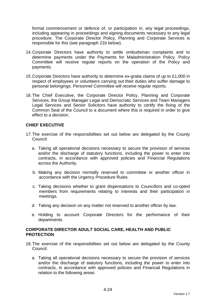formal commencement or defence of, or participation in, any legal proceedings, including appearing in proceedings and signing documents necessary to any legal procedure. The Corporate Director Policy, Planning and Corporate Services is responsible for this (see paragraph 21b below).

- 14. Corporate Directors have authority to settle ombudsman complaints and to determine payments under the Payments for Maladministration Policy. Policy Committee will receive regular reports on the operation of the Policy and payments.
- 15. Corporate Directors have authority to determine ex-gratia claims of up to £1,000 in respect of employees or volunteers carrying out their duties who suffer damage to personal belongings. Personnel Committee will receive regular reports.
- 16. The Chief Executive, the Corporate Director Policy, Planning and Corporate Services, the Group Manager Legal and Democratic Services and Team Managers Legal Services and Senior Solicitors have authority to certify the fixing of the Common Seal of the Council to a document where this is required in order to give effect to a decision.

## **CHIEF EXECUTIVE**

- 17. The exercise of the responsibilities set out below are delegated by the County Council:
	- a. Taking all operational decisions necessary to secure the provision of services and/or the discharge of statutory functions, including the power to enter into contracts, in accordance with approved policies and Financial Regulations across the Authority.
	- b. Making any decision normally reserved to committee or another officer in accordance with the Urgency Procedure Rules.
	- c. Taking decisions whether to grant dispensations to Councillors and co-opted members from requirements relating to interests and their participation in meetings.
	- d. Taking any decision on any matter not reserved to another officer by law.
	- e. Holding to account Corporate Directors for the performance of their departments.

## **CORPORATE DIRECTOR ADULT SOCIAL CARE, HEALTH AND PUBLIC PROTECTION**

- 18. The exercise of the responsibilities set out below are delegated by the County Council:
	- a. Taking all operational decisions necessary to secure the provision of services and/or the discharge of statutory functions, including the power to enter into contracts, in accordance with approved policies and Financial Regulations in relation to the following areas: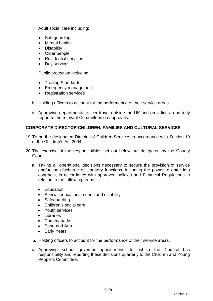Adult social care including:

- Safeguarding
- Mental health
- Disability
- Older people
- Residential services
- Day services

Public protection including:

- Trading Standards
- Emergency management
- Registration services
- b. Holding officers to account for the performance of their service areas
- c. Approving departmental officer travel outside the UK and providing a quarterly report to the relevant Committees on approvals.

# **CORPORATE DIRECTOR CHILDREN, FAMILIES AND CULTURAL SERVICES**

- 19. To be the designated Director of Children Services in accordance with Section 19 of the Children's Act 2004.
- 20. The exercise of the responsibilities set out below are delegated by the County Council:
	- a. Taking all operational decisions necessary to secure the provision of service and/or the discharge of statutory functions, including the power to enter into contracts, in accordance with approved policies and Financial Regulations in relation to the following areas:
		- Education
		- Special educational needs and disability
		- Safeguarding
		- Children's social care
		- Youth services
		- Libraries
		- Country parks
		- Sport and Arts
		- Early Years
	- b. Holding officers to account for the performance of their service areas.
	- c. Approving school governor appointments for which the Council has responsibility and reporting these decisions quarterly to the Children and Young People's Committee.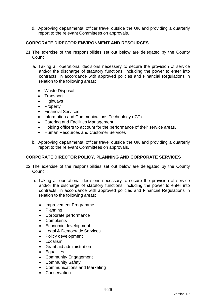d. Approving departmental officer travel outside the UK and providing a quarterly report to the relevant Committees on approvals.

# **CORPORATE DIRECTOR ENVIRONMENT AND RESOURCES**

- 21. The exercise of the responsibilities set out below are delegated by the County Council:
	- a. Taking all operational decisions necessary to secure the provision of service and/or the discharge of statutory functions, including the power to enter into contracts, in accordance with approved policies and Financial Regulations in relation to the following areas:
		- Waste Disposal
		- Transport
		- Highways
		- Property
		- Financial Services
		- Information and Communications Technology (ICT)
		- Catering and Facilities Management
		- Holding officers to account for the performance of their service areas.
		- **Human Resources and Customer Services**
	- b. Approving departmental officer travel outside the UK and providing a quarterly report to the relevant Committees on approvals.

## **CORPORATE DIRECTOR POLICY, PLANNING AND CORPORATE SERVICES**

- 22. The exercise of the responsibilities set out below are delegated by the County Council:
	- a. Taking all operational decisions necessary to secure the provision of service and/or the discharge of statutory functions, including the power to enter into contracts, in accordance with approved policies and Financial Regulations in relation to the following areas:
		- Improvement Programme
		- Planning
		- Corporate performance
		- Complaints
		- Economic development
		- Legal & Democratic Services
		- Policy development
		- Localism
		- Grant aid administration
		- Equalities
		- Community Engagement
		- Community Safety
		- Communications and Marketing
		- Conservation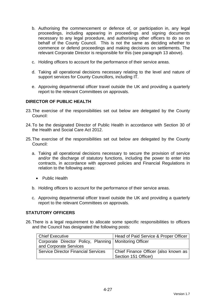- b. Authorising the commencement or defence of, or participation in, any legal proceedings, including appearing in proceedings and signing documents necessary to any legal procedure, and authorising other officers to do so on behalf of the County Council. This is not the same as deciding whether to commence or defend proceedings and making decisions on settlements. The relevant Corporate Director is responsible for this (see paragraph 13 above).
- c. Holding officers to account for the performance of their service areas.
- d. Taking all operational decisions necessary relating to the level and nature of support services for County Councillors, including IT.
- e. Approving departmental officer travel outside the UK and providing a quarterly report to the relevant Committees on approvals.

## **DIRECTOR OF PUBLIC HEALTH**

- 23. The exercise of the responsibilities set out below are delegated by the County Council:
- 24. To be the designated Director of Public Health in accordance with Section 30 of the Health and Social Care Act 2012.
- 25. The exercise of the responsibilities set out below are delegated by the County Council:
	- a. Taking all operational decisions necessary to secure the provision of service and/or the discharge of statutory functions, including the power to enter into contracts, in accordance with approved policies and Financial Regulations in relation to the following areas:
		- Public Health
	- b. Holding officers to account for the performance of their service areas.
	- c. Approving departmental officer travel outside the UK and providing a quarterly report to the relevant Committees on approvals.

# **STATUTORY OFFICERS**

26. There is a legal requirement to allocate some specific responsibilities to officers and the Council has designated the following posts:

| Chief Executive                                          | Head of Paid Service & Proper Officer |
|----------------------------------------------------------|---------------------------------------|
| Corporate Director Policy, Planning   Monitoring Officer |                                       |
| and Corporate Services                                   |                                       |
| <b>Service Director Financial Services</b>               | Chief Finance Officer (also known as  |
|                                                          | Section 151 Officer)                  |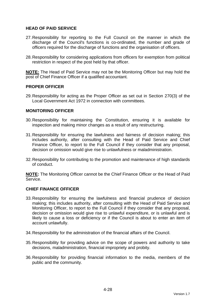## **HEAD OF PAID SERVICE**

- 27. Responsibility for reporting to the Full Council on the manner in which the discharge of the Council's functions is co-ordinated, the number and grade of officers required for the discharge of functions and the organisation of officers.
- 28. Responsibility for considering applications from officers for exemption from political restriction in respect of the post held by that officer.

**NOTE:** The Head of Paid Service may not be the Monitoring Officer but may hold the post of Chief Finance Officer if a qualified accountant.

## **PROPER OFFICER**

29. Responsibility for acting as the Proper Officer as set out in Section 270(3) of the Local Government Act 1972 in connection with committees.

#### **MONITORING OFFICER**

- 30. Responsibility for maintaining the Constitution, ensuring it is available for inspection and making minor changes as a result of any restructuring.
- 31. Responsibility for ensuring the lawfulness and fairness of decision making; this includes authority, after consulting with the Head of Paid Service and Chief Finance Officer, to report to the Full Council if they consider that any proposal, decision or omission would give rise to unlawfulness or maladministration.
- 32. Responsibility for contributing to the promotion and maintenance of high standards of conduct.

**NOTE:** The Monitoring Officer cannot be the Chief Finance Officer or the Head of Paid Service.

#### **CHIEF FINANCE OFFICER**

- 33. Responsibility for ensuring the lawfulness and financial prudence of decision making; this includes authority, after consulting with the Head of Paid Service and Monitoring Officer, to report to the Full Council if they consider that any proposal, decision or omission would give rise to unlawful expenditure, or is unlawful and is likely to cause a loss or deficiency or if the Council is about to enter an item of account unlawfully.
- 34. Responsibility for the administration of the financial affairs of the Council.
- 35. Responsibility for providing advice on the scope of powers and authority to take decisions, maladministration, financial impropriety and probity.
- 36. Responsibility for providing financial information to the media, members of the public and the community.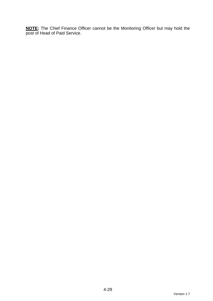**NOTE:** The Chief Finance Officer cannot be the Monitoring Officer but may hold the post of Head of Paid Service.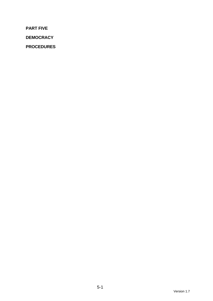**PART FIVE** 

**DEMOCRACY** 

**PROCEDURES**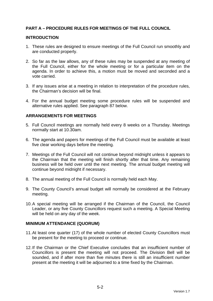## **PART A – PROCEDURE RULES FOR MEETINGS OF THE FULL COUNCIL**

#### **INTRODUCTION**

- 1. These rules are designed to ensure meetings of the Full Council run smoothly and are conducted properly.
- 2. So far as the law allows, any of these rules may be suspended at any meeting of the Full Council, either for the whole meeting or for a particular item on the agenda. In order to achieve this, a motion must be moved and seconded and a vote carried.
- 3. If any issues arise at a meeting in relation to interpretation of the procedure rules, the Chairman's decision will be final.
- 4. For the annual budget meeting some procedure rules will be suspended and alternative rules applied. See paragraph 87 below.

## **ARRANGEMENTS FOR MEETINGS**

- 5. Full Council meetings are normally held every 8 weeks on a Thursday. Meetings normally start at 10.30am.
- 6. The agenda and papers for meetings of the Full Council must be available at least five clear working days before the meeting.
- 7. Meetings of the Full Council will not continue beyond midnight unless it appears to the Chairman that the meeting will finish shortly after that time. Any remaining business will be held over until the next meeting. The annual budget meeting will continue beyond midnight if necessary.
- 8. The annual meeting of the Full Council is normally held each May.
- 9. The County Council's annual budget will normally be considered at the February meeting.
- 10. A special meeting will be arranged if the Chairman of the Council, the Council Leader, or any five County Councillors request such a meeting. A Special Meeting will be held on any day of the week.

#### **MINIMUM ATTENDANCE (QUORUM)**

- 11. At least one quarter (17) of the whole number of elected County Councillors must be present for the meeting to proceed or continue.
- 12. If the Chairman or the Chief Executive concludes that an insufficient number of Councillors is present the meeting will not proceed. The Division Bell will be sounded, and if after more than five minutes there is still an insufficient number present at the meeting it will be adjourned to a time fixed by the Chairman.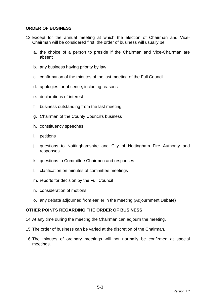## **ORDER OF BUSINESS**

- 13. Except for the annual meeting at which the election of Chairman and Vice-Chairman will be considered first, the order of business will usually be:
	- a. the choice of a person to preside if the Chairman and Vice-Chairman are absent
	- b. any business having priority by law
	- c. confirmation of the minutes of the last meeting of the Full Council
	- d. apologies for absence, including reasons
	- e. declarations of interest
	- f. business outstanding from the last meeting
	- g. Chairman of the County Council's business
	- h. constituency speeches
	- i. petitions
	- j. questions to Nottinghamshire and City of Nottingham Fire Authority and responses
	- k. questions to Committee Chairmen and responses
	- l. clarification on minutes of committee meetings
	- m. reports for decision by the Full Council
	- n. consideration of motions
	- o. any debate adjourned from earlier in the meeting (Adjournment Debate)

## **OTHER POINTS REGARDING THE ORDER OF BUSINESS**

- 14. At any time during the meeting the Chairman can adjourn the meeting.
- 15. The order of business can be varied at the discretion of the Chairman.
- 16. The minutes of ordinary meetings will not normally be confirmed at special meetings.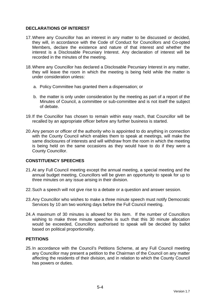## **DECLARATIONS OF INTEREST**

- 17. Where any Councillor has an interest in any matter to be discussed or decided, they will, in accordance with the Code of Conduct for Councillors and Co-opted Members, declare the existence and nature of that interest and whether the interest is a Disclosable Pecuniary Interest. Any declaration of interest will be recorded in the minutes of the meeting.
- 18. Where any Councillor has declared a Disclosable Pecuniary Interest in any matter, they will leave the room in which the meeting is being held while the matter is under consideration unless:
	- a. Policy Committee has granted them a dispensation; or
	- b. the matter is only under consideration by the meeting as part of a report of the Minutes of Council, a committee or sub-committee and is not itself the subject of debate.
- 19. If the Councillor has chosen to remain within easy reach, that Councillor will be recalled by an appropriate officer before any further business is started.
- 20. Any person or officer of the authority who is appointed to do anything in connection with the County Council which enables them to speak at meetings, will make the same disclosures of interests and will withdraw from the room in which the meeting is being held on the same occasions as they would have to do if they were a County Councillor.

# **CONSTITUENCY SPEECHES**

- 21. At any Full Council meeting except the annual meeting, a special meeting and the annual budget meeting, Councillors will be given an opportunity to speak for up to three minutes on any issue arising in their division.
- 22. Such a speech will not give rise to a debate or a question and answer session.
- 23. Any Councillor who wishes to make a three minute speech must notify Democratic Services by 10 am two working days before the Full Council meeting.
- 24. A maximum of 30 minutes is allowed for this item. If the number of Councillors wishing to make three minute speeches is such that this 30 minute allocation would be exceeded, Councillors authorised to speak will be decided by ballot based on political proportionality.

## **PETITIONS**

25. In accordance with the Council's Petitions Scheme, at any Full Council meeting any Councillor may present a petition to the Chairman of the Council on any matter affecting the residents of their division, and in relation to which the County Council has powers or duties.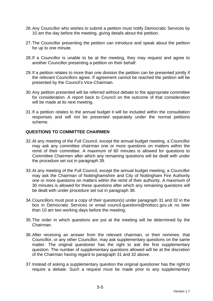- 26. Any Councillor who wishes to submit a petition must notify Democratic Services by 10 am the day before the meeting, giving details about the petition.
- 27. The Councillor presenting the petition can introduce and speak about the petition for up to one minute.
- 28. If a Councillor is unable to be at the meeting, they may request and agree to another Councillor presenting a petition on their behalf.
- 29. If a petition relates to more than one division the petition can be presented jointly if the relevant Councillors agree. If agreement cannot be reached the petition will be presented by the Council's Vice-Chairman.
- 30. Any petition presented will be referred without debate to the appropriate committee for consideration. A report back to Council on the outcome of that consideration will be made at its next meeting.
- 31. If a petition relates to the annual budget it will be included within the consultation responses and will not be presented separately under the normal petitions scheme.

## **QUESTIONS TO COMMITTEE CHAIRMEN**

- 32. At any meeting of the Full Council, except the annual budget meeting, a Councillor may ask any committee chairman one or more questions on matters within the remit of their committee. A maximum of 60 minutes is allowed for questions to Committee Chairmen after which any remaining questions will be dealt with under the procedure set out in paragraph 39.
- 33. At any meeting of the Full Council, except the annual budget meeting, a Councillor may ask the Chairman of Nottinghamshire and City of Nottingham Fire Authority one or more questions on matters within the remit of their authority. A maximum of 30 minutes is allowed for these questions after which any remaining questions will be dealt with under procedure set out in paragraph 38.
- 34. Councillors must post a copy of their question(s) under paragraph 31 and 32 in the box in Democratic Services or email council.questions@nottscc.gov.uk no later than 10 am two working days before the meeting.
- 35. The order in which questions are put at the meeting will be determined by the Chairman.
- 36. After receiving an answer from the relevant chairman, or their nominee, that Councillor, or any other Councillor, may ask supplementary questions on the same matter. The original questioner has the right to ask the first supplementary question. The number of supplementary questions allowed will be at the discretion of the Chairman having regard to paragraph 31 and 32 above.
- 37. Instead of asking a supplementary question the original questioner has the right to require a debate. Such a request must be made prior to any supplementary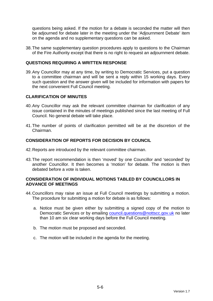questions being asked. If the motion for a debate is seconded the matter will then be adjourned for debate later in the meeting under the 'Adjournment Debate' item on the agenda and no supplementary questions can be asked.

38. The same supplementary question procedures apply to questions to the Chairman of the Fire Authority except that there is no right to request an adjournment debate.

## **QUESTIONS REQUIRING A WRITTEN RESPONSE**

39. Any Councillor may at any time, by writing to Democratic Services, put a question to a committee chairman and will be sent a reply within 15 working days. Every such question and the answer given will be included for information with papers for the next convenient Full Council meeting.

## **CLARIFICATION OF MINUTES**

- 40. Any Councillor may ask the relevant committee chairman for clarification of any issue contained in the minutes of meetings published since the last meeting of Full Council. No general debate will take place.
- 41. The number of points of clarification permitted will be at the discretion of the Chairman.

## **CONSIDERATION OF REPORTS FOR DECISION BY COUNCIL**

- 42. Reports are introduced by the relevant committee chairman.
- 43. The report recommendation is then 'moved' by one Councillor and 'seconded' by another Councillor. It then becomes a 'motion' for debate. The motion is then debated before a vote is taken.

## **CONSIDERATION OF INDIVIDUAL MOTIONS TABLED BY COUNCILLORS IN ADVANCE OF MEETINGS**

- 44. Councillors may raise an issue at Full Council meetings by submitting a motion. The procedure for submitting a motion for debate is as follows:
	- a. Notice must be given either by submitting a signed copy of the motion to Democratic Services or by emailing council.questions@nottscc.gov.uk no later than 10 am six clear working days before the Full Council meeting.
	- b. The motion must be proposed and seconded.
	- c. The motion will be included in the agenda for the meeting.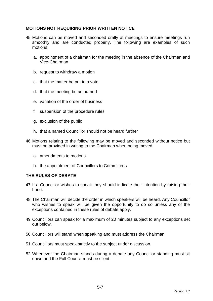## **MOTIONS NOT REQUIRING PRIOR WRITTEN NOTICE**

- 45. Motions can be moved and seconded orally at meetings to ensure meetings run smoothly and are conducted properly. The following are examples of such motions:
	- a. appointment of a chairman for the meeting in the absence of the Chairman and Vice-Chairman
	- b. request to withdraw a motion
	- c. that the matter be put to a vote
	- d. that the meeting be adjourned
	- e. variation of the order of business
	- f. suspension of the procedure rules
	- g. exclusion of the public
	- h. that a named Councillor should not be heard further
- 46. Motions relating to the following may be moved and seconded without notice but must be provided in writing to the Chairman when being moved
	- a. amendments to motions
	- b. the appointment of Councillors to Committees

## **THE RULES OF DEBATE**

- 47. If a Councillor wishes to speak they should indicate their intention by raising their hand.
- 48. The Chairman will decide the order in which speakers will be heard. Any Councillor who wishes to speak will be given the opportunity to do so unless any of the exceptions contained in these rules of debate apply.
- 49. Councillors can speak for a maximum of 20 minutes subject to any exceptions set out below.
- 50. Councillors will stand when speaking and must address the Chairman.
- 51. Councillors must speak strictly to the subject under discussion.
- 52. Whenever the Chairman stands during a debate any Councillor standing must sit down and the Full Council must be silent.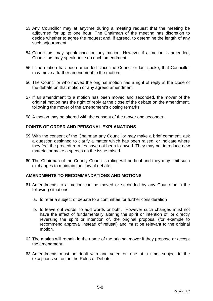- 53. Any Councillor may at anytime during a meeting request that the meeting be adjourned for up to one hour. The Chairman of the meeting has discretion to decide whether to agree the request and, if agreed, to determine the length of any such adjournment
- 54. Councillors may speak once on any motion. However if a motion is amended, Councillors may speak once on each amendment.
- 55. If the motion has been amended since the Councillor last spoke, that Councillor may move a further amendment to the motion.
- 56. The Councillor who moved the original motion has a right of reply at the close of the debate on that motion or any agreed amendment.
- 57. If an amendment to a motion has been moved and seconded, the mover of the original motion has the right of reply at the close of the debate on the amendment, following the mover of the amendment's closing remarks.
- 58. A motion may be altered with the consent of the mover and seconder.

## **POINTS OF ORDER AND PERSONAL EXPLANATIONS**

- 59. With the consent of the Chairman any Councillor may make a brief comment, ask a question designed to clarify a matter which has been raised, or indicate where they feel the procedure rules have not been followed. They may not introduce new material or make a speech on the issue raised.
- 60. The Chairman of the County Council's ruling will be final and they may limit such exchanges to maintain the flow of debate.

## **AMENDMENTS TO RECOMMENDATIONS AND MOTIONS**

- 61. Amendments to a motion can be moved or seconded by any Councillor in the following situations:
	- a. to refer a subject of debate to a committee for further consideration
	- b. to leave out words, to add words or both. However such changes must not have the effect of fundamentally altering the spirit or intention of, or directly reversing the spirit or intention of, the original proposal (for example to recommend approval instead of refusal) and must be relevant to the original motion.
- 62. The motion will remain in the name of the original mover if they propose or accept the amendment.
- 63. Amendments must be dealt with and voted on one at a time, subject to the exceptions set out in the Rules of Debate.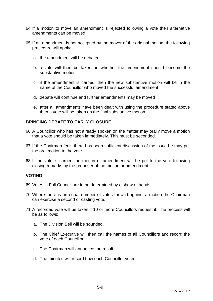- 64. If a motion to move an amendment is rejected following a vote then alternative amendments can be moved.
- 65. If an amendment is not accepted by the mover of the original motion, the following procedure will apply:
	- a. the amendment will be debated
	- b. a vote will then be taken on whether the amendment should become the substantive motion
	- c. if the amendment is carried, then the new substantive motion will be in the name of the Councillor who moved the successful amendment
	- d. debate will continue and further amendments may be moved
	- e. after all amendments have been dealt with using the procedure stated above then a vote will be taken on the final substantive motion

## **BRINGING DEBATE TO EARLY CLOSURE**

- 66. A Councillor who has not already spoken on the matter may orally move a motion that a vote should be taken immediately. This must be seconded.
- 67. If the Chairman feels there has been sufficient discussion of the issue he may put the oral motion to the vote.
- 68. If the vote is carried the motion or amendment will be put to the vote following closing remarks by the proposer of the motion or amendment.

#### **VOTING**

- 69. Votes in Full Council are to be determined by a show of hands.
- 70. Where there is an equal number of votes for and against a motion the Chairman can exercise a second or casting vote.
- 71. A recorded vote will be taken if 10 or more Councillors request it. The process will be as follows:
	- a. The Division Bell will be sounded.
	- b. The Chief Executive will then call the names of all Councillors and record the vote of each Councillor.
	- c. The Chairman will announce the result.
	- d. The minutes will record how each Councillor voted.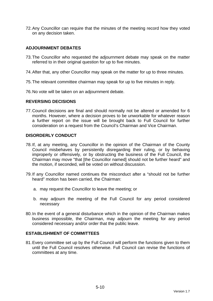72. Any Councillor can require that the minutes of the meeting record how they voted on any decision taken.

## **ADJOURNMENT DEBATES**

- 73. The Councillor who requested the adjournment debate may speak on the matter referred to in their original question for up to five minutes.
- 74. After that, any other Councillor may speak on the matter for up to three minutes.
- 75. The relevant committee chairman may speak for up to five minutes in reply.
- 76. No vote will be taken on an adjournment debate.

#### **REVERSING DECISIONS**

77. Council decisions are final and should normally not be altered or amended for 6 months. However, where a decision proves to be unworkable for whatever reason a further report on the issue will be brought back to Full Council for further consideration on a request from the Council's Chairman and Vice Chairman.

## **DISORDERLY CONDUCT**

- 78. If, at any meeting, any Councillor in the opinion of the Chairman of the County Council misbehaves by persistently disregarding their ruling, or by behaving improperly or offensively, or by obstructing the business of the Full Council, the Chairman may move "that [the Councillor named] should not be further heard" and the motion, if seconded, will be voted on without discussion.
- 79. If any Councillor named continues the misconduct after a "should not be further heard" motion has been carried, the Chairman:
	- a. may request the Councillor to leave the meeting; or
	- b. may adjourn the meeting of the Full Council for any period considered necessary
- 80. In the event of a general disturbance which in the opinion of the Chairman makes business impossible, the Chairman, may adjourn the meeting for any period considered necessary and/or order that the public leave.

## **ESTABLISHMENT OF COMMITTEES**

81. Every committee set up by the Full Council will perform the functions given to them until the Full Council resolves otherwise. Full Council can revise the functions of committees at any time.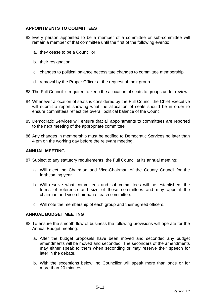# **APPOINTMENTS TO COMMITTEES**

- 82. Every person appointed to be a member of a committee or sub-committee will remain a member of that committee until the first of the following events:
	- a. they cease to be a Councillor
	- b. their resignation
	- c. changes to political balance necessitate changes to committee membership
	- d. removal by the Proper Officer at the request of their group
- 83. The Full Council is required to keep the allocation of seats to groups under review.
- 84. Whenever allocation of seats is considered by the Full Council the Chief Executive will submit a report showing what the allocation of seats should be in order to ensure committees reflect the overall political balance of the Council.
- 85. Democratic Services will ensure that all appointments to committees are reported to the next meeting of the appropriate committee.
- 86. Any changes in membership must be notified to Democratic Services no later than 4 pm on the working day before the relevant meeting.

#### **ANNUAL MEETING**

87. Subject to any statutory requirements, the Full Council at its annual meeting:

- a. Will elect the Chairman and Vice-Chairman of the County Council for the forthcoming year.
- b. Will resolve what committees and sub-committees will be established, the terms of reference and size of these committees and may appoint the chairman and vice-chairman of each committee.
- c. Will note the membership of each group and their agreed officers.

#### **ANNUAL BUDGET MEETING**

- 88. To ensure the smooth flow of business the following provisions will operate for the Annual Budget meeting:
	- a. After the budget proposals have been moved and seconded any budget amendments will be moved and seconded. The seconders of the amendments may either speak to them when seconding or may reserve their speech for later in the debate.
	- b. With the exceptions below, no Councillor will speak more than once or for more than 20 minutes: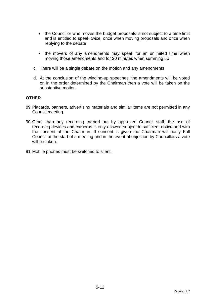- the Councillor who moves the budget proposals is not subject to a time limit and is entitled to speak twice; once when moving proposals and once when replying to the debate
- the movers of any amendments may speak for an unlimited time when moving those amendments and for 20 minutes when summing up
- c. There will be a single debate on the motion and any amendments
- d. At the conclusion of the winding-up speeches, the amendments will be voted on in the order determined by the Chairman then a vote will be taken on the substantive motion.

#### **OTHER**

- 89. Placards, banners, advertising materials and similar items are not permitted in any Council meeting.
- 90. Other than any recording carried out by approved Council staff, the use of recording devices and cameras is only allowed subject to sufficient notice and with the consent of the Chairman. If consent is given the Chairman will notify Full Council at the start of a meeting and in the event of objection by Councillors a vote will be taken.
- 91. Mobile phones must be switched to silent.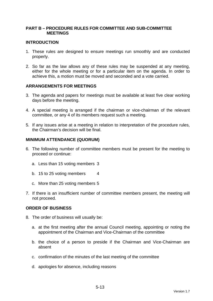## **PART B – PROCEDURE RULES FOR COMMITTEE AND SUB-COMMITTEE MEETINGS**

#### **INTRODUCTION**

- 1. These rules are designed to ensure meetings run smoothly and are conducted properly.
- 2. So far as the law allows any of these rules may be suspended at any meeting, either for the whole meeting or for a particular item on the agenda. In order to achieve this, a motion must be moved and seconded and a vote carried.

## **ARRANGEMENTS FOR MEETINGS**

- 3. The agenda and papers for meetings must be available at least five clear working days before the meeting.
- 4. A special meeting is arranged if the chairman or vice-chairman of the relevant committee, or any 4 of its members request such a meeting.
- 5. If any issues arise at a meeting in relation to interpretation of the procedure rules, the Chairman's decision will be final.

#### **MINIMUM ATTENDANCE (QUORUM)**

- 6. The following number of committee members must be present for the meeting to proceed or continue:
	- a. Less than 15 voting members 3
	- b. 15 to 25 voting members 4
	- c. More than 25 voting members 5
- 7. If there is an insufficient number of committee members present, the meeting will not proceed.

#### **ORDER OF BUSINESS**

- 8. The order of business will usually be:
	- a. at the first meeting after the annual Council meeting, appointing or noting the appointment of the Chairman and Vice-Chairman of the committee
	- b. the choice of a person to preside if the Chairman and Vice-Chairman are absent
	- c. confirmation of the minutes of the last meeting of the committee
	- d. apologies for absence, including reasons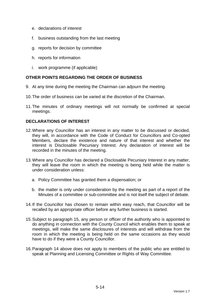- e. declarations of interest
- f. business outstanding from the last meeting
- g. reports for decision by committee
- h. reports for information
- i. work programme (if applicable)

# **OTHER POINTS REGARDING THE ORDER OF BUSINESS**

- 9. At any time during the meeting the Chairman can adjourn the meeting.
- 10. The order of business can be varied at the discretion of the Chairman.
- 11. The minutes of ordinary meetings will not normally be confirmed at special meetings.

## **DECLARATIONS OF INTEREST**

- 12. Where any Councillor has an interest in any matter to be discussed or decided, they will, in accordance with the Code of Conduct for Councillors and Co-opted Members, declare the existence and nature of that interest and whether the interest is Disclosable Pecuniary Interest. Any declaration of interest will be recorded in the minutes of the meeting.
- 13. Where any Councillor has declared a Disclosable Pecuniary Interest in any matter, they will leave the room in which the meeting is being held while the matter is under consideration unless:
	- a. Policy Committee has granted them a dispensation; or
	- b. the matter is only under consideration by the meeting as part of a report of the Minutes of a committee or sub-committee and is not itself the subject of debate.
- 14. If the Councillor has chosen to remain within easy reach, that Councillor will be recalled by an appropriate officer before any further business is started.
- 15. Subject to paragraph 15, any person or officer of the authority who is appointed to do anything in connection with the County Council which enables them to speak at meetings, will make the same disclosures of interests and will withdraw from the room in which the meeting is being held on the same occasions as they would have to do if they were a County Councillor.
- 16. Paragraph 14 above does not apply to members of the public who are entitled to speak at Planning and Licensing Committee or Rights of Way Committee.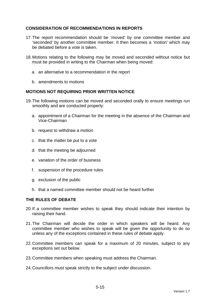## **CONSIDERATION OF RECOMMENDATIONS IN REPORTS**

- 17. The report recommendation should be 'moved' by one committee member and 'seconded' by another committee member. It then becomes a 'motion' which may be debated before a vote is taken.
- 18. Motions relating to the following may be moved and seconded without notice but must be provided in writing to the Chairman when being moved:
	- a. an alternative to a recommendation in the report
	- b. amendments to motions

## **MOTIONS NOT REQUIRING PRIOR WRITTEN NOTICE**

- 19. The following motions can be moved and seconded orally to ensure meetings run smoothly and are conducted properly:
	- a. appointment of a Chairman for the meeting in the absence of the Chairman and Vice-Chairman
	- b. request to withdraw a motion
	- c. that the matter be put to a vote
	- d. that the meeting be adjourned
	- e. variation of the order of business
	- f. suspension of the procedure rules
	- g. exclusion of the public
	- h. that a named committee member should not be heard further

## **THE RULES OF DEBATE**

- 20. If a committee member wishes to speak they should indicate their intention by raising their hand.
- 21. The Chairman will decide the order in which speakers will be heard. Any committee member who wishes to speak will be given the opportunity to do so unless any of the exceptions contained in these rules of debate apply.
- 22. Committee members can speak for a maximum of 20 minutes, subject to any exceptions set out below.
- 23. Committee members when speaking must address the Chairman.
- 24. Councillors must speak strictly to the subject under discussion.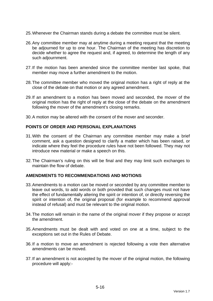- 25. Whenever the Chairman stands during a debate the committee must be silent.
- 26. Any committee member may at anytime during a meeting request that the meeting be adjourned for up to one hour. The Chairman of the meeting has discretion to decide whether to agree the request and, if agreed, to determine the length of any such adjournment.
- 27. If the motion has been amended since the committee member last spoke, that member may move a further amendment to the motion.
- 28. The committee member who moved the original motion has a right of reply at the close of the debate on that motion or any agreed amendment.
- 29. If an amendment to a motion has been moved and seconded, the mover of the original motion has the right of reply at the close of the debate on the amendment following the mover of the amendment's closing remarks.
- 30. A motion may be altered with the consent of the mover and seconder.

## **POINTS OF ORDER AND PERSONAL EXPLANATIONS**

- 31. With the consent of the Chairman any committee member may make a brief comment, ask a question designed to clarify a matter which has been raised, or indicate where they feel the procedure rules have not been followed. They may not introduce new material or make a speech on this.
- 32. The Chairman's ruling on this will be final and they may limit such exchanges to maintain the flow of debate.

#### **AMENDMENTS TO RECOMMENDATIONS AND MOTIONS**

- 33. Amendments to a motion can be moved or seconded by any committee member to leave out words, to add words or both provided that such changes must not have the effect of fundamentally altering the spirit or intention of, or directly reversing the spirit or intention of, the original proposal (for example to recommend approval instead of refusal) and must be relevant to the original motion.
- 34. The motion will remain in the name of the original mover if they propose or accept the amendment.
- 35. Amendments must be dealt with and voted on one at a time, subject to the exceptions set out in the Rules of Debate.
- 36. If a motion to move an amendment is rejected following a vote then alternative amendments can be moved.
- 37. If an amendment is not accepted by the mover of the original motion, the following procedure will apply:-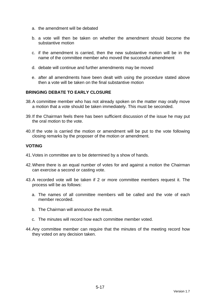- a. the amendment will be debated
- b. a vote will then be taken on whether the amendment should become the substantive motion
- c. if the amendment is carried, then the new substantive motion will be in the name of the committee member who moved the successful amendment
- d. debate will continue and further amendments may be moved
- e. after all amendments have been dealt with using the procedure stated above then a vote will be taken on the final substantive motion

## **BRINGING DEBATE TO EARLY CLOSURE**

- 38. A committee member who has not already spoken on the matter may orally move a motion that a vote should be taken immediately. This must be seconded.
- 39. If the Chairman feels there has been sufficient discussion of the issue he may put the oral motion to the vote.
- 40. If the vote is carried the motion or amendment will be put to the vote following closing remarks by the proposer of the motion or amendment.

#### **VOTING**

- 41. Votes in committee are to be determined by a show of hands.
- 42. Where there is an equal number of votes for and against a motion the Chairman can exercise a second or casting vote.
- 43. A recorded vote will be taken if 2 or more committee members request it. The process will be as follows:
	- a. The names of all committee members will be called and the vote of each member recorded.
	- b. The Chairman will announce the result.
	- c. The minutes will record how each committee member voted.
- 44. Any committee member can require that the minutes of the meeting record how they voted on any decision taken.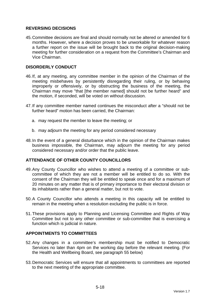## **REVERSING DECISIONS**

45. Committee decisions are final and should normally not be altered or amended for 6 months. However, where a decision proves to be unworkable for whatever reason a further report on the issue will be brought back to the original decision-making meeting for further consideration on a request from the Committee's Chairman and Vice Chairman.

## **DISORDERLY CONDUCT**

- 46. If, at any meeting, any committee member in the opinion of the Chairman of the meeting misbehaves by persistently disregarding their ruling, or by behaving improperly or offensively, or by obstructing the business of the meeting, the Chairman may move "that [the member named] should not be further heard" and the motion, if seconded, will be voted on without discussion.
- 47. If any committee member named continues the misconduct after a "should not be further heard" motion has been carried, the Chairman:
	- a. may request the member to leave the meeting; or
	- b. may adjourn the meeting for any period considered necessary
- 48. In the event of a general disturbance which in the opinion of the Chairman makes business impossible, the Chairman, may adjourn the meeting for any period considered necessary and/or order that the public leave.

## **ATTENDANCE OF OTHER COUNTY COUNCILLORS**

- 49. Any County Councillor who wishes to attend a meeting of a committee or subcommittee of which they are not a member will be entitled to do so. With the consent of the Chairman they will be entitled to speak once and for a maximum of 20 minutes on any matter that is of primary importance to their electoral division or its inhabitants rather than a general matter, but not to vote.
- 50. A County Councillor who attends a meeting in this capacity will be entitled to remain in the meeting when a resolution excluding the public is in force.
- 51. These provisions apply to Planning and Licensing Committee and Rights of Way Committee but not to any other committee or sub-committee that is exercising a function which is judicial in nature.

# **APPOINTMENTS TO COMMITTEES**

- 52. Any changes in a committee's membership must be notified to Democratic Services no later than 4pm on the working day before the relevant meeting. (For the Health and Wellbeing Board, see paragraph 55 below)
- 53. Democratic Services will ensure that all appointments to committees are reported to the next meeting of the appropriate committee.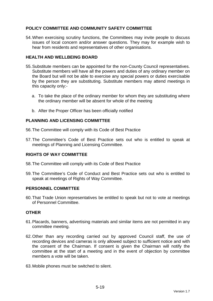# **POLICY COMMITTEE AND COMMUNITY SAFETY COMMITTEE**

54. When exercising scrutiny functions, the Committees may invite people to discuss issues of local concern and/or answer questions. They may for example wish to hear from residents and representatives of other organisations.

## **HEALTH AND WELLBEING BOARD**

- 55. Substitute members can be appointed for the non-County Council representatives. Substitute members will have all the powers and duties of any ordinary member on the Board but will not be able to exercise any special powers or duties exercisable by the person they are substituting. Substitute members may attend meetings in this capacity only:
	- a. To take the place of the ordinary member for whom they are substituting where the ordinary member will be absent for whole of the meeting
	- b. After the Proper Officer has been officially notified

## **PLANNING AND LICENSING COMMITTEE**

- 56. The Committee will comply with its Code of Best Practice
- 57. The Committee's Code of Best Practice sets out who is entitled to speak at meetings of Planning and Licensing Committee.

## **RIGHTS OF WAY COMMITTEE**

- 58. The Committee will comply with its Code of Best Practice
- 59. The Committee's Code of Conduct and Best Practice sets out who is entitled to speak at meetings of Rights of Way Committee.

## **PERSONNEL COMMITTEE**

60. That Trade Union representatives be entitled to speak but not to vote at meetings of Personnel Committee.

## **OTHER**

- 61. Placards, banners, advertising materials and similar items are not permitted in any committee meeting.
- 62. Other than any recording carried out by approved Council staff, the use of recording devices and cameras is only allowed subject to sufficient notice and with the consent of the Chairman. If consent is given the Chairman will notify the committee at the start of a meeting and in the event of objection by committee members a vote will be taken.
- 63. Mobile phones must be switched to silent.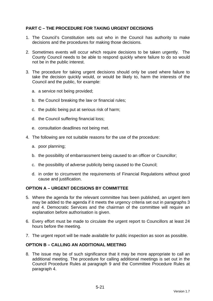# **PART C – THE PROCEDURE FOR TAKING URGENT DECISIONS**

- 1. The Council's Constitution sets out who in the Council has authority to make decisions and the procedures for making those decisions.
- 2. Sometimes events will occur which require decisions to be taken urgently. The County Council needs to be able to respond quickly where failure to do so would not be in the public interest.
- 3. The procedure for taking urgent decisions should only be used where failure to take the decision quickly would, or would be likely to, harm the interests of the Council and the public, for example:
	- a. a service not being provided;
	- b. the Council breaking the law or financial rules;
	- c. the public being put at serious risk of harm;
	- d. the Council suffering financial loss;
	- e. consultation deadlines not being met.
- 4. The following are not suitable reasons for the use of the procedure:
	- a. poor planning;
	- b. the possibility of embarrassment being caused to an officer or Councillor;
	- c. the possibility of adverse publicity being caused to the Council;
	- d. in order to circumvent the requirements of Financial Regulations without good cause and justification.

## **OPTION A – URGENT DECISIONS BY COMMITTEE**

- 5. Where the agenda for the relevant committee has been published, an urgent item may be added to the agenda if it meets the urgency criteria set out in paragraphs 3 and 4. Democratic Services and the chairman of the committee will require an explanation before authorisation is given.
- 6. Every effort must be made to circulate the urgent report to Councillors at least 24 hours before the meeting.
- 7. The urgent report will be made available for public inspection as soon as possible.

## **OPTION B – CALLING AN ADDITIONAL MEETING**

8. The issue may be of such significance that it may be more appropriate to call an additional meeting. The procedure for calling additional meetings is set out in the Council Procedure Rules at paragraph 9 and the Committee Procedure Rules at paragraph 4.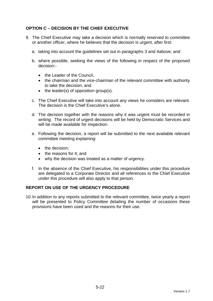# **OPTION C – DECISION BY THE CHIEF EXECUTIVE**

- 9. The Chief Executive may take a decision which is normally reserved to committee or another officer, where he believes that the decision is urgent, after first:
	- a. taking into account the guidelines set out in paragraphs 3 and 4above; and
	- b. where possible, seeking the views of the following in respect of the proposed decision:-
		- the Leader of the Council.
		- the chairman and the vice-chairman of the relevant committee with authority to take the decision, and
		- $\bullet$  the leader(s) of opposition group(s).
	- c. The Chief Executive will take into account any views he considers are relevant. The decision is the Chief Executive's alone.
	- d. The decision together with the reasons why it was urgent must be recorded in writing. The record of urgent decisions will be held by Democratic Services and will be made available for inspection.
	- e. Following the decision, a report will be submitted to the next available relevant committee meeting explaining:
		- the decision:
		- the reasons for it: and
		- why the decision was treated as a matter of urgency.
	- f. In the absence of the Chief Executive, his responsibilities under this procedure are delegated to a Corporate Director and all references to the Chief Executive under this procedure will also apply to that person.

## **REPORT ON USE OF THE URGENCY PROCEDURE**

10. In addition to any reports submitted to the relevant committee, twice yearly a report will be presented to Policy Committee detailing the number of occasions these provisions have been used and the reasons for their use.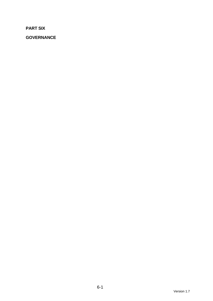**PART SIX** 

**GOVERNANCE**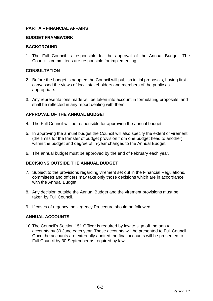## **PART A – FINANCIAL AFFAIRS**

#### **BUDGET FRAMEWORK**

#### **BACKGROUND**

1. The Full Council is responsible for the approval of the Annual Budget. The Council's committees are responsible for implementing it.

## **CONSULTATION**

- 2. Before the budget is adopted the Council will publish initial proposals, having first canvassed the views of local stakeholders and members of the public as appropriate.
- 3. Any representations made will be taken into account in formulating proposals, and shall be reflected in any report dealing with them.

## **APPROVAL OF THE ANNUAL BUDGET**

- 4. The Full Council will be responsible for approving the annual budget.
- 5. In approving the annual budget the Council will also specify the extent of virement (the limits for the transfer of budget provision from one budget head to another) within the budget and degree of in-year changes to the Annual Budget.
- 6. The annual budget must be approved by the end of February each year.

## **DECISIONS OUTSIDE THE ANNUAL BUDGET**

- 7. Subject to the provisions regarding virement set out in the Financial Regulations, committees and officers may take only those decisions which are in accordance with the Annual Budget.
- 8. Any decision outside the Annual Budget and the virement provisions must be taken by Full Council.
- 9. If cases of urgency the Urgency Procedure should be followed.

## **ANNUAL ACCOUNTS**

10. The Council's Section 151 Officer is required by law to sign off the annual accounts by 30 June each year. These accounts will be presented to Full Council. Once the accounts are externally audited the final accounts will be presented to Full Council by 30 September as required by law.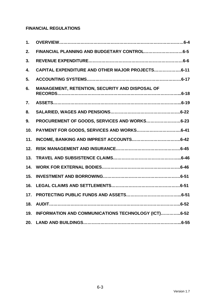# **FINANCIAL REGULATIONS**

| 1.  |                                                     |
|-----|-----------------------------------------------------|
| 2.  | FINANCIAL PLANNING AND BUDGETARY CONTROL6-5         |
| 3.  |                                                     |
| 4.  | CAPITAL EXPENDITURE AND OTHER MAJOR PROJECTS6-11    |
| 5.  |                                                     |
| 6.  | MANAGEMENT, RETENTION, SECURITY AND DISPOSAL OF     |
| 7.  |                                                     |
| 8.  |                                                     |
| 9.  | PROCUREMENT OF GOODS, SERVICES AND WORKS6-23        |
| 10. |                                                     |
| 11. |                                                     |
| 12. |                                                     |
| 13. |                                                     |
| 14. |                                                     |
| 15. |                                                     |
| 16. |                                                     |
| 17. |                                                     |
| 18. |                                                     |
| 19. | INFORMATION AND COMMUNICATIONS TECHNOLOGY (ICT)6-52 |
| 20. |                                                     |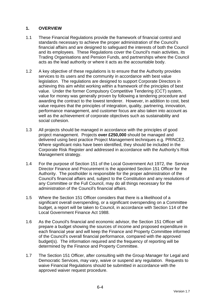## **1. OVERVIEW**

- 1.1 These Financial Regulations provide the framework of financial control and standards necessary to achieve the proper administration of the Council's financial affairs and are designed to safeguard the interests of both the Council and its employees. These Regulations cover the Council's main activities, its Trading Organisations and Pension Funds, and partnerships where the Council acts as the lead authority or where it acts as the accountable body.
- 1.2 A key objective of these regulations is to ensure that the Authority provides services to its users and the community in accordance with best value legislation. The regulations are designed to support Corporate Directors in achieving this aim whilst working within a framework of the principles of best value. Under the former Compulsory Competitive Tendering (CCT) system, value for money was generally proven by following a tendering procedure and awarding the contract to the lowest tenderer. However, in addition to cost, best value requires that the principles of integration, quality, partnering, innovation, performance management, and customer focus are also taken into account as well as the achievement of corporate objectives such as sustainability and social cohesion.
- 1.3 All projects should be managed in accordance with the principles of good project management. Projects **over £250,000** should be managed and delivered using best practice Project Management techniques e.g. PRINCE2. Where significant risks have been identified, they should be included in the Corporate Risk Register and addressed in accordance with the Authority's Risk Management strategy.
- 1.4 For the purpose of Section 151 of the Local Government Act 1972, the Service Director Finance and Procurement is the appointed Section 151 Officer for the Authority. The postholder is responsible for the proper administration of the Council's financial affairs and, subject to the Constitution and any resolutions of any Committee or the Full Council, may do all things necessary for the administration of the Council's financial affairs.
- 1.5 Where the Section 151 Officer considers that there is a likelihood of a significant overall overspending, or a significant overspending on a Committee budget, a report will be taken to Council, in accordance with Section 114 of the Local Government Finance Act 1988.
- 1.6 As the Council's financial and economic advisor, the Section 151 Officer will prepare a budget showing the sources of income and proposed expenditure in each financial year and will keep the Finance and Property Committee informed of the Council's overall financial performance, compared with the approved budget(s). The information required and the frequency of reporting will be determined by the Finance and Property Committee.
- 1.7 The Section 151 Officer, after consulting with the Group Manager for Legal and Democratic Services, may vary, waive or suspend any regulation. Requests to waive Financial Regulations should be submitted in accordance with the approved waiver request procedure.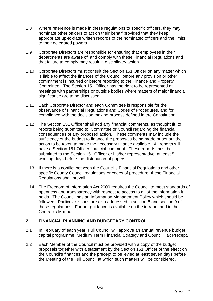- 1.8 Where reference is made in these regulations to specific officers, they may nominate other officers to act on their behalf provided that they keep appropriate up-to-date written records of the nominated officers and the limits to their delegated powers.
- 1.9 Corporate Directors are responsible for ensuring that employees in their departments are aware of, and comply with these Financial Regulations and that failure to comply may result in disciplinary action.
- 1.10 Corporate Directors must consult the Section 151 Officer on any matter which is liable to affect the finances of the Council before any provision or other commitment is incurred or before reporting to the Finance and Property Committee. The Section 151 Officer has the right to be represented at meetings with partnerships or outside bodies where matters of major financial significance are to be discussed.
- 1.11 Each Corporate Director and each Committee is responsible for the observance of Financial Regulations and Codes of Procedures, and for compliance with the decision making process defined in the Constitution.
- 1.12 The Section 151 Officer shall add any financial comments, as thought fit, to reports being submitted to Committee or Council regarding the financial consequences of any proposed action. These comments may include the sufficiency of the budget to finance the proposals being made or set out the action to be taken to make the necessary finance available. All reports will have a Section 151 Officer financial comment. These reports must be submitted to the Section 151 Officer or his/her representative, at least 5 working days before the distribution of papers.
- 1.13 If there is a conflict between the Council's Financial Regulations and other specific County Council regulations or codes of procedure, these Financial Regulations shall prevail.
- 1.14 The Freedom of Information Act 2000 requires the Council to meet standards of openness and transparency with respect to access to all of the information it holds. The Council has an Information Management Policy which should be followed. Particular issues are also addressed in section 6 and section 9 of these regulations. Further guidance is available on the intranet and in the Contracts Manual.

## **2. FINANCIAL PLANNING AND BUDGETARY CONTROL**

- 2.1 In February of each year, Full Council will approve an annual revenue budget, capital programme, Medium Term Financial Strategy and Council Tax Precept.
- 2.2 Each Member of the Council must be provided with a copy of the budget proposals together with a statement by the Section 151 Officer of the effect on the Council's finances and the precept to be levied at least seven days before the Meeting of the Full Council at which such matters will be considered.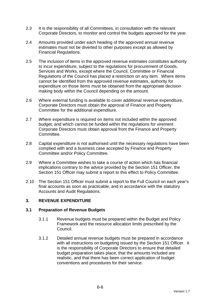- 2.3 It is the responsibility of all Committees, in consultation with the relevant Corporate Directors, to monitor and control the budgets approved for the year.
- 2.4 Amounts provided under each heading of the approved annual revenue estimates must not be diverted to other purposes except as allowed by Financial Regulations.
- 2.5 The inclusion of items in the approved revenue estimates constitutes authority to incur expenditure, subject to the regulations for procurement of Goods, Services and Works, except where the Council, Committee or Financial Regulations of the Council has placed a restriction on any item. Where items cannot be identified from the approved revenue estimates, authority for expenditure on those items must be obtained from the appropriate decision making body within the Council depending on the amount.
- 2.6 Where external funding is available to cover additional revenue expenditure, Corporate Directors must obtain the approval of Finance and Property Committee for the additional expenditure.
- 2.7 Where expenditure is required on items not included within the approved budget, and which cannot be funded within the regulations for virement Corporate Directors must obtain approval from the Finance and Property Committee.
- 2.8 Capital expenditure is not authorised until the necessary regulations have been complied with and a business case accepted by Finance and Property Committee and/or Policy Committee.
- 2.9 Where a Committee wishes to take a course of action which has financial implications contrary to the advice provided by the Section 151 Officer, the Section 151 Officer may submit a report to this effect to Policy Committee.
- 2.10 The Section 151 Officer must submit a report to the Full Council on each year's final accounts as soon as practicable, and in accordance with the statutory Accounts and Audit Regulations.

## **3. REVENUE EXPENDITURE**

## **3.1 Preparation of Revenue Budgets**

- 3.1.1 Revenue budgets must be prepared within the Budget and Policy Framework and the resource allocation limits prescribed by the Council.
- 3.1.2 Detailed annual revenue budgets must be prepared in accordance with all instructions on budgeting issued by the Section 151 Officer. It is the responsibility of Corporate Directors to ensure that detailed budget preparation takes place, that the amounts included are realistic, and that there has been correct application of budget conventions and procedures for their service.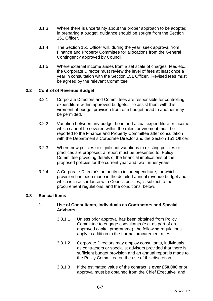- 3.1.3 Where there is uncertainty about the proper approach to be adopted in preparing a budget, guidance should be sought from the Section 151 Officer.
- 3.1.4 The Section 151 Officer will, during the year, seek approval from Finance and Property Committee for allocations from the General Contingency approved by Council.
- 3.1.5 Where external income arises from a set scale of charges, fees etc., the Corporate Director must review the level of fees at least once a year in consultation with the Section 151 Officer. Revised fees must be agreed by the relevant Committee.

## **3.2 Control of Revenue Budget**

- 3.2.1 Corporate Directors and Committees are responsible for controlling expenditure within approved budgets. To assist them with this, virement of budget provision from one budget head to another may be permitted.
- 3.2.2 Variation between any budget head and actual expenditure or income which cannot be covered within the rules for virement must be reported to the Finance and Property Committee after consultation with the Department's Corporate Director and the Section 151 Officer.
- 3.2.3 Where new policies or significant variations to existing policies or practices are proposed, a report must be presented to Policy Committee providing details of the financial implications of the proposed policies for the current year and two further years.
- 3.2.4 A Corporate Director's authority to incur expenditure, for which provision has been made in the detailed annual revenue budget and which is in accordance with Council policies, is subject to the procurement regulations and the conditions below.

## **3.3 Special Items**

## **1. Use of Consultants, Individuals as Contractors and Special Advisors**

- 3.3.1.1 Unless prior approval has been obtained from Policy Committee to engage consultants (e.g. as part of an approved capital programme), the following regulations apply in addition to the normal procurement rules:-
- 3.3.1.2 Corporate Directors may employ consultants, individuals as contractors or specialist advisors provided that there is sufficient budget provision and an annual report is made to the Policy Committee on the use of this discretion.
- 3.3.1.3 If the estimated value of the contract is **over £50,000** prior approval must be obtained from the Chief Executive and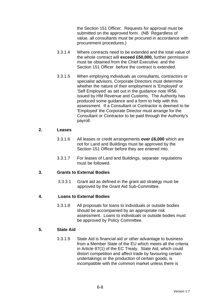the Section 151 Officer. Requests for approval must be submitted on the approved form. (NB Regardless of value, all consultants must be procured in accordance with procurement procedures.)

- 3.3.1.4 Where contracts need to be extended and the total value of the whole contract will **exceed £50,000,** further permission must be obtained from the Chief Executive and the Section 151 Officer before the contract is extended.
- 3.3.1.5 When employing individuals as consultants, contractors or specialist advisors, Corporate Directors must determine whether the nature of their employment is 'Employed' or 'Self Employed' as set out in the guidance note IR56 issued by HM Revenue and Customs. The Authority has produced some guidance and a form to help with this assessment. If a Consultant or Contractor is deemed to be 'Employed' the Corporate Director must arrange for the Consultant or Contractor to be paid through the Authority's payroll.

#### **2. Leases**

- 3.3.1.6 All leases or credit arrangements **over £6,000** which are not for Land and Buildings must be approved by the Section 151 Officer before they are entered into.
- 3.3.1.7 For leases of Land and Buildings, separate regulations must be followed.

## **3. Grants to External Bodies**

3.3.3.1 Grant aid as defined in the grant aid strategy must be approved by the Grant Aid Sub-Committee.

## **4. Loans to External Bodies**

3.3.1.8 All proposals for loans to individuals or outside bodies should be accompanied by an appropriate risk assessment. Loans to individuals or outside bodies must be approved by Policy Committee.

## **5. State Aid**

3.3.1.9 State Aid is financial aid or other advantage to business from a Member State of the EU which meets all the criteria in Article 87(1) of the EC Treaty. State Aid, which could distort competition and affect trade by favouring certain undertakings or the production of certain goods, is incompatible with the common market unless there is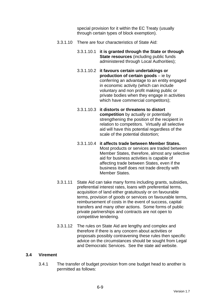special provision for it within the EC Treaty (usually through certain types of block exemption).

- 3.3.1.10 There are four characteristics of State Aid:
	- 3.3.1.10.1 **it is granted through the State or through State resources** (including public funds administered through Local Authorities);
	- 3.3.1.10.2 **it favours certain undertakings or production of certain goods** – ie by conferring an advantage to an entity engaged in economic activity (which can include voluntary and non profit making public or private bodies when they engage in activities which have commercial competitors);
	- 3.3.1.10.3 **it distorts or threatens to distort competition** by actually or potentially strengthening the position of the recipient in relation to competitors. Virtually all selective aid will have this potential regardless of the scale of the potential distortion;
	- 3.3.1.10.4 **it affects trade between Member States.** Most products or services are traded between Member States, therefore, almost any selective aid for business activities is capable of affecting trade between States, even if the business itself does not trade directly with Member States.
- 3.3.1.11 State Aid can take many forms including grants, subsidies, preferential interest rates, loans with preferential terms, acquisition of land either gratuitously or on favourable terms, provision of goods or services on favourable terms, reimbursement of costs in the event of success, capital transfers and many other actions. Some forms of public private partnerships and contracts are not open to competitive tendering.
- 3.3.1.12 The rules on State Aid are lengthy and complex and therefore if there is any concern about activities or proposals possibly contravening these rules then specific advice on the circumstances should be sought from Legal and Democratic Services. See the state aid website.

## **3.4 Virement**

3.4.1 The transfer of budget provision from one budget head to another is permitted as follows: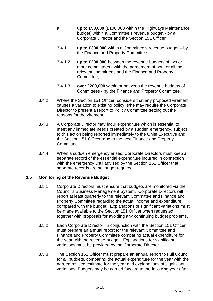- a. **up to £50,000** (£100,000 within the Highways Maintenance budget) within a Committee's revenue budget - by a Corporate Director and the Section 151 Officer;
- 3.4.1.1 **up to £200,000** within a Committee's revenue budget by the Finance and Property Committee;
- 3.4.1.2 **up to £200,000** between the revenue budgets of two or more committees - with the agreement of both or all the relevant committees and the Finance and Property Committee;
- 3.4.1.3 **over £200,000** within or between the revenue budgets of Committees - by the Finance and Property Committee.
- 3.4.2 Where the Section 151 Officer considers that any proposed virement causes a variation to existing policy, s/he may require the Corporate Director to present a report to Policy Committee setting out the reasons for the virement.
- 3.4.3 A Corporate Director may incur expenditure which is essential to meet any immediate needs created by a sudden emergency, subject to this action being reported immediately to the Chief Executive and the Section 151 Officer, and to the next Finance and Property Committee.
- 3.4.4 When a sudden emergency arises, Corporate Directors must keep a separate record of the essential expenditure incurred in connection with the emergency until advised by the Section 151 Officer that separate records are no longer required.

## **3.5 Monitoring of the Revenue Budget**

- 3.5.1 Corporate Directors must ensure that budgets are monitored via the Council's Business Management System. Corporate Directors will report at least quarterly to the relevant Committee and Finance and Property Committee regarding the actual income and expenditure compared with the budget. Explanations of significant variations must be made available to the Section 151 Officer when requested, together with proposals for avoiding any continuing budget problems.
- 3.5.2 Each Corporate Director, in conjunction with the Section 151 Officer, must prepare an annual report for the relevant Committee and Finance and Property Committee comparing actual expenditure for the year with the revenue budget. Explanations for significant variations must be provided by the Corporate Director.
- 3.5.3 The Section 151 Officer must prepare an annual report to Full Council for all budgets, comparing the actual expenditure for the year with the agreed revised estimate for the year and explanations of significant variations. Budgets may be carried forward to the following year after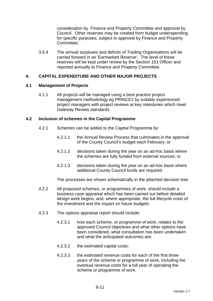consideration by Finance and Property Committee and approval by Council. Other reserves may be created from budget underspending for specific purposes, subject to approval by Finance and Property Committee.

3.5.4 The annual surpluses and deficits of Trading Organisations will be carried forward in an 'Earmarked Reserve'. The level of these reserves will be kept under review by the Section 151 Officer and reported annually to Finance and Property Committee.

## **4. CAPITAL EXPENDITURE AND OTHER MAJOR PROJECTS**

#### **4.1 Management of Projects**

4.1.1 All projects will be managed using a best practice project management methodology eg PRINCE2 by suitably experienced project managers with project reviews at key milestones which meet Gateway Review standards.

#### **4.2 Inclusion of schemes in the Capital Programme**

- 4.2.1 Schemes can be added to the Capital Programme by:
	- 4.2.1.1 the Annual Review Process that culminates in the approval of the County Council's budget each February; or
	- 4.2.1.2 decisions taken during the year on an ad-hoc basis where the schemes are fully funded from external sources; or
	- 4.2.1.3 decisions taken during the year on an ad-hoc basis where additional County Council funds are required.

The processes are shown schematically in the attached decision tree.

- 4.2.2 All proposed schemes, or programmes of work, should include a business case appraisal which has been carried out before detailed design work begins, and, where appropriate, the full lifecycle costs of the investment and the impact on future budgets.
- 4.2.3 The options appraisal report should include:
	- 4.2.3.1 how each scheme, or programme of work, relates to the approved Council objectives and what other options have been considered, what consultation has been undertaken and what the anticipated outcomes are;
	- 4.2.3.2 the estimated capital costs;
	- 4.2.3.3 the estimated revenue costs for each of the first three years of the scheme or programme of work, including the eventual revenue costs for a full year of operating the scheme or programme of work.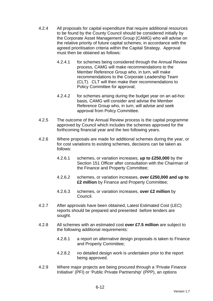- 4.2.4 All proposals for capital expenditure that require additional resources to be found by the County Council should be considered initially by the Corporate Asset Management Group (CAMG) who will advise on the relative priority of future capital schemes, in accordance with the agreed prioritisation criteria within the Capital Strategy. Approval must then be obtained as follows:
	- 4.2.4.1 for schemes being considered through the Annual Review process, CAMG will make recommendations to the Member Reference Group who, in turn, will make recommendations to the Corporate Leadership Team (CLT). CLT will then make their recommendations to Policy Committee for approval;
	- 4.2.4.2 for schemes arising during the budget year on an ad-hoc basis, CAMG will consider and advise the Member Reference Group who, in turn, will advise and seek approval from Policy Committee.
- 4.2.5 The outcome of the Annual Review process is the capital programme approved by Council which includes the schemes approved for the forthcoming financial year and the two following years.
- 4.2.6 Where proposals are made for additional schemes during the year, or for cost variations to existing schemes, decisions can be taken as follows:
	- 4.2.6.1 schemes, or variation increases, **up to £250,000** by the Section 151 Officer after consultation with the Chairman of the Finance and Property Committee;
	- 4.2.6.2 schemes, or variation increases, **over £250,000 and up to £2 million** by Finance and Property Committee;
	- 4.2.6.3 schemes, or variation increases, **over £2 million** by Council.
- 4.2.7 After approvals have been obtained, Latest Estimated Cost (LEC) reports should be prepared and presented before tenders are sought.
- 4.2.8 All schemes with an estimated cost **over £7.5 million** are subject to the following additional requirements:
	- 4.2.8.1 a report on alternative design proposals is taken to Finance and Property Committee;
	- 4.2.8.2 no detailed design work is undertaken prior to the report being approved.
- 4.2.9 Where major projects are being procured through a 'Private Finance Initiative' (PFI) or 'Public Private Partnership' (PPP), an options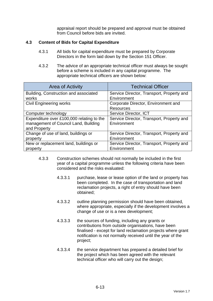appraisal report should be prepared and approval must be obtained from Council before bids are invited.

## **4.3 Content of Bids for Capital Expenditure**

- 4.3.1 All bids for capital expenditure must be prepared by Corporate Directors in the form laid down by the Section 151 Officer.
- 4.3.2 The advice of an appropriate technical officer must always be sought before a scheme is included in any capital programme. The appropriate technical officers are shown below:

| Area of Activity                          | <b>Technical Officer</b>                  |  |
|-------------------------------------------|-------------------------------------------|--|
| Building, Construction and associated     | Service Director, Transport, Property and |  |
| works                                     | Environment                               |  |
| <b>Civil Engineering works</b>            | Corporate Director, Environment and       |  |
|                                           | <b>Resources</b>                          |  |
| Computer technology                       | Service Director, ICT                     |  |
| Expenditure over £100,000 relating to the | Service Director, Transport, Property and |  |
| management of Council Land, Building      | Environment                               |  |
| and Property                              |                                           |  |
| Change of use of land, buildings or       | Service Director, Transport, Property and |  |
| property                                  | Environment                               |  |
| New or replacement land, buildings or     | Service Director, Transport, Property and |  |
| property                                  | Environment                               |  |

- 4.3.3 Construction schemes should not normally be included in the first year of a capital programme unless the following criteria have been considered and the risks evaluated:
	- 4.3.3.1 purchase, lease or lease option of the land or property has been completed. In the case of transportation and land reclamation projects, a right of entry should have been obtained;
	- 4.3.3.2 outline planning permission should have been obtained, where appropriate, especially if the development involves a change of use or is a new development;
	- 4.3.3.3 the sources of funding, including any grants or contributions from outside organisations, have been finalised - except for land reclamation projects where grant notification is not normally received until the year of the project;
	- 4.3.3.4 the service department has prepared a detailed brief for the project which has been agreed with the relevant technical officer who will carry out the design;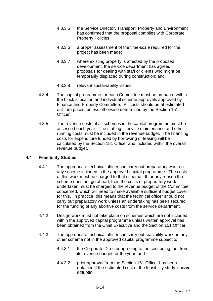- 4.3.3.5 the Service Director, Transport, Property and Environment has confirmed that the proposal complies with Corporate Property Policies;
- 4.3.3.6 a proper assessment of the time-scale required for the project has been made;
- 4.3.3.7 where existing property is affected by the proposed development, the service department has agreed proposals for dealing with staff or clients who might be temporarily displaced during construction; and
- 4.3.3.8 relevant sustainability issues.
- 4.3.4 The capital programme for each Committee must be prepared within the block allocation and individual scheme approvals approved by Finance and Property Committee. All costs should be at estimated out-turn prices, unless otherwise determined by the Section 151 Officer.
- 4.3.5 The revenue costs of all schemes in the capital programme must be assessed each year. The staffing, lifecycle maintenance and other running costs must be included in the revenue budget. The financing costs for expenditure funded by borrowing or leasing will be calculated by the Section 151 Officer and included within the overall revenue budget.

## **4.4 Feasibility Studies**

- 4.4.1 The appropriate technical officer can carry out preparatory work on any scheme included in the approved capital programme. The costs of this work must be charged to that scheme. If for any reason the scheme does not go ahead, then the costs of preparatory work undertaken must be charged to the revenue budget of the Committee concerned, which will need to make available sufficient budget cover for this. In practice, this means that the technical officer should not carry out preparatory work unless an undertaking has been secured for the funding of any abortive costs from the service department.
- 4.4.2 Design work must not take place on schemes which are not included within the approved capital programme unless written approval has been obtained from the Chief Executive and the Section 151 Officer.
- 4.4.3 The appropriate technical officer can carry out feasibility work on any other scheme not in the approved capital programme subject to:
	- 4.4.3.1 the Corporate Director agreeing to the cost being met from its revenue budget for the year; and
	- 4.4.3.2 prior approval from the Section 151 Officer has been obtained if the estimated cost of the feasibility study is **over £25,000.**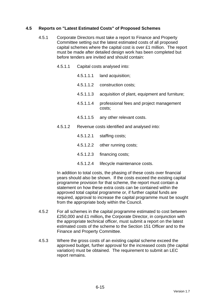## **4.5 Reports on "Latest Estimated Costs" of Proposed Schemes**

- 4.5.1 Corporate Directors must take a report to Finance and Property Committee setting out the latest estimated costs of all proposed capital schemes where the capital cost is over £1 million. The report must be made after detailed design work has been completed but before tenders are invited and should contain:
	- 4.5.1.1 Capital costs analysed into:
		- 4.5.1.1.1 land acquisition;
		- 4.5.1.1.2 construction costs;
		- 4.5.1.1.3 acquisition of plant, equipment and furniture;
		- 4.5.1.1.4 professional fees and project management costs;
		- 4.5.1.1.5 any other relevant costs.
	- 4.5.1.2 Revenue costs identified and analysed into:
		- 4.5.1.2.1 staffing costs;
		- 4.5.1.2.2 other running costs;
		- 4.5.1.2.3 financing costs;
		- 4.5.1.2.4 lifecycle maintenance costs.

In addition to total costs, the phasing of these costs over financial years should also be shown. If the costs exceed the existing capital programme provision for that scheme, the report must contain a statement on how these extra costs can be contained within the approved total capital programme or, if further capital funds are required, approval to increase the capital programme must be sought from the appropriate body within the Council.

- 4.5.2 For all schemes in the capital programme estimated to cost between £250,000 and £1 million**,** the Corporate Director, in conjunction with the appropriate technical officer, must submit a report on the latest estimated costs of the scheme to the Section 151 Officer and to the Finance and Property Committee.
- 4.5.3 Where the gross costs of an existing capital scheme exceed the approved budget, further approval for the increased costs (the capital variation) must be obtained. The requirement to submit an LEC report remains.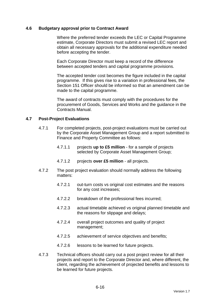#### **4.6 Budgetary approval prior to Contract Award**

 Where the preferred tender exceeds the LEC or Capital Programme estimate, Corporate Directors must submit a revised LEC report and obtain all necessary approvals for the additional expenditure needed before accepting the tender.

 Each Corporate Director must keep a record of the difference between accepted tenders and capital programme provisions.

 The accepted tender cost becomes the figure included in the capital programme. If this gives rise to a variation in professional fees, the Section 151 Officer should be informed so that an amendment can be made to the capital programme.

 The award of contracts must comply with the procedures for the procurement of Goods, Services and Works and the guidance in the Contracts Manual.

#### **4.7 Post-Project Evaluations**

- 4.7.1 For completed projects, post-project evaluations must be carried out by the Corporate Asset Management Group and a report submitted to Finance and Property Committee as follows:
	- 4.7.1.1 projects **up to £5 million** for a sample of projects selected by Corporate Asset Management Group;
	- 4.7.1.2 projects **over £5 million** all projects.
- 4.7.2 The post project evaluation should normally address the following matters:
	- 4.7.2.1 out-turn costs vs original cost estimates and the reasons for any cost increases;
	- 4.7.2.2 breakdown of the professional fees incurred;
	- 4.7.2.3 actual timetable achieved vs original planned timetable and the reasons for slippage and delays;
	- 4.7.2.4 overall project outcomes and quality of project management;
	- 4.7.2.5 achievement of service objectives and benefits;
	- 4.7.2.6 lessons to be learned for future projects.
- 4.7.3 Technical officers should carry out a post project review for all their projects and report to the Corporate Director and, where different, the client, regarding the achievement of projected benefits and lessons to be learned for future projects.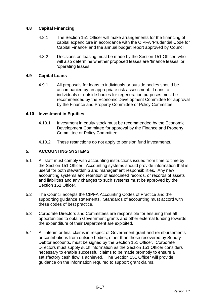## **4.8 Capital Financing**

- 4.8.1 The Section 151 Officer will make arrangements for the financing of capital expenditure in accordance with the CIPFA 'Prudential Code for Capital Finance' and the annual budget report approved by Council.
- 4.8.2 Decisions on leasing must be made by the Section 151 Officer, who will also determine whether proposed leases are 'finance leases' or 'operating leases'.

## **4.9 Capital Loans**

4.9.1 All proposals for loans to individuals or outside bodies should be accompanied by an appropriate risk assessment. Loans to individuals or outside bodies for regeneration purposes must be recommended by the Economic Development Committee for approval by the Finance and Property Committee or Policy Committee.

#### **4.10 Investment in Equities**

- 4.10.1 Investment in equity stock must be recommended by the Economic Development Committee for approval by the Finance and Property Committee or Policy Committee.
- 4.10.2 These restrictions do not apply to pension fund investments.

## **5. ACCOUNTING SYSTEMS**

- 5.1 All staff must comply with accounting instructions issued from time to time by the Section 151 Officer. Accounting systems should provide information that is useful for both stewardship and management responsibilities. Any new accounting systems and retention of associated records, or records of assets and liabilities and any changes to such systems must be approved by the Section 151 Officer.
- 5.2 The Council accepts the CIPFA Accounting Codes of Practice and the supporting guidance statements. Standards of accounting must accord with these codes of best practice.
- 5.3 Corporate Directors and Committees are responsible for ensuring that all opportunities to obtain Government grants and other external funding towards the expenditure of their Department are exploited.
- 5.4 All interim or final claims in respect of Government grant and reimbursements or contributions from outside bodies, other than those recovered by Sundry Debtor accounts, must be signed by the Section 151 Officer. Corporate Directors must supply such information as the Section 151 Officer considers necessary to enable successful claims to be made promptly to ensure a satisfactory cash flow is achieved. The Section 151 Officer will provide guidance on the information required to support grant claims.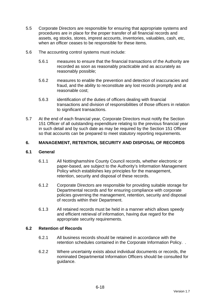- 5.5 Corporate Directors are responsible for ensuring that appropriate systems and procedures are in place for the proper transfer of all financial records and assets, eg stocks, stores, imprest accounts, inventories, valuables, cash, etc, when an officer ceases to be responsible for these items.
- 5.6 The accounting control systems must include:
	- 5.6.1 measures to ensure that the financial transactions of the Authority are recorded as soon as reasonably practicable and as accurately as reasonably possible;
	- 5.6.2 measures to enable the prevention and detection of inaccuracies and fraud, and the ability to reconstitute any lost records promptly and at reasonable cost;
	- 5.6.3 identification of the duties of officers dealing with financial transactions and division of responsibilities of those officers in relation to significant transactions.
- 5.7 At the end of each financial year, Corporate Directors must notify the Section 151 Officer of all outstanding expenditure relating to the previous financial year in such detail and by such date as may be required by the Section 151 Officer so that accounts can be prepared to meet statutory reporting requirements.

## **6. MANAGEMENT, RETENTION, SECURITY AND DISPOSAL OF RECORDS**

## **6.1 General**

- 6.1.1 All Nottinghamshire County Council records, whether electronic or paper-based, are subject to the Authority's Information Management Policy which establishes key principles for the management, retention, security and disposal of these records.
- 6.1.2 Corporate Directors are responsible for providing suitable storage for Departmental records and for ensuring compliance with corporate policies governing the management, retention, security and disposal of records within their Department.
- 6.1.3 All retained records must be held in a manner which allows speedy and efficient retrieval of information, having due regard for the appropriate security requirements.

## **6.2 Retention of Records**

- 6.2.1 All business records should be retained in accordance with the retention schedules contained in the Corporate Information Policy. .
- 6.2.2 Where uncertainty exists about individual documents or records, the nominated Departmental Information Officers should be consulted for guidance.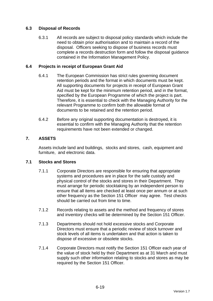## **6.3 Disposal of Records**

6.3.1 All records are subject to disposal policy standards which include the need to obtain prior authorisation and to maintain a record of the disposal. Officers seeking to dispose of business records must complete a records destruction form and follow the disposal guidance contained in the Information Management Policy.

## **6.4 Projects in receipt of European Grant Aid**

- 6.4.1 The European Commission has strict rules governing document retention periods and the format in which documents must be kept. All supporting documents for projects in receipt of European Grant Aid must be kept for the minimum retention period, and in the format, specified by the European Programme of which the project is part. Therefore, it is essential to check with the Managing Authority for the relevant Programme to confirm both the allowable format of documents to be retained and the retention period.
- 6.4.2 Before any original supporting documentation is destroyed, it is essential to confirm with the Managing Authority that the retention requirements have not been extended or changed.

## **7. ASSETS**

Assets include land and buildings, stocks and stores, cash, equipment and furniture, and electronic data.

## **7.1 Stocks and Stores**

- 7.1.1 Corporate Directors are responsible for ensuring that appropriate systems and procedures are in place for the safe custody and physical control of the stocks and stores in their Department. They must arrange for periodic stocktaking by an independent person to ensure that all items are checked at least once per annum or at such other frequency as the Section 151 Officer may agree. Test checks should be carried out from time to time.
- 7.1.2 Records relating to assets and the method and frequency of stores and inventory checks will be determined by the Section 151 Officer.
- 7.1.3 Departments should not hold excessive stocks and Corporate Directors must ensure that a periodic review of stock turnover and stock levels of all items is undertaken and that action is taken to dispose of excessive or obsolete stocks.
- 7.1.4 Corporate Directors must notify the Section 151 Officer each year of the value of stock held by their Department as at 31 March and must supply such other information relating to stocks and stores as may be required by the Section 151 Officer.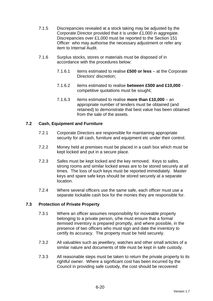- 7.1.5 Discrepancies revealed at a stock taking may be adjusted by the Corporate Director provided that it is under £1,000 in aggregate. Discrepancies over £1,000 must be reported to the Section 151 Officer who may authorise the necessary adjustment or refer any item to Internal Audit.
- 7.1.6 Surplus stocks, stores or materials must be disposed of in accordance with the procedures below:
	- 7.1.6.1 items estimated to realise **£500 or less** at the Corporate Directors' discretion;
	- 7.1.6.2 items estimated to realise **between £500 and £10,000** competitive quotations must be sought;
	- 7.1.6.3 items estimated to realise **more than £10,000** an appropriate number of tenders must be obtained (and retained) to demonstrate that best value has been obtained from the sale of the assets.

## **7.2 Cash, Equipment and Furniture**

- 7.2.1 Corporate Directors are responsible for maintaining appropriate security for all cash, furniture and equipment etc under their control.
- 7.2.2 Money held at premises must be placed in a cash box which must be kept locked and put in a secure place.
- 7.2.3 Safes must be kept locked and the key removed. Keys to safes, strong rooms and similar locked areas are to be stored securely at all times. The loss of such keys must be reported immediately. Master keys and spare safe keys should be stored securely at a separate location.
- 7.2.4 Where several officers use the same safe, each officer must use a separate lockable cash box for the monies they are responsible for.

## **7.3 Protection of Private Property**

- 7.3.1 Where an officer assumes responsibility for moveable property belonging to a private person, s/he must ensure that a formal itemised inventory is prepared promptly, and where possible, in the presence of two officers who must sign and date the inventory to certify its accuracy. The property must be held securely.
- 7.3.2 All valuables such as jewellery, watches and other small articles of a similar nature and documents of title must be kept in safe custody.
- 7.3.3 All reasonable steps must be taken to return the private property to its rightful owner. Where a significant cost has been incurred by the Council in providing safe custody, the cost should be recovered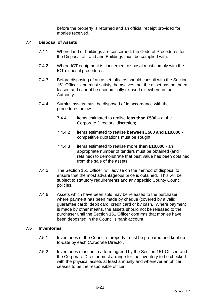before the property is returned and an official receipt provided for monies received.

#### **7.4 Disposal of Assets**

- 7.4.1 Where land or buildings are concerned, the Code of Procedures for the Disposal of Land and Buildings must be complied with.
- 7.4.2 Where ICT equipment is concerned, disposal must comply with the ICT disposal procedures.
- 7.4.3 Before disposing of an asset, officers should consult with the Section 151 Officer and must satisfy themselves that the asset has not been leased and cannot be economically re-used elsewhere in the Authority.
- 7.4.4 Surplus assets must be disposed of in accordance with the procedures below:
	- 7.4.4.1 items estimated to realise **less than £500** at the Corporate Directors' discretion;
	- 7.4.4.2 items estimated to realise **between £500 and £10,000** competitive quotations must be sought;
	- 7.4.4.3 items estimated to realise **more than £10,000** an appropriate number of tenders must be obtained (and retained) to demonstrate that best value has been obtained from the sale of the assets.
- 7.4.5 The Section 151 Officer will advise on the method of disposal to ensure that the most advantageous price is obtained. This will be subject to statutory requirements and any specific County Council policies.
- 7.4.6 Assets which have been sold may be released to the purchaser where payment has been made by cheque (covered by a valid guarantee card), debit card, credit card or by cash. Where payment is made by other means, the assets should not be released to the purchaser until the Section 151 Officer confirms that monies have been deposited in the Council's bank account.

#### **7.5 Inventories**

- 7.5.1 Inventories of the Council's property must be prepared and kept upto-date by each Corporate Director.
- 7.5.2 Inventories must be in a form agreed by the Section 151 Officer and the Corporate Director must arrange for the inventory to be checked with the physical assets at least annually and whenever an officer ceases to be the responsible officer.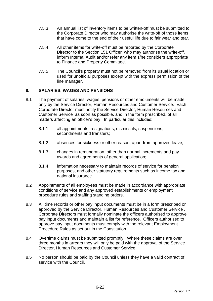- 7.5.3 An annual list of inventory items to be written-off must be submitted to the Corporate Director who may authorise the write-off of those items that have come to the end of their useful life due to fair wear and tear.
- 7.5.4 All other items for write-off must be reported by the Corporate Director to the Section 151 Officer who may authorise the write-off, inform Internal Audit and/or refer any item s/he considers appropriate to Finance and Property Committee.
- 7.5.5 The Council's property must not be removed from its usual location or used for unofficial purposes except with the express permission of the line manager.

## **8. SALARIES, WAGES AND PENSIONS**

- 8.1 The payment of salaries, wages, pensions or other emoluments will be made only by the Service Director, Human Resources and Customer Service. Each Corporate Director must notify the Service Director, Human Resources and Customer Service as soon as possible, and in the form prescribed, of all matters affecting an officer's pay. In particular this includes:
	- 8.1.1 all appointments, resignations, dismissals, suspensions, secondments and transfers;
	- 8.1.2 absences for sickness or other reason, apart from approved leave;
	- 8.1.3 changes in remuneration, other than normal increments and pay awards and agreements of general application;
	- 8.1.4 information necessary to maintain records of service for pension purposes, and other statutory requirements such as income tax and national insurance.
- 8.2 Appointments of all employees must be made in accordance with appropriate conditions of service and any approved establishments or employment procedure rules and staffing standing orders.
- 8.3 All time records or other pay input documents must be in a form prescribed or approved by the Service Director, Human Resources and Customer Service . Corporate Directors must formally nominate the officers authorised to approve pay input documents and maintain a list for reference. Officers authorised to approve pay input documents must comply with the relevant Employment Procedure Rules as set out in the Constitution.
- 8.4 Overtime claims must be submitted promptly. Where these claims are over three months in arrears they will only be paid with the approval of the Service Director, Human Resources and Customer Service.
- 8.5 No person should be paid by the Council unless they have a valid contract of service with the Council.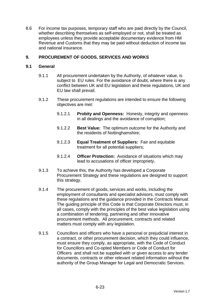8.6 For income tax purposes, temporary staff who are paid directly by the Council, whether describing themselves as self-employed or not, shall be treated as employees unless they provide acceptable documentary evidence from HM Revenue and Customs that they may be paid without deduction of income tax and national insurance.

## **9. PROCUREMENT OF GOODS, SERVICES AND WORKS**

## **9.1 General**

- 9.1.1 All procurement undertaken by the Authority, of whatever value, is subject to EU rules. For the avoidance of doubt, where there is any conflict between UK and EU legislation and these regulations, UK and EU law shall prevail.
- 9.1.2 These procurement regulations are intended to ensure the following objectives are met:
	- 9.1.2.1 **Probity and Openness:** Honesty, integrity and openness in all dealings and the avoidance of corruption;
	- 9.1.2.2 **Best Value:** The optimum outcome for the Authority and the residents of Nottinghamshire;
	- 9.1.2.3 **Equal Treatment of Suppliers:** Fair and equitable treatment for all potential suppliers;
	- 9.1.2.4 **Officer Protection:** Avoidance of situations which may lead to accusations of officer impropriety.
- 9.1.3 To achieve this, the Authority has developed a Corporate Procurement Strategy and these regulations are designed to support this strategy.
- 9.1.4 The procurement of goods, services and works, including the employment of consultants and specialist advisors, must comply with these regulations and the guidance provided in the Contracts Manual. The guiding principle of this Code is that Corporate Directors must, in all cases, comply with the principles of the best value legislation using a combination of tendering, partnering and other innovative procurement methods. All procurement, contracts and related matters must comply with any legislation.
- 9.1.5 Councillors and officers who have a personal or prejudicial interest in a contract, or other procurement decision, which they could influence, must ensure they comply, as appropriate, with the Code of Conduct for Councillors and Co-opted Members or Code of Conduct for Officers and shall not be supplied with or given access to any tender documents, contracts or other relevant related information without the authority of the Group Manager for Legal and Democratic Services.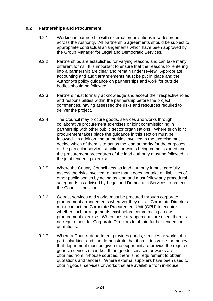## **9.2 Partnerships and Procurement**

- 9.2.1 Working in partnership with external organisations is widespread across the Authority. All partnership agreements should be subject to appropriate contractual arrangements which have been approved by the Group Manager for Legal and Democratic Services.
- 9.2.2 Partnerships are established for varying reasons and can take many different forms. It is important to ensure that the reasons for entering into a partnership are clear and remain under review. Appropriate accounting and audit arrangements must be put in place and the Authority's policy guidance on partnerships and work for outside bodies should be followed.
- 9.2.3 Partners must formally acknowledge and accept their respective roles and responsibilities within the partnership before the project commences, having assessed the risks and resources required to deliver the project.
- 9.2.4 The Council may procure goods, services and works through collaborative procurement exercises or joint commissioning in partnership with other public sector organisations. Where such joint procurement takes place the guidance in this section must be followed. In addition, the authorities involved in the exercise must decide which of them is to act as the lead authority for the purposes of the particular service, supplies or works being commissioned and the procurement procedures of the lead authority must be followed in the joint tendering exercise.
- 9.2.5 Where the County Council acts as lead authority it must carefully assess the risks involved, ensure that it does not take on liabilities of other public bodies by acting as lead and must follow any procedural safeguards as advised by Legal and Democratic Services to protect the Council's position.
- 9.2.6 Goods, services and works must be procured through corporate procurement arrangements wherever they exist. Corporate Directors must contact the Corporate Procurement Unit (CPU) to enquire whether such arrangements exist before commencing a new procurement exercise. When these arrangements are used, there is no requirement for Corporate Directors to obtain further tenders or quotations.
- 9.2.7 Where a Council department provides goods, services or works of a particular kind, and can demonstrate that it provides value for money, that department must be given the opportunity to provide the required goods, services or works. If the goods, services or works are obtained from in-house sources, there is no requirement to obtain quotations and tenders. Where external suppliers have been used to obtain goods, services or works that are available from in-house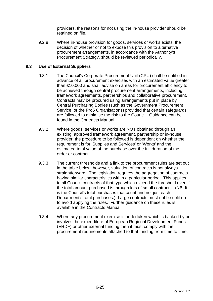providers, the reasons for not using the in-house provider should be retained on file.

9.2.8 Where in-house provision for goods, services or works exists, the decision of whether or not to expose this provision to alternative procurement arrangements, in accordance with the Authority's Procurement Strategy, should be reviewed periodically.

## **9.3 Use of External Suppliers**

- 9.3.1 The Council's Corporate Procurement Unit (CPU) shall be notified in advance of all procurement exercises with an estimated value greater than £10,000 and shall advise on areas for procurement efficiency to be achieved through central procurement arrangements, including framework agreements, partnerships and collaborative procurement. Contracts may be procured using arrangements put in place by Central Purchasing Bodies (such as the Government Procurement Service or the Pro5 Organisations) provided that certain safeguards are followed to minimise the risk to the Council. Guidance can be found in the Contracts Manual.
- 9.3.2 Where goods, services or works are NOT obtained through an existing, approved framework agreement, partnership or in-house provider, the procedure to be followed is dependent on whether the requirement is for 'Supplies and Services' or 'Works' and the estimated total value of the purchase over the full duration of the order or contract.
- 9.3.3 The current thresholds and a link to the procurement rules are set out in the table below, however, valuation of contracts is not always straightforward. The legislation requires the aggregation of contracts having similar characteristics within a particular period. This applies to all Council contracts of that type which exceed the threshold even if the total amount purchased is through lots of small contracts. (NB It is the Council's total purchases that count and not just each Department's total purchases.) Large contracts must not be split up to avoid applying the rules. Further guidance on these rules is available in the Contracts Manual.
- 9.3.4 Where any procurement exercise is undertaken which is backed by or involves the expenditure of European Regional Development Funds (ERDF) or other external funding then it must comply with the procurement requirements attached to that funding from time to time.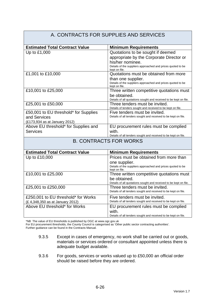#### A. CONTRACTS FOR SUPPLIES AND SERVICES **Estimated Total Contract Value | Minimum Requirements** Up to £1,000  $\vert$  Quotations to be sought if deemed appropriate by the Corporate Director or his/her nominee. Details of the suppliers approached and prices quoted to be kept on file. £1,001 to £10,000 Quotations must be obtained from more than one supplier. Details of the suppliers approached and prices quoted to be kept on file. £10,001 to £25,000 Three written competitive quotations must be obtained. Details of all quotations sought and received to be kept on file. £25,001 to £50,000 Three tenders must be invited. Details of tenders sought and received to be kept on file. £50,001 to EU threshold\* for Supplies and Services (£173,934 as at January 2012) Five tenders must be invited. Details of all tenders sought and received to be kept on file. Above EU threshold\* for Supplies and **Services** EU procurement rules must be complied with. Details of all tenders sought and received to be kept on file. B. CONTRACTS FOR WORKS **Estimated Total Contract Value Minimum Requirements** Up to £10,000 Prices must be obtained from more than one supplier. Details of the suppliers approached and prices quoted to be kept on file. £10,001 to £25,000 Three written competitive quotations must be obtained. Details of all quotations sought and received to be kept on file. £25,001 to £250,000 Three tenders must be invited. Details of all tenders sought and received to be kept on file. £250,001 to EU threshold\* for Works (£ 4,348,350 as at January 2012) Five tenders must be invited. Details of all tenders sought and received to be kept on file. Above EU threshold\* for Works **EU** procurement rules must be complied with. Details of all tenders sought and received to be kept on file.

\*NB The value of EU thresholds is published by OGC at www.ogc.gov.uk

For EU procurement thresholds, the County Council is categorised as 'Other public sector contracting authorities'.

Further guidance can be found in the Contracts Manual.

- 9.3.5 Except in cases of emergency, no work shall be carried out or goods, materials or services ordered or consultant appointed unless there is adequate budget available.
- 9.3.6 For goods, services or works valued up to £50,000 an official order should be raised before they are ordered.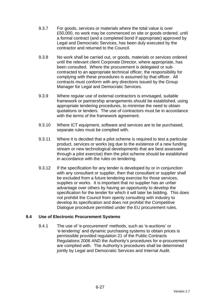- 9.3.7 For goods, services or materials where the total value is over £50,000, no work may be commenced on site or goods ordered, until a formal contract (and a completed bond if appropriate) approved by Legal and Democratic Services, has been duly executed by the contractor and returned to the Council.
- 9.3.8 No work shall be carried out, or goods, materials or services ordered until the relevant client Corporate Director, where appropriate, has been consulted. Where the procurement is delegated or subcontracted to an appropriate technical officer, the responsibility for complying with these procedures is assumed by that officer. All contracts must conform with any directions issued by the Group Manager for Legal and Democratic Services.
- 9.3.9 Where regular use of external contractors is envisaged, suitable framework or partnership arrangements should be established, using appropriate tendering procedures, to minimise the need to obtain quotations or tenders. The use of contractors must be in accordance with the terms of the framework agreement.
- 9.3.10 Where ICT equipment, software and services are to be purchased, separate rules must be complied with.
- 9.3.11 Where it is decided that a pilot scheme is required to test a particular product, services or works (eg due to the existence of a new funding stream or new technological developments that are best assessed through a pilot exercise) then the pilot scheme should be established in accordance with the rules on tendering.
- 9.3.12 If the specification for any tender is developed by or in conjunction with any consultant or supplier, then that consultant or supplier shall be excluded from a future tendering exercise for those services, supplies or works. It is important that no supplier has an unfair advantage over others by having an opportunity to develop the specification for the tender for which it will later be bidding. This does not prohibit the Council from openly consulting with industry to develop its specification and does not prohibit the Competitive Dialogue procedure permitted under the EU procurement rules.

## **9.4 Use of Electronic Procurement Systems**

9.4.1 The use of 'e-procurement' methods, such as 'e-auctions' or 'e-tendering' and dynamic purchasing systems to obtain prices is permissible provided regulation 21 of the Public Contracts Regulations 2006 AND the Authority's procedures for e-procurement are complied with. The Authority's procedures shall be determined jointly by Legal and Democratic Services and Internal Audit.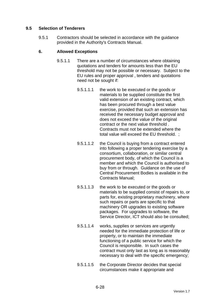## **9.5 Selection of Tenderers**

9.5.1 Contractors should be selected in accordance with the guidance provided in the Authority's Contracts Manual.

## **6. Allowed Exceptions**

- 9.5.1.1 There are a number of circumstances where obtaining quotations and tenders for amounts less than the EU threshold may not be possible or necessary. Subject to the EU rules and proper approval , tenders and quotations need not be sought if:
	- 9.5.1.1.1 the work to be executed or the goods or materials to be supplied constitute the first valid extension of an existing contract, which has been procured through a best value exercise, provided that such an extension has received the necessary budget approval and does not exceed the value of the original contract or the next value threshold . Contracts must not be extended where the total value will exceed the EU threshold. ;
	- 9.5.1.1.2 the Council is buying from a contract entered into following a proper tendering exercise by a consortium, collaboration, or similar central procurement body, of which the Council is a member and which the Council is authorised to buy from or through. Guidance on the use of Central Procurement Bodies is available in the Contracts Manual;
	- 9.5.1.1.3 the work to be executed or the goods or materials to be supplied consist of repairs to, or parts for, existing proprietary machinery, where such repairs or parts are specific to that machinery OR upgrades to existing software packages. For upgrades to software, the Service Director, ICT should also be consulted;
	- 9.5.1.1.4 works, supplies or services are urgently needed for the immediate protection of life or property, or to maintain the immediate functioning of a public service for which the Council is responsible. In such cases the contract must only last as long as is reasonably necessary to deal with the specific emergency;
	- 9.5.1.1.5 the Corporate Director decides that special circumstances make it appropriate and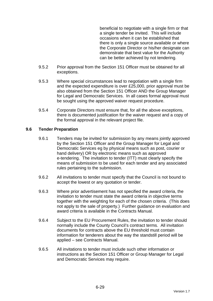beneficial to negotiate with a single firm or that a single tender be invited. This will include occasions when it can be established that there is only a single source available or where the Corporate Director or his/her designate can demonstrate that best value for the Authority can be better achieved by not tendering.

- 9.5.2 Prior approval from the Section 151 Officer must be obtained for all exceptions.
- 9.5.3 Where special circumstances lead to negotiation with a single firm and the expected expenditure is over £25,000, prior approval must be also obtained from the Section 151 Officer AND the Group Manager for Legal and Democratic Services. In all cases formal approval must be sought using the approved waiver request procedure.
- 9.5.4 Corporate Directors must ensure that, for all the above exceptions, there is documented justification for the waiver request and a copy of the formal approval in the relevant project file.

## **9.6 Tender Preparation**

- 9.6.1 Tenders may be invited for submission by any means jointly approved by the Section 151 Officer and the Group Manager for Legal and Democratic Services eg by physical means such as post, courier or hand delivery) OR by electronic means such as approved e-tendering. The invitation to tender (ITT) must clearly specify the means of submission to be used for each tender and any associated rules pertaining to the submission.
- 9.6.2 All invitations to tender must specify that the Council is not bound to accept the lowest or any quotation or tender.
- 9.6.3 Where prior advertisement has not specified the award criteria, the invitation to tender must state the award criteria in objective terms together with the weighting for each of the chosen criteria. (This does not apply to the sale of property.) Further guidance on evaluation and award criteria is available in the Contracts Manual.
- 9.6.4 Subject to the EU Procurement Rules, the invitation to tender should normally include the County Council's contract terms. All invitation documents for contracts above the EU threshold must contain information for tenderers about the way the standstill period will be applied – see Contracts Manual.
- 9.6.5 All invitations to tender must include such other information or instructions as the Section 151 Officer or Group Manager for Legal and Democratic Services may require.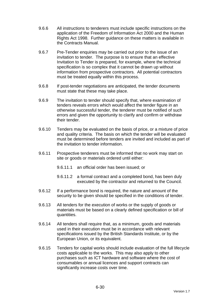- 9.6.6 All instructions to tenderers must include specific instructions on the application of the Freedom of Information Act 2000 and the Human Rights Act 1998. Further guidance on these matters is available in the Contracts Manual.
- 9.6.7 Pre-Tender enquiries may be carried out prior to the issue of an invitation to tender. The purpose is to ensure that an effective Invitation to Tender is prepared, for example, where the technical specification is so complex that it cannot be drawn up without information from prospective contractors. All potential contractors must be treated equally within this process.
- 9.6.8 If post-tender negotiations are anticipated, the tender documents must state that these may take place.
- 9.6.9 The invitation to tender should specify that, where examination of tenders reveals errors which would affect the tender figure in an otherwise successful tender, the tenderer must be notified of such errors and given the opportunity to clarify and confirm or withdraw their tender.
- 9.6.10 Tenders may be evaluated on the basis of price, or a mixture of price and quality criteria. The basis on which the tender will be evaluated must be determined before tenders are invited and included as part of the invitation to tender information.
- 9.6.11 Prospective tenderers must be informed that no work may start on site or goods or materials ordered until either:
	- 9.6.11.1 an official order has been issued; or
	- 9.6.11.2 a formal contract and a completed bond, has been duly executed by the contractor and returned to the Council.
- 9.6.12 If a performance bond is required, the nature and amount of the security to be given should be specified in the conditions of tender.
- 9.6.13 All tenders for the execution of works or the supply of goods or materials must be based on a clearly defined specification or bill of quantities.
- 9.6.14 All tenders shall require that, as a minimum, goods and materials used in their execution must be in accordance with relevant specifications issued by the British Standards Institute, or by the European Union, or its equivalent.
- 9.6.15 Tenders for capital works should include evaluation of the full lifecycle costs applicable to the works. This may also apply to other purchases such as ICT hardware and software where the cost of consumables or annual licences and support contracts can significantly increase costs over time.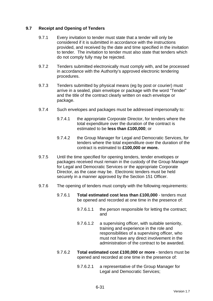## **9.7 Receipt and Opening of Tenders**

- 9.7.1 Every invitation to tender must state that a tender will only be considered if it is submitted in accordance with the instructions provided, and received by the date and time specified in the invitation to tender. The invitation to tender must also state that tenders which do not comply fully may be rejected.
- 9.7.2 Tenders submitted electronically must comply with, and be processed in accordance with the Authority's approved electronic tendering procedures.
- 9.7.3 Tenders submitted by physical means (eg by post or courier) must arrive in a sealed, plain envelope or package with the word "Tender" and the title of the contract clearly written on each envelope or package.
- 9.7.4 Such envelopes and packages must be addressed impersonally to:
	- 9.7.4.1 the appropriate Corporate Director, for tenders where the total expenditure over the duration of the contract is estimated to be **less than £100,000**; or
	- 9.7.4.2 the Group Manager for Legal and Democratic Services, for tenders where the total expenditure over the duration of the contract is estimated to **£100,000 or more.**
- 9.7.5 Until the time specified for opening tenders, tender envelopes or packages received must remain in the custody of the Group Manager for Legal and Democratic Services or the appropriate Corporate Director, as the case may be. Electronic tenders must be held securely in a manner approved by the Section 151 Officer.
- 9.7.6 The opening of tenders must comply with the following requirements:
	- 9.7.6.1 **Total estimated cost less than £100,000** tenders must be opened and recorded at one time in the presence of:
		- 9.7.6.1.1 the person responsible for letting the contract; and
		- 9.7.6.1.2 a supervising officer, with suitable seniority, training and experience in the role and responsibilities of a supervising officer, who must not have any direct involvement in the administration of the contract to be awarded.
	- 9.7.6.2 **Total estimated cost £100,000 or more** tenders must be opened and recorded at one time in the presence of:
		- 9.7.6.2.1 a representative of the Group Manager for Legal and Democratic Services;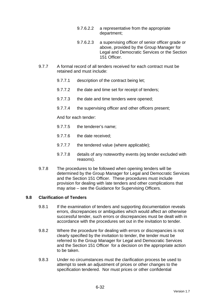- 9.7.6.2.2 a representative from the appropriate department;
- 9.7.6.2.3 a supervising officer of senior officer grade or above, provided by the Group Manager for Legal and Democratic Services or the Section 151 Officer.
- 9.7.7 A formal record of all tenders received for each contract must be retained and must include:
	- 9.7.7.1 description of the contract being let;
	- 9.7.7.2 the date and time set for receipt of tenders;
	- 9.7.7.3 the date and time tenders were opened;
	- 9.7.7.4 the supervising officer and other officers present;

And for each tender:

- 9.7.7.5 the tenderer's name;
- 9.7.7.6 the date received;
- 9.7.7.7 the tendered value (where applicable);
- 9.7.7.8 details of any noteworthy events (eg tender excluded with reasons).
- 9.7.8 The procedures to be followed when opening tenders will be determined by the Group Manager for Legal and Democratic Services and the Section 151 Officer. These procedures must include provision for dealing with late tenders and other complications that may arise – see the Guidance for Supervising Officers.

## **9.8 Clarification of Tenders**

- 9.8.1 If the examination of tenders and supporting documentation reveals errors, discrepancies or ambiguities which would affect an otherwise successful tender, such errors or discrepancies must be dealt with in accordance with the procedures set out in the invitation to tender.
- 9.8.2 Where the procedure for dealing with errors or discrepancies is not clearly specified by the invitation to tender, the tender must be referred to the Group Manager for Legal and Democratic Services and the Section 151 Officer for a decision on the appropriate action to be taken.
- 9.8.3 Under no circumstances must the clarification process be used to attempt to seek an adjustment of prices or other changes to the specification tendered. Nor must prices or other confidential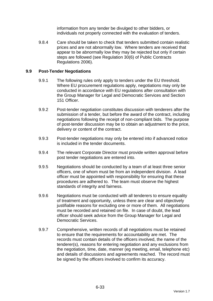information from any tender be divulged to other bidders, or individuals not properly connected with the evaluation of tenders.

9.8.4 Care should be taken to check that tenders submitted contain realistic prices and are not abnormally low. Where tenders are received that appear to be abnormally low they may be rejected but only if certain steps are followed (see Regulation 30(6) of Public Contracts Regulations 2006).

## **9.9 Post-Tender Negotiations**

- 9.9.1 The following rules only apply to tenders under the EU threshold. Where EU procurement regulations apply, negotiations may only be conducted in accordance with EU regulations after consultation with the Group Manager for Legal and Democratic Services and Section 151 Officer.
- 9.9.2 Post-tender negotiation constitutes discussion with tenderers after the submission of a tender, but before the award of the contract, including negotiations following the receipt of non-compliant bids. The purpose of post-tender discussion may be to obtain an adjustment to the price, delivery or content of the contract.
- 9.9.3 Post-tender negotiations may only be entered into if advanced notice is included in the tender documents.
- 9.9.4 The relevant Corporate Director must provide written approval before post tender negotiations are entered into.
- 9.9.5 Negotiations should be conducted by a team of at least three senior officers, one of whom must be from an independent division. A lead officer must be appointed with responsibility for ensuring that these procedures are adhered to. The team must observe the highest standards of integrity and fairness.
- 9.9.6 Negotiations must be conducted with all tenderers to ensure equality of treatment and opportunity, unless there are clear and objectively justifiable reasons for excluding one or more of them. All negotiations must be recorded and retained on file. In case of doubt, the lead officer should seek advice from the Group Manager for Legal and Democratic Services.
- 9.9.7 Comprehensive, written records of all negotiations must be retained to ensure that the requirements for accountability are met. The records must contain details of the officers involved, the name of the tenderer(s), reasons for entering negotiation and any exclusions from the negotiation, time, date, manner (eg meeting, email, telephone etc) and details of discussions and agreements reached. The record must be signed by the officers involved to confirm its accuracy.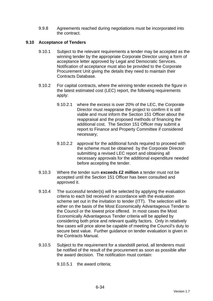9.9.8 Agreements reached during negotiations must be incorporated into the contract.

## **9.10 Acceptance of Tenders**

- 9.10.1 Subject to the relevant requirements a tender may be accepted as the winning tender by the appropriate Corporate Director using a form of acceptance letter approved by Legal and Democratic Services. Notification of acceptance must also be provided to the Corporate Procurement Unit giving the details they need to maintain their Contracts Database.
- 9.10.2 For capital contracts, where the winning tender exceeds the figure in the latest estimated cost (LEC) report, the following requirements apply:
	- 9.10.2.1 where the excess is over 20% of the LEC, the Corporate Director must reappraise the project to confirm it is still viable and must inform the Section 151 Officer about the reappraisal and the proposed methods of financing the additional cost. The Section 151 Officer may submit a report to Finance and Property Committee if considered necessary;
	- 9.10.2.2 approval for the additional funds required to proceed with the scheme must be obtained by the Corporate Director submitting a revised LEC report and obtaining all necessary approvals for the additional expenditure needed before accepting the tender.
- 9.10.3 Where the tender sum **exceeds £2 million** a tender must not be accepted until the Section 151 Officer has been consulted and approved it.
- 9.10.4 The successful tender(s) will be selected by applying the evaluation criteria to each bid received in accordance with the evaluation scheme set out in the invitation to tender (ITT). The selection will be either on the basis of the Most Economically Advantageous Tender to the Council or the lowest price offered. In most cases the Most Economically Advantageous Tender criteria will be applied by considering both price and relevant quality factors. Only in relatively few cases will price alone be capable of meeting the Council's duty to secure best value. Further guidance on tender evaluation is given in the Contracts Manual.
- 9.10.5 Subject to the requirement for a standstill period, all tenderers must be notified of the result of the procurement as soon as possible after the award decision. The notification must contain:

9.10.5.1 the award criteria;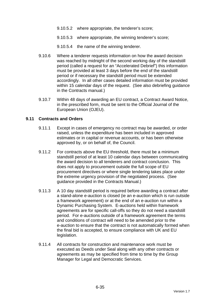- 9.10.5.2 where appropriate, the tenderer's score;
- 9.10.5.3 where appropriate, the winning tenderer's score;
- 9.10.5.4 the name of the winning tenderer.
- 9.10.6 Where a tenderer requests information on how the award decision was reached by midnight of the second working day of the standstill period (called a request for an "Accelerated Debrief") this information must be provided at least 3 days before the end of the standstill period or if necessary the standstill period must be extended accordingly. In all other cases detailed information must be provided within 15 calendar days of the request. (See also debriefing quidance in the Contracts manual.)
- 9.10.7 Within 48 days of awarding an EU contract, a Contract Award Notice, in the prescribed form, must be sent to the Official Journal of the European Union (OJEU).

#### **9.11 Contracts and Orders**

- 9.11.1 Except in cases of emergency no contract may be awarded, or order raised, unless the expenditure has been included in approved estimates or in capital or revenue accounts, or has been otherwise approved by, or on behalf of, the Council.
- 9.11.2 For contracts above the EU threshold, there must be a minimum standstill period of at least 10 calendar days between communicating the award decision to all tenderers and contract conclusion. This does not apply to procurement outside the full scope of EU procurement directives or where single tendering takes place under the extreme urgency provision of the negotiated process. (See guidance provided in the Contracts Manual.)
- 9.11.3 A 10 day standstill period is required before awarding a contract after a stand-alone e-auction is closed (ie an e-auction which is run outside a framework agreement) or at the end of an e-auction run within a Dynamic Purchasing System. E-auctions held within framework agreements are for specific call-offs so they do not need a standstill period. For e-auctions outside of a framework agreement the terms and conditions of contract will need to be amended prior to the e-auction to ensure that the contract is not automatically formed when the final bid is accepted, to ensure compliance with UK and EU legislation.
- 9.11.4 All contracts for construction and maintenance work must be executed as Deeds under Seal along with any other contracts or agreements as may be specified from time to time by the Group Manager for Legal and Democratic Services.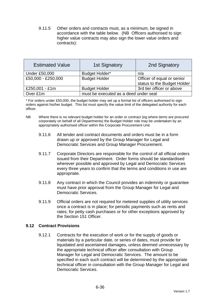9.11.5 Other orders and contracts must, as a minimum, be signed in accordance with the table below. (NB Officers authorised to sign higher value contracts may also sign the lower value orders and contracts):

| <b>Estimated Value</b> | <b>1st Signatory</b>                  | 2nd Signatory               |
|------------------------|---------------------------------------|-----------------------------|
| <b>Under £50,000</b>   | Budget Holder*                        | n/a                         |
| £50,000 - £250,000     | <b>Budget Holder</b>                  | Officer of equal or senior  |
|                        |                                       | status to the Budget Holder |
| £250,001 - £1m         | <b>Budget Holder</b>                  | 3rd tier officer or above   |
| Over £1m               | must be executed as a deed under seal |                             |

\* For orders under £50,000, the budget holder may set up a formal list of officers authorised to sign orders against his/her budget. This list must specify the value limit of the delegated authority for each officer.

- NB Where there is no relevant budget holder for an order or contract (eg where items are procured corporately on behalf of all Departments) the Budget Holder role may be undertaken by an appropriately authorised officer within the Corporate Procurement Unit.
	- 9.11.6 All tender and contract documents and orders must be in a form drawn up or approved by the Group Manager for Legal and Democratic Services and Group Manager Procurement.
	- 9.11.7 Corporate Directors are responsible for the control of all official orders issued from their Department. Order forms should be standardised wherever possible and approved by Legal and Democratic Services every three years to confirm that the terms and conditions in use are appropriate.
	- 9.11.8 Any contract in which the Council provides an indemnity or guarantee must have prior approval from the Group Manager for Legal and Democratic Services.
	- 9.11.9 Official orders are not required for metered supplies of utility services once a contract is in place; for periodic payments such as rents and rates; for petty cash purchases or for other exceptions approved by the Section 151 Officer.

## **9.12 Contract Provisions**

9.12.1 Contracts for the execution of work or for the supply of goods or materials by a particular date, or series of dates, must provide for liquidated and ascertained damages, unless deemed unnecessary by the appropriate technical officer after consultation with Group Manager for Legal and Democratic Services. The amount to be specified in each such contract will be determined by the appropriate technical officer in consultation with the Group Manager for Legal and Democratic Services.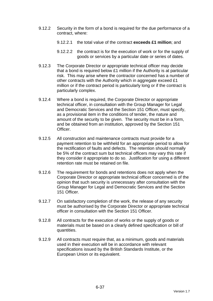- 9.12.2 Security in the form of a bond is required for the due performance of a contract, where:
	- 9.12.2.1 the total value of the contract **exceeds £1 million**; and
	- 9.12.2.2 the contract is for the execution of work or for the supply of goods or services by a particular date or series of dates.
- 9.12.3 The Corporate Director or appropriate technical officer may decide that a bond is required below £1 million if the Authority is at particular risk. This may arise where the contractor concerned has a number of other contracts with the Authority which in aggregate exceed £1 million or if the contract period is particularly long or if the contract is particularly complex.
- 9.12.4 Where a bond is required, the Corporate Director or appropriate technical officer, in consultation with the Group Manager for Legal and Democratic Services and the Section 151 Officer, must specify, as a provisional item in the conditions of tender, the nature and amount of the security to be given. The security must be in a form, and be obtained from an institution, approved by the Section 151 Officer.
- 9.12.5 All construction and maintenance contracts must provide for a payment retention to be withheld for an appropriate period to allow for the rectification of faults and defects. The retention should normally be 5% of the contract sum but technical officers may vary this rate if they consider it appropriate to do so. Justification for using a different retention rate must be retained on file.
- 9.12.6 The requirement for bonds and retentions does not apply when the Corporate Director or appropriate technical officer concerned is of the opinion that such security is unnecessary after consultation with the Group Manager for Legal and Democratic Services and the Section 151 Officer.
- 9.12.7 On satisfactory completion of the work, the release of any security must be authorised by the Corporate Director or appropriate technical officer in consultation with the Section 151 Officer.
- 9.12.8 All contracts for the execution of works or the supply of goods or materials must be based on a clearly defined specification or bill of quantities.
- 9.12.9 All contracts must require that, as a minimum, goods and materials used in their execution will be in accordance with relevant specifications issued by the British Standards Institute, or the European Union or its equivalent.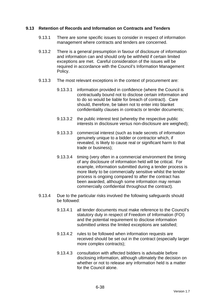### **9.13 Retention of Records and Information on Contracts and Tenders**

- 9.13.1 There are some specific issues to consider in respect of information management where contracts and tenders are concerned.
- 9.13.2 There is a general presumption in favour of disclosure of information and information can and should only be withheld if certain limited exceptions are met. Careful consideration of the issues will be required in accordance with the Council's Information Management Policy.
- 9.13.3 The most relevant exceptions in the context of procurement are:
	- 9.13.3.1 information provided in confidence (where the Council is contractually bound not to disclose certain information and to do so would be liable for breach of contract). Care should, therefore, be taken not to enter into blanket confidentiality clauses in contracts or tender documents;
	- 9.13.3.2 the public interest test (whereby the respective public interests in disclosure versus non-disclosure are weighed);
	- 9.13.3.3 commercial interest (such as trade secrets of information genuinely unique to a bidder or contractor which, if revealed, is likely to cause real or significant harm to that trade or business);
	- 9.13.3.4 timing (very often in a commercial environment the timing of any disclosure of information held will be critical. For example, information submitted during a tender process is more likely to be commercially sensitive whilst the tender process is ongoing compared to after the contract has been awarded, although some information may remain commercially confidential throughout the contract).
- 9.13.4 Due to the particular risks involved the following safeguards should be followed:
	- 9.13.4.1 all tender documents must make reference to the Council's statutory duty in respect of Freedom of Information (FOI) and the potential requirement to disclose information submitted unless the limited exceptions are satisfied;
	- 9.13.4.2 rules to be followed when information requests are received should be set out in the contract (especially larger more complex contracts);
	- 9.13.4.3 consultation with affected bidders is advisable before disclosing information, although ultimately the decision on whether or not to release any information held is a matter for the Council alone.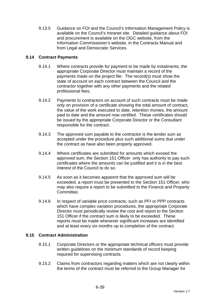9.13.5 Guidance on FOI and the Council's Information Management Policy is available on the Council's Intranet site. Detailed guidance about FOI and procurement is available on the OGC website, from the Information Commissioner's website, in the Contracts Manual and from Legal and Democratic Services.

### **9.14 Contract Payments**

- 9.14.1 Where contracts provide for payment to be made by instalments, the appropriate Corporate Director must maintain a record of the payments made on the project file. The record(s) must show the state of account on each contract between the Council and the contractor together with any other payments and the related professional fees.
- 9.14.2 Payments to contractors on account of such contracts must be made only on provision of a certificate showing the total amount of contract, the value of the work executed to date, retention monies, the amount paid to date and the amount now certified. These certificates should be issued by the appropriate Corporate Director or the Consultant responsible for the contract.
- 9.14.3 The approved sum payable to the contractor is the tender sum as accepted under the procedure plus such additional sums due under the contract as have also been properly approved.
- 9.14.4 Where certificates are submitted for amounts which exceed the approved sum, the Section 151 Officer only has authority to pay such certificates where the amounts can be justified and it is in the best interest of the Council to do so.
- 9.14.5 As soon as it becomes apparent that the approved sum will be exceeded, a report must be presented to the Section 151 Officer, who may also require a report to be submitted to the Finance and Property Committee.
- 9.14.6 In respect of variable price contracts, such as PFI or PPP contracts which have complex variation procedures, the appropriate Corporate Director must periodically review the cost and report to the Section 151 Officer if the contract sum is likely to be exceeded. These reports must be made whenever significant increases are identified and at least every six months up to completion of the contract.

### **9.15 Contract Administration**

- 9.15.1 Corporate Directors or the appropriate technical officers must provide written guidelines on the minimum standards of record keeping required for supervising contracts.
- 9.15.2 Claims from contractors regarding matters which are not clearly within the terms of the contract must be referred to the Group Manager for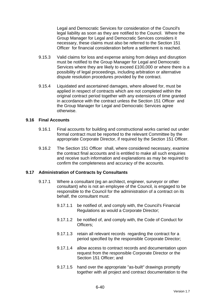Legal and Democratic Services for consideration of the Council's legal liability as soon as they are notified to the Council. Where the Group Manager for Legal and Democratic Services considers it necessary, these claims must also be referred to the Section 151 Officer for financial consideration before a settlement is reached.

- 9.15.3 Valid claims for loss and expense arising from delays and disruption must be notified to the Group Manager for Legal and Democratic Services where they are likely to exceed £100,000 or where there is a possibility of legal proceedings, including arbitration or alternative dispute resolution procedures provided by the contract.
- 9.15.4 Liquidated and ascertained damages, where allowed for, must be applied in respect of contracts which are not completed within the original contract period together with any extensions of time granted in accordance with the contract unless the Section 151 Officer and the Group Manager for Legal and Democratic Services agree otherwise.

#### **9.16 Final Accounts**

- 9.16.1 Final accounts for building and constructional works carried out under formal contract must be reported to the relevant Committee by the appropriate Corporate Director, if required by the Section 151 Officer.
- 9.16.2 The Section 151 Officer shall, where considered necessary, examine the contract final accounts and is entitled to make all such enquiries and receive such information and explanations as may be required to confirm the completeness and accuracy of the accounts.

### **9.17 Administration of Contracts by Consultants**

- 9.17.1 Where a consultant (eg an architect, engineer, surveyor or other consultant) who is not an employee of the Council, is engaged to be responsible to the Council for the administration of a contract on its behalf, the consultant must:
	- 9.17.1.1 be notified of, and comply with, the Council's Financial Regulations as would a Corporate Director;
	- 9.17.1.2 be notified of, and comply with, the Code of Conduct for Officers;
	- 9.17.1.3 retain all relevant records regarding the contract for a period specified by the responsible Corporate Director;
	- 9.17.1.4 allow access to contract records and documentation upon request from the responsible Corporate Director or the Section 151 Officer: and
	- 9.17.1.5 hand over the appropriate "as-built" drawings promptly together with all project and contract documentation to the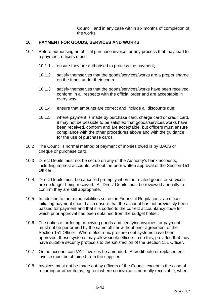Council, and in any case within six months of completion of the works.

### **10. PAYMENT FOR GOODS, SERVICES AND WORKS**

- 10.1 Before authorising an official purchase invoice, or any process that may lead to a payment, officers must:
	- 10.1.1 ensure they are authorised to process the payment;
	- 10.1.2 satisfy themselves that the goods/services/works are a proper charge on the funds under their control;
	- 10.1.3 satisfy themselves that the goods/services/works have been received, conform in all respects with the official order and are acceptable in every way;
	- 10.1.4 ensure that amounts are correct and include all discounts due;
	- 10.1.5 where payment is made by purchase card, charge card or credit card, it may not be possible to be satisfied that goods/services/works have been received, conform and are acceptable, but officers must ensure compliance with the other procedures above and with the guidance for the use of purchase cards.
- 10.2 The Council's normal method of payment of monies owed is by BACS or cheque or purchase card.
- 10.3 Direct Debits must not be set up on any of the Authority's bank accounts, including imprest accounts, without the prior written approval of the Section 151 Officer.
- 10.4 Direct Debits must be cancelled promptly when the related goods or services are no longer being received. All Direct Debits must be reviewed annually to confirm they are still appropriate.
- 10.5 In addition to the responsibilities set out in Financial Regulations, an officer initiating payment should also ensure that the account has not previously been passed for payment and that it is coded to the correct accountancy code for which prior approval has been obtained from the budget holder.
- 10.6 The duties of ordering, receiving goods and certifying invoices for payment must not be performed by the same officer without prior agreement of the Section 151 Officer. Where electronic procurement systems have been approved, these systems may allow single officers to do this, provided that they have suitable security protocols to the satisfaction of the Section 151 Officer.
- 10.7 On no account can VAT invoices be amended. A credit note or replacement invoice must be obtained from the supplier.
- 10.8 Invoices must not be made out by officers of the Council except in the case of recurring or other items, eg rent where no invoice is normally receivable, when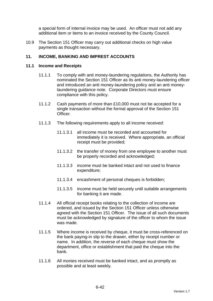a special form of internal invoice may be used. An officer must not add any additional item or items to an invoice received by the County Council.

10.9 The Section 151 Officer may carry out additional checks on high value payments as thought necessary.

### **11. INCOME, BANKING AND IMPREST ACCOUNTS**

#### **11.1 Income and Receipts**

- 11.1.1 To comply with anti money-laundering regulations, the Authority has nominated the Section 151 Officer as its anti money-laundering officer and introduced an anti money-laundering policy and an anti moneylaundering guidance note. Corporate Directors must ensure compliance with this policy.
- 11.1.2 Cash payments of more than £10,000 must not be accepted for a single transaction without the formal approval of the Section 151 Officer.
- 11.1.3 The following requirements apply to all income received:
	- 11.1.3.1 all income must be recorded and accounted for immediately it is received. Where appropriate, an official receipt must be provided;
	- 11.1.3.2 the transfer of money from one employee to another must be properly recorded and acknowledged;
	- 11.1.3.3 income must be banked intact and not used to finance expenditure;
	- 11.1.3.4 encashment of personal cheques is forbidden;
	- 11.1.3.5 income must be held securely until suitable arrangements for banking it are made.
- 11.1.4 All official receipt books relating to the collection of income are ordered, and issued by the Section 151 Officer unless otherwise agreed with the Section 151 Officer. The issue of all such documents must be acknowledged by signature of the officer to whom the issue was made.
- 11.1.5 Where income is received by cheque, it must be cross-referenced on the bank paying-in slip to the drawer, either by receipt number or name. In addition, the reverse of each cheque must show the department, office or establishment that paid the cheque into the bank.
- 11.1.6 All monies received must be banked intact, and as promptly as possible and at least weekly.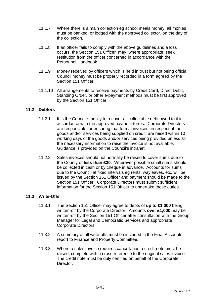- 11.1.7 Where there is a main collection eg school meals money, all monies must be banked, or lodged with the approved collector, on the day of the collection.
- 11.1.8 If an officer fails to comply with the above guidelines and a loss occurs, the Section 151 Officer may, where appropriate, seek restitution from the officer concerned in accordance with the Personnel Handbook.
- 11.1.9 Money received by officers which is held in trust but not being official Council money must be properly recorded in a form agreed by the Section 151 Officer
- 11.1.10 All arrangements to receive payments by Credit Card, Direct Debit, Standing Order, or other e-payment methods must be first approved by the Section 151 Officer.

### **11.2 Debtors**

- 11.2.1 It is the Council's policy to recover all collectable debt owed to it in accordance with the approved payment terms. Corporate Directors are responsible for ensuring that formal invoices, in respect of the goods and/or services being supplied on credit, are raised within 10 working days of the goods and/or services being provided unless all the necessary information to raise the invoice is not available. Guidance is provided on the Council's intranet.
- 11.2.2 Sales invoices should not normally be raised to cover sums due to the County of **less than £30**. Wherever possible small sums should be collected in cash or by cheque in advance. Accounts for sums due to the Council at fixed intervals eg rents, wayleaves, etc, will be issued by the Section 151 Officer and payment should be made to the Section 151 Officer. Corporate Directors must submit sufficient information for the Section 151 Officer to undertake these duties.

### **11.3 Write-Offs**

- 11.3.1 The Section 151 Officer may agree to debts of **up to £1,000** being written-off by the Corporate Director. Amounts **over £1,000** may be written-off by the Section 151 Officer after consultation with the Group Manager for Legal and Democratic Services and appropriate Corporate Directors.
- 11.3.2 A summary of all write-offs must be included in the Final Accounts report to Finance and Property Committee.
- 11.3.3 Where a sales invoice requires cancellation a credit note must be raised, complete with a cross-reference to the original sales invoice. The credit note must be duly certified on behalf of the Corporate Director.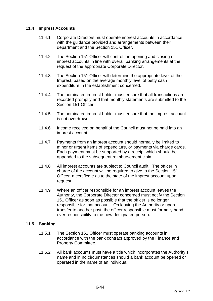### **11.4 Imprest Accounts**

- 11.4.1 Corporate Directors must operate imprest accounts in accordance with the guidance provided and arrangements between their department and the Section 151 Officer.
- 11.4.2 The Section 151 Officer will control the opening and closing of imprest accounts in line with overall banking arrangements at the request of the appropriate Corporate Director.
- 11.4.3 The Section 151 Officer will determine the appropriate level of the Imprest, based on the average monthly level of petty cash expenditure in the establishment concerned.
- 11.4.4 The nominated imprest holder must ensure that all transactions are recorded promptly and that monthly statements are submitted to the Section 151 Officer.
- 11.4.5 The nominated imprest holder must ensure that the imprest account is not overdrawn.
- 11.4.6 Income received on behalf of the Council must not be paid into an imprest account.
- 11.4.7 Payments from an imprest account should normally be limited to minor or urgent items of expenditure, or payments via charge cards. Each payment must be supported by a receipt which should be appended to the subsequent reimbursement claim.
- 11.4.8 All imprest accounts are subject to Council audit. The officer in charge of the account will be required to give to the Section 151 Officer a certificate as to the state of the imprest account upon request.
- 11.4.9 Where an officer responsible for an imprest account leaves the Authority, the Corporate Director concerned must notify the Section 151 Officer as soon as possible that the officer is no longer responsible for that account. On leaving the Authority or upon transfer to another post, the officer responsible must formally hand over responsibility to the new designated person.

### **11.5 Banking**

- 11.5.1 The Section 151 Officer must operate banking accounts in accordance with the bank contract approved by the Finance and Property Committee.
- 11.5.2 All bank accounts must have a title which incorporates the Authority's name and in no circumstances should a bank account be opened or operated in the name of an individual.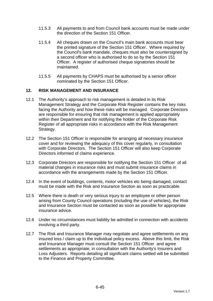- 11.5.3 All payments to and from Council bank accounts must be made under the direction of the Section 151 Officer.
- 11.5.4 All cheques drawn on the Council's main bank accounts must bear the printed signature of the Section 151 Officer. Where required by the Council's bank mandate, cheques must also be countersigned by a second officer who is authorised to do so by the Section 151 Officer. A register of authorised cheque signatories should be maintained.
- 11.5.5 All payments by CHAPS must be authorised by a senior officer nominated by the Section 151 Officer.

### **12. RISK MANAGEMENT AND INSURANCE**

- 12.1 The Authority's approach to risk management is detailed in its Risk Management Strategy and the Corporate Risk Register contains the key risks facing the Authority and how these risks will be managed. Corporate Directors are responsible for ensuring that risk management is applied appropriately within their Department and for notifying the holder of the Corporate Risk Register of all appropriate risks in accordance with the Risk Management Strategy.
- 12.2 The Section 151 Officer is responsible for arranging all necessary insurance cover and for reviewing the adequacy of this cover regularly, in consultation with Corporate Directors. The Section 151 Officer will also keep Corporate Directors informed of claims experience.
- 12.3 Corporate Directors are responsible for notifying the Section 151 Officer of all material changes in insurance risks and must submit insurance claims in accordance with the arrangements made by the Section 151 Officer.
- 12.4 In the event of buildings, contents, motor vehicles etc being damaged, contact must be made with the Risk and Insurance Section as soon as practicable.
- 12.5 Where there is death or very serious injury to an employee or other person arising from County Council operations (including the use of vehicles), the Risk and Insurance Section must be contacted as soon as possible for appropriate insurance advice.
- 12.6 Under no circumstances must liability be admitted in connection with accidents involving a third party.
- 12.7 The Risk and Insurance Manager may negotiate and agree settlements on any insured loss / claim up to the individual policy excess. Above this limit, the Risk and Insurance Manager must consult the Section 151 Officer and agree settlements as appropriate, in consultation with the Authority's Insurers and Loss Adjusters. Reports detailing all significant claims settled will be submitted to the Finance and Property Committee.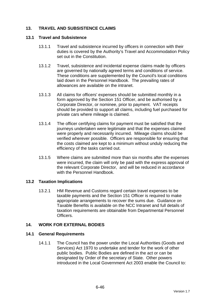# **13. TRAVEL AND SUBSISTENCE CLAIMS**

#### **13.1 Travel and Subsistence**

- 13.1.1 Travel and subsistence incurred by officers in connection with their duties is covered by the Authority's Travel and Accommodation Policy set out in the Constitution.
- 13.1.2 Travel, subsistence and incidental expense claims made by officers are governed by nationally agreed terms and conditions of service. These conditions are supplemented by the Council's local conditions laid down in the Personnel Handbook. The prevailing rates of allowances are available on the intranet.
- 13.1.3 All claims for officers' expenses should be submitted monthly in a form approved by the Section 151 Officer, and be authorised by a Corporate Director, or nominee, prior to payment. VAT receipts should be provided to support all claims, including fuel purchased for private cars where mileage is claimed.
- 13.1.4 The officer certifying claims for payment must be satisfied that the journeys undertaken were legitimate and that the expenses claimed were properly and necessarily incurred. Mileage claims should be verified wherever possible. Officers are responsible for ensuring that the costs claimed are kept to a minimum without unduly reducing the efficiency of the tasks carried out.
- 13.1.5 Where claims are submitted more than six months after the expenses were incurred, the claim will only be paid with the express approval of the relevant Corporate Director, and will be reduced in accordance with the Personnel Handbook.

### **13.2 Taxation Implications**

13.2.1 HM Revenue and Customs regard certain travel expenses to be taxable payments and the Section 151 Officer is required to make appropriate arrangements to recover the sums due. Guidance on Taxable Benefits is available on the NCC Intranet and full details of taxation requirements are obtainable from Departmental Personnel **Officers** 

### **14. WORK FOR EXTERNAL BODIES**

### **14.1 General Requirements**

14.1.1 The Council has the power under the Local Authorities (Goods and Services) Act 1970 to undertake and tender for the work of other public bodies. Public Bodies are defined in the act or can be designated by Order of the secretary of State. Other powers introduced in the Local Government Act 2003 enable the Council to: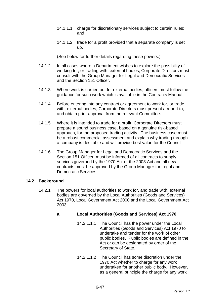- 14.1.1.1 charge for discretionary services subject to certain rules; and
- 14.1.1.2 trade for a profit provided that a separate company is set up.

(See below for further details regarding these powers.)

- 14.1.2 In all cases where a Department wishes to explore the possibility of working for, or trading with, external bodies, Corporate Directors must consult with the Group Manager for Legal and Democratic Services and the Section 151 Officer.
- 14.1.3 Where work is carried out for external bodies, officers must follow the guidance for such work which is available in the Contracts Manual.
- 14.1.4 Before entering into any contract or agreement to work for, or trade with, external bodies, Corporate Directors must present a report to, and obtain prior approval from the relevant Committee.
- 14.1.5 Where it is intended to trade for a profit, Corporate Directors must prepare a sound business case, based on a genuine risk-based approach, for the proposed trading activity. The business case must be a robust commercial assessment and explain why trading through a company is desirable and will provide best value for the Council.
- 14.1.6 The Group Manager for Legal and Democratic Services and the Section 151 Officer must be informed of all contracts to supply services governed by the 1970 Act or the 2003 Act and all new contracts must be approved by the Group Manager for Legal and Democratic Services.

### **14.2 Background**

14.2.1 The powers for local authorities to work for, and trade with, external bodies are governed by the Local Authorities (Goods and Services) Act 1970, Local Government Act 2000 and the Local Government Act 2003.

# **a. Local Authorities (Goods and Services) Act 1970**

- 14.2.1.1.1 The Council has the power under the Local Authorities (Goods and Services) Act 1970 to undertake and tender for the work of other public bodies. Public bodies are defined in the Act or can be designated by order of the Secretary of State.
- 14.2.1.1.2 The Council has some discretion under the 1970 Act whether to charge for any work undertaken for another public body. However, as a general principle the charge for any work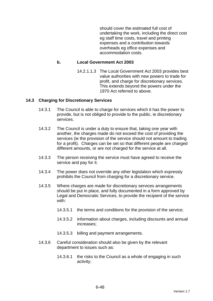should cover the estimated full cost of undertaking the work, including the direct cost eg staff time costs, travel and printing expenses and a contribution towards overheads eg office expenses and accommodation costs.

### **b. Local Government Act 2003**

14.2.1.1.3 The Local Government Act 2003 provides best value authorities with new powers to trade for profit, and charge for discretionary services. This extends beyond the powers under the 1970 Act referred to above.

#### **14.3 Charging for Discretionary Services**

- 14.3.1 The Council is able to charge for services which it has the power to provide, but is not obliged to provide to the public, ie discretionary services.
- 14.3.2 The Council is under a duty to ensure that, taking one year with another, the charges made do not exceed the cost of providing the services (ie the provision of the service should not amount to trading for a profit). Charges can be set so that different people are charged different amounts, or are not charged for the service at all.
- 14.3.3 The person receiving the service must have agreed to receive the service and pay for it.
- 14.3.4 The power does not override any other legislation which expressly prohibits the Council from charging for a discretionary service.
- 14.3.5 Where charges are made for discretionary services arrangements should be put in place, and fully documented in a form approved by Legal and Democratic Services, to provide the recipient of the service with:
	- 14.3.5.1 the terms and conditions for the provision of the service;
	- 14.3.5.2 information about charges, including discounts and annual increases;
	- 14.3.5.3 billing and payment arrangements.
- 14.3.6 Careful consideration should also be given by the relevant department to issues such as:
	- 14.3.6.1 the risks to the Council as a whole of engaging in such activity;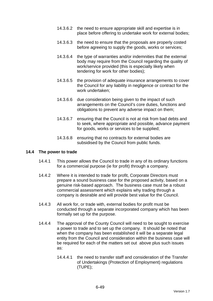- 14.3.6.2 the need to ensure appropriate skill and expertise is in place before offering to undertake work for external bodies;
- 14.3.6.3 the need to ensure that the proposals are properly costed before agreeing to supply the goods, works or services;
- 14.3.6.4 the type of warranties and/or indemnities that the external body may require from the Council regarding the quality of work/service provided (this is especially likely when tendering for work for other bodies);
- 14.3.6.5 the provision of adequate insurance arrangements to cover the Council for any liability in negligence or contract for the work undertaken;
- 14.3.6.6 due consideration being given to the impact of such arrangements on the Council's core duties, functions and obligations to prevent any adverse impact on them;
- 14.3.6.7 ensuring that the Council is not at risk from bad debts and to seek, where appropriate and possible, advance payment for goods, works or services to be supplied;
- 14.3.6.8 ensuring that no contracts for external bodies are subsidised by the Council from public funds.

#### **14.4 The power to trade**

- 14.4.1 This power allows the Council to trade in any of its ordinary functions for a commercial purpose (ie for profit) through a company.
- 14.4.2 Where it is intended to trade for profit, Corporate Directors must prepare a sound business case for the proposed activity, based on a genuine risk-based approach. The business case must be a robust commercial assessment which explains why trading through a company is desirable and will provide best value for the Council.
- 14.4.3 All work for, or trade with, external bodies for profit must be conducted through a separate incorporated company which has been formally set up for the purpose.
- 14.4.4 The approval of the County Council will need to be sought to exercise a power to trade and to set up the company. It should be noted that when the company has been established it will be a separate legal entity from the Council and consideration within the business case will be required for each of the matters set out above plus such issues as:
	- 14.4.4.1 the need to transfer staff and consideration of the Transfer of Undertakings (Protection of Employment) regulations (TUPE);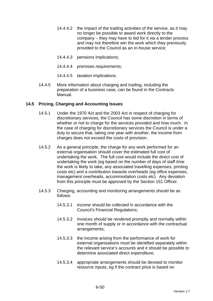- 14.4.4.2 the impact of the trading activities of the service, as it may no longer be possible to award work directly to the company – they may have to bid for it via a tender process and may not therefore win the work which they previously provided to the Council as an in-house service;
- 14.4.4.3 pensions implications;
- 14.4.4.4 premises requirements;
- 14.4.4.5 taxation implications.
- 14.4.5 More information about charging and trading, including the preparation of a business case, can be found in the Contracts Manual.

### **14.5 Pricing, Charging and Accounting Issues**

- 14.5.1 Under the 1970 Act and the 2003 Act in respect of charging for discretionary services, the Council has some discretion in terms of whether or not to charge for the services provided and how much. In the case of charging for discretionary services the Council is under a duty to secure that, taking one year with another, the income from charges does not exceed the costs of provision.
- 14.5.2 As a general principle, the charge for any work performed for an external organisation should cover the estimated full cost of undertaking the work. The full cost would include the direct cost of undertaking the work (eg based on the number of days of staff time the work is likely to take, any associated travelling expenses, printing costs etc) and a contribution towards overheads (eg office expenses, management overheads, accommodation costs etc). Any deviation from this principle must be approved by the Section 151 Officer.
- 14.5.3 Charging, accounting and monitoring arrangements should be as follows:
	- 14.5.3.1 income should be collected in accordance with the Council's Financial Regulations;
	- 14.5.3.2 invoices should be rendered promptly and normally within one month of supply or in accordance with the contractual arrangements;
	- 14.5.3.3 the income arising from the performance of work for external organisations must be identified separately within the relevant service's accounts and it should be possible to determine associated direct expenditure;
	- 14.5.3.4 appropriate arrangements should be devised to monitor resource inputs, eg if the contract price is based on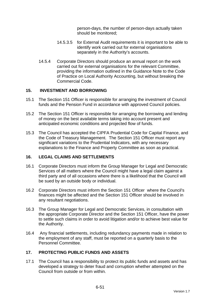person-days, the number of person-days actually taken should be monitored;

- 14.5.3.5 for External Audit requirements it is important to be able to identify work carried out for external organisations separately in the Authority's accounts.
- 14.5.4 Corporate Directors should produce an annual report on the work carried out for external organisations for the relevant Committee, providing the information outlined in the Guidance Note to the Code of Practice on Local Authority Accounting, but without breaking the Commercial Code.

### **15. INVESTMENT AND BORROWING**

- 15.1 The Section 151 Officer is responsible for arranging the investment of Council funds and the Pension Fund in accordance with approved Council policies.
- 15.2 The Section 151 Officer is responsible for arranging the borrowing and lending of money on the best available terms taking into account present and anticipated economic conditions and projected flow of funds.
- 15.3 The Council has accepted the CIPFA Prudential Code for Capital Finance, and the Code of Treasury Management. The Section 151 Officer must report any significant variations to the Prudential Indicators, with any necessary explanations to the Finance and Property Committee as soon as practical.

### **16. LEGAL CLAIMS AND SETTLEMENTS**

- 16.1 Corporate Directors must inform the Group Manager for Legal and Democratic Services of all matters where the Council might have a legal claim against a third party and of all occasions where there is a likelihood that the Council will be sued by an outside body or individual.
- 16.2 Corporate Directors must inform the Section 151 Officer where the Council's finances might be affected and the Section 151 Officer should be involved in any resultant negotiations.
- 16.3 The Group Manager for Legal and Democratic Services, in consultation with the appropriate Corporate Director and the Section 151 Officer, have the power to settle such claims in order to avoid litigation and/or to achieve best value for the Authority.
- 16.4 Any financial settlements, including redundancy payments made in relation to the employment of any staff, must be reported on a quarterly basis to the Personnel Committee.

# **17. PROTECTING PUBLIC FUNDS AND ASSETS**

17.1 The Council has a responsibility to protect its public funds and assets and has developed a strategy to deter fraud and corruption whether attempted on the Council from outside or from within.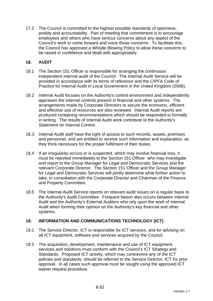17.2 The Council is committed to the highest possible standards of openness, probity and accountability. Part of meeting that commitment is to encourage employees and others who have serious concerns about any aspect of the Council's work to come forward and voice those concerns. To facilitate this, the Council has approved a Whistle Blowing Policy to allow these concerns to be raised in confidence and dealt with appropriately.

### **18. AUDIT**

- 18.1 The Section 151 Officer is responsible for arranging the continuous independent internal audit of the Council. The Internal Audit Service will be provided in accordance with its terms of reference and the CIPFA Code of Practice for Internal Audit in Local Government in the United Kingdom (2006).
- 18.2 Internal Audit focuses on the Authority's control environment and independently appraises the internal controls present in financial and other systems. The arrangements made by Corporate Directors to secure the economic, efficient and effective use of resources are also reviewed. Internal Audit reports are produced containing recommendations which should be responded to formally in writing. The results of Internal Audit work contribute to the Authority's Statement on Internal Control.
- 18.3 Internal Audit staff have the right of access to such records, assets, premises and personnel, and are entitled to receive such information and explanation, as they think necessary for the proper fulfilment of their duties.
- 18.4 If an irregularity occurs or is suspected, which may involve financial loss, it must be reported immediately to the Section 151 Officer who may investigate and report to the Group Manager for Legal and Democratic Services and the relevant Corporate Director. The Section 151 Officer and the Group Manager for Legal and Democratic Services will jointly determine what further action to take, in consultation with the Corporate Director and Chairman of the Finance and Property Committee.
- 18.5 The Internal Audit Service reports on relevant audit issues on a regular basis to the Authority's Audit Committee. Frequent liaison also occurs between Internal Audit and the Authority's External Auditors who rely upon the work of Internal Audit when forming their opinion on the Authority's key financial and other systems.

# **19. INFORMATION AND COMMUNICATIONS TECHNOLOGY (ICT)**

- 19.1 The Service Director, ICT is responsible for ICT services, and for advising on all ICT equipment, software and services acquired by the Council.
- 19.2 The acquisition, development, maintenance and use of ICT equipment, services and solutions must conform with the Council's ICT Strategy and Standards. Proposed ICT activity, which may contravene any of the ICT policies and standards, should be referred to the Service Director, ICT for prior approval. In all cases such approval must be sought using the approved ICT waiver request procedure.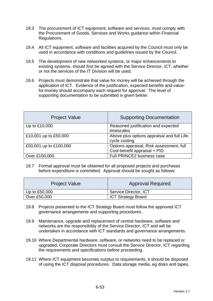- 19.3 The procurement of ICT equipment, software and services, must comply with the Procurement of Goods, Services and Works guidance within Financial Regulations.
- 19.4 All ICT equipment, software and facilities acquired by the Council must only be used in accordance with conditions and guidelines issued by the Council.
- 19.5 The development of new networked systems, or major enhancements to existing systems, should first be agreed with the Service Director, ICT, whether or not the services of the IT Division will be used.
- 19.6 Projects must demonstrate that value for money will be achieved through the application of ICT. Evidence of the justification, expected benefits and valuefor-money should accompany each request for approval. The level of supporting documentation to be submitted is given below:

| <b>Project Value</b>   | <b>Supporting Documentation</b>                                          |
|------------------------|--------------------------------------------------------------------------|
| Up to £10,000          | Reasoned justification and expected<br>timescales                        |
| £10,001 up to £50,000  | Above plus options appraisal and full Life-<br>cycle costing             |
| £50,001 up to £100,000 | Options appraisal, Risk assessment, full<br>Cost-benefit appraisal + PID |
| Over £100,000          | Full PRINCE2 business case                                               |

19.7 Formal approval must be obtained for all proposed projects and purchases before expenditure is committed. Approval should be sought as follows:

| <b>Project Value</b> | <b>Approval Required</b>  |
|----------------------|---------------------------|
| Up to $£50,000$      | Service Director, ICT     |
| Over £50,000         | <b>ICT Strategy Board</b> |

- 19.8 Projects presented to the ICT Strategy Board must follow the approved ICT governance arrangements and supporting procedures.
- 19.9 Maintenance, upgrade and replacement of central hardware, software and networks are the responsibility of the Service Director, ICT and will be undertaken in accordance with ICT standards and governance arrangements.
- 19.10 Where Departmental hardware, software, or networks need to be replaced or upgraded, Corporate Directors must consult the Service Director, ICT regarding the requirements and specifications before proceeding.
- 19.11 Where ICT equipment becomes surplus to requirements, it should be disposed of using the ICT disposal procedures. Data storage media, eg disks and tapes,

6-53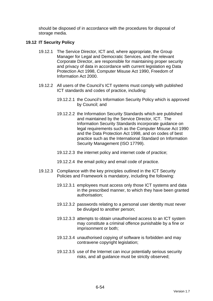should be disposed of in accordance with the procedures for disposal of storage media.

### **19.12 IT Security Policy**

- 19.12.1 The Service Director, ICT and, where appropriate, the Group Manager for Legal and Democratic Services, and the relevant Corporate Director, are responsible for maintaining proper security and privacy of data in accordance with current legislation eg Data Protection Act 1998, Computer Misuse Act 1990, Freedom of Information Act 2000.
- 19.12.2 All users of the Council's ICT systems must comply with published ICT standards and codes of practice, including:
	- 19.12.2.1 the Council's Information Security Policy which is approved by Council; and
	- 19.12.2.2 the Information Security Standards which are published and maintained by the Service Director, ICT. The Information Security Standards incorporate guidance on legal requirements such as the Computer Misuse Act 1990 and the Data Protection Act 1998, and on codes of best practice such as the International Standard on Information Security Management (ISO 17799).
	- 19.12.2.3 the internet policy and internet code of practice;
	- 19.12.2.4 the email policy and email code of practice.
- 19.12.3 Compliance with the key principles outlined in the ICT Security Policies and Framework is mandatory, including the following:
	- 19.12.3.1 employees must access only those ICT systems and data in the prescribed manner, to which they have been granted authorisation;
	- 19.12.3.2 passwords relating to a personal user identity must never be divulged to another person;
	- 19.12.3.3 attempts to obtain unauthorised access to an ICT system may constitute a criminal offence punishable by a fine or imprisonment or both;
	- 19.12.3.4 unauthorised copying of software is forbidden and may contravene copyright legislation;
	- 19.12.3.5 use of the Internet can incur potentially serious security risks, and all guidance must be strictly observed;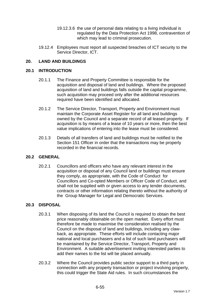- 19.12.3.6 the use of personal data relating to a living individual is regulated by the Data Protection Act 1998, contravention of which may lead to criminal prosecution.
- 19.12.4 Employees must report all suspected breaches of ICT security to the Service Director, ICT.

### **20. LAND AND BUILDINGS**

#### **20.1 INTRODUCTION**

- 20.1.1 The Finance and Property Committee is responsible for the acquisition and disposal of land and buildings. Where the proposed acquisition of land and buildings falls outside the capital programme, such acquisition may proceed only after the additional resources required have been identified and allocated.
- 20.1.2 The Service Director, Transport, Property and Environment must maintain the Corporate Asset Register for all land and buildings owned by the Council and a separate record of all leased property. If acquisition is by means of a lease of 10 years or more, then the best value implications of entering into the lease must be considered.
- 20.1.3 Details of all transfers of land and buildings must be notified to the Section 151 Officer in order that the transactions may be properly recorded in the financial records.

### **20.2 GENERAL**

20.2.1 Councillors and officers who have any relevant interest in the acquisition or disposal of any Council land or buildings must ensure they comply, as appropriate, with the Code of Conduct for Councillors and Co-opted Members or Officer Code of Conduct, and shall not be supplied with or given access to any tender documents, contracts or other information relating thereto without the authority of the Group Manager for Legal and Democratic Services.

#### **20.3 DISPOSAL**

- 20.3.1 When disposing of its land the Council is required to obtain the best price reasonably obtainable on the open market. Every effort must therefore be made to maximise the consideration realised by the Council on the disposal of land and buildings, including any clawback, as appropriate. These efforts will include contacting major national and local purchasers and a list of such land purchasers will be maintained by the Service Director, Transport, Property and Environment. A suitable advertisement inviting interested parties to add their names to the list will be placed annually.
- 20.3.2 Where the Council provides public sector support to a third party in connection with any property transaction or project involving property, this could trigger the State Aid rules. In such circumstances the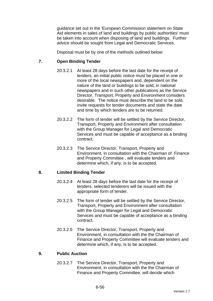guidance set out in the 'European Commission statement on State Aid elements in sales of land and buildings by public authorities' must be taken into account when disposing of land and buildings. Further advice should be sought from Legal and Democratic Services.

Disposal must be by one of the methods outlined below:

### **7. Open Binding Tender**

- 20.3.2.1 At least 28 days before the last date for the receipt of tenders, an initial public notice must be placed in one or more of the local newspapers and, dependent on the nature of the land or buildings to be sold, in national newspapers and in such other publications as the Service Director, Transport, Property and Environment considers desirable. The notice must describe the land to be sold, invite requests for tender documents and state the date and time by which tenders are to be returned.
- 20.3.2.2 The form of tender will be settled by the Service Director, Transport, Property and Environment after consultation with the Group Manager for Legal and Democratic Services and must be capable of acceptance as a binding contract.
- 20.3.2.3 The Service Director, Transport, Property and Environment, in consultation with the Chairman of Finance and Property Committee , will evaluate tenders and determine which, if any, is to be accepted.

### **8. Limited Binding Tender**

- 20.3.2.4 At least 28 days before the last date for the receipt of tenders, selected tenderers will be issued with the appropriate form of tender.
- 20.3.2.5 The form of tender will be settled by the Service Director, Transport, Property and Environment after consultation with the Group Manager for Legal and Democratic Services and must be capable of acceptance as a binding contract.
- 20.3.2.6 The Service Director, Transport, Property and Environment, in consultation with the the Chairman of Finance and Property Committee will evaluate tenders and determine which, if any, is to be accepted.

### **9. Public Auction**

20.3.2.7 The Service Director, Transport, Property and Environment, in consultation with the the Chairman of Finance and Property Committee, will decide which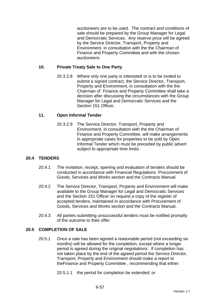auctioneers are to be used. The contract and conditions of sale should be prepared by the Group Manager for Legal and Democratic Services. Any reserve price will be agreed by the Service Director, Transport, Property and Environment, in consultation with the the Chairman of Finance and Property Committee and with the chosen auctioneers.

### **10. Private Treaty Sale to One Party**

20.3.2.8 Where only one party is interested or is to be invited to submit a signed contract, the Service Director, Transport, Property and Environment, in consultation with the the Chairman of Finance and Property Committee shall take a decision after discussing the circumstances with the Group Manager for Legal and Democratic Services and the Section 151 Officer.

### **11. Open Informal Tender**

20.3.2.9 The Service Director, Transport, Property and Environment, in consultation with the the Chairman of Finance and Property Committee, will make arrangements in appropriate cases for properties to be sold by Open Informal Tender which must be preceded by public advert subject to appropriate time limits.

# **20.4 TENDERS**

- 20.4.1 The invitation, receipt, opening and evaluation of tenders should be conducted in accordance with Financial Regulations Procurement of Goods, Services and Works section and the Contracts Manual.
- 20.4.2 The Service Director, Transport, Property and Environment will make available to the Group Manager for Legal and Democratic Services and the Section 151 Officer on request a copy of the register of accepted tenders, maintained in accordance with Procurement of Goods, Services and Works section and the Contracts Manual.
- 20.4.3 All parties submitting unsuccessful tenders must be notified promptly of the outcome to their offer.

### **20.5 COMPLETION OF SALE**

20.5.1 Once a sale has been agreed a reasonable period (not exceeding six months) will be allowed for the completion, except where a longer period is agreed during the original negotiations. If completion has not taken place by the end of the agreed period the Service Director, Transport, Property and Environment should make a report to theFinance and Property Committee , recommending that either:

20.5.1.1 the period for completion be extended; or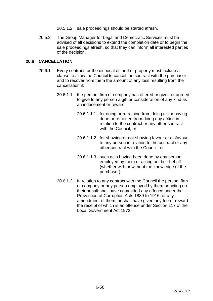- 20.5.1.2 sale proceedings should be started afresh.
- 20.5.2 The Group Manager for Legal and Democratic Services must be advised of all decisions to extend the completion date or to begin the sale proceedings afresh, so that they can inform all interested parties of the decision.

### **20.6 CANCELLATION**

- 20.6.1 Every contract for the disposal of land or property must include a clause to allow the Council to cancel the contract with the purchaser and to recover from them the amount of any loss resulting from the cancellation if:
	- 20.6.1.1 the person, firm or company has offered or given or agreed to give to any person a gift or consideration of any kind as an inducement or reward:
		- 20.6.1.1.1 for doing or refraining from doing or for having done or refrained from doing any action in relation to the contract or any other contract with the Council; or
		- 20.6.1.1.2 for showing or not showing favour or disfavour to any person in relation to the contract or any other contract with the Council; or
		- 20.6.1.1.3 such acts having been done by any person employed by them or acting on their behalf (whether with or without the knowledge of the purchaser).
	- 20.6.1.2 In relation to any contract with the Council the person, firm or company or any person employed by them or acting on their behalf shall have committed any offence under the Prevention of Corruption Acts 1889 to 1916, or any amendment of them, or shall have given any fee or reward the receipt of which is an offence under Section 117 of the Local Government Act 1972.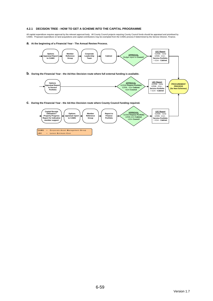#### **4.2.1 DECISION TREE - HOW TO GET A SCHEME INTO THE CAPITAL PROGRAMME**

All capital expenditure requires approval by the relevant approval body. All County Council projects requiring County Council funds should be appraised and prioritised by<br>CAMG. Proposed expenditure on land acquisitions an

**a. At the beginning of a Financial Year - The Annual Review Process.**

**LEC** = **L** atest **E** stimate **C** ost

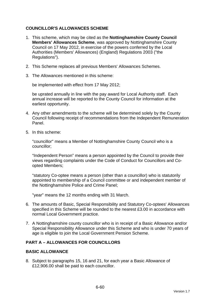### **COUNCILLOR'S ALLOWANCES SCHEME**

- 1. This scheme, which may be cited as the **Nottinghamshire County Council Members' Allowances Scheme**, was approved by Nottinghamshire County Council on 17 May 2012, in exercise of the powers conferred by the Local Authorities (Members' Allowances) (England) Regulations 2003 ("the Regulations").
- 2. This Scheme replaces all previous Members' Allowances Schemes.
- 3. The Allowances mentioned in this scheme:

be implemented with effect from 17 May 2012;

be uprated annually in line with the pay award for Local Authority staff. Each annual increase will be reported to the County Council for information at the earliest opportunity.

- 4. Any other amendments to the scheme will be determined solely by the County Council following receipt of recommendations from the Independent Remuneration Panel.
- 5. In this scheme:

"councillor" means a Member of Nottinghamshire County Council who is a councillor;

"Independent Person" means a person appointed by the Council to provide their views regarding complaints under the Code of Conduct for Councillors and Coopted Members;

"statutory Co-optee means a person (other than a councillor) who is statutorily appointed to membership of a Council committee or and independent member of the Nottinghamshire Police and Crime Panel;

"year" means the 12 months ending with 31 March.

- 6. The amounts of Basic, Special Responsibility and Statutory Co-optees' Allowances specified in this Scheme will be rounded to the nearest £3.00 in accordance with normal Local Government practice.
- 7. A Nottinghamshire county councillor who is in receipt of a Basic Allowance and/or Special Responsibility Allowance under this Scheme and who is under 70 years of age is eligible to join the Local Government Pension Scheme.

# **PART A – ALLOWANCES FOR COUNCILLORS**

### **BASIC ALLOWANCE**

8. Subject to paragraphs 15, 16 and 21, for each year a Basic Allowance of £12,906.00 shall be paid to each councillor.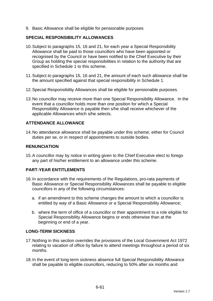9. Basic Allowance shall be eligible for pensionable purposes

### **SPECIAL RESPONSIBILITY ALLOWANCES**

- 10. Subject to paragraphs 15, 16 and 21, for each year a Special Responsibility Allowance shall be paid to those councillors who have been appointed or recognised by the Council or have been notified to the Chief Executive by their Group as holding the special responsibilities in relation to the authority that are specified in Schedule 1 to this scheme.
- 11. Subject to paragraphs 15, 16 and 21, the amount of each such allowance shall be the amount specified against that special responsibility in Schedule 1.
- 12. Special Responsibility Allowances shall be eligible for pensionable purposes.
- 13. No councillor may receive more than one Special Responsibility Allowance. In the event that a councillor holds more than one position for which a Special Responsibility Allowance is payable then s/he shall receive whichever of the applicable Allowances which s/he selects.

# **ATTENDANCE ALLOWANCE**

14. No attendance allowance shall be payable under this scheme, either for Council duties per se, or in respect of appointments to outside bodies.

### **RENUNCIATION**

15. A councillor may by notice in writing given to the Chief Executive elect to forego any part of his/her entitlement to an allowance under this scheme.

### **PART-YEAR ENTITLEMENTS**

- 16. In accordance with the requirements of the Regulations, pro-rata payments of Basic Allowance or Special Responsibility Allowances shall be payable to eligible councillors in any of the following circumstances:
	- a. if an amendment to this scheme changes the amount to which a councillor is entitled by way of a Basic Allowance or a Special Responsibility Allowance;
	- b. where the term of office of a councillor or their appointment to a role eligible for Special Responsibility Allowance begins or ends otherwise than at the beginning or end of a year.

### **LONG-TERM SICKNESS**

- 17. Nothing in this section overrides the provisions of the Local Government Act 1972 relating to vacation of office by failure to attend meetings throughout a period of six months.
- 18. In the event of long-term sickness absence full Special Responsibility Allowance shall be payable to eligible councillors, reducing to 50% after six months and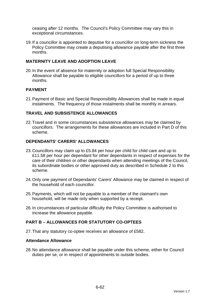ceasing after 12 months. The Council's Policy Committee may vary this in exceptional circumstances.

19. If a councillor is appointed to deputise for a councillor on long-term sickness the Policy Committee may create a deputising allowance payable after the first three months.

### **MATERNITY LEAVE AND ADOPTION LEAVE**

20. In the event of absence for maternity or adoption full Special Responsibility Allowance shall be payable to eligible councillors for a period of up to three months.

### **PAYMENT**

21. Payment of Basic and Special Responsibility Allowances shall be made in equal instalments. The frequency of those instalments shall be monthly in arrears.

### **TRAVEL AND SUBSISTENCE ALLOWANCES**

22. Travel and in some circumstances subsistence allowances may be claimed by councillors. The arrangements for these allowances are included in Part D of this scheme.

# **DEPENDANTS' CARERS' ALLOWANCES**

- 23. Councillors may claim up to £5.84 per hour per child for child care and up to £11.58 per hour per dependant for other dependants in respect of expenses for the care of their children or other dependants when attending meetings of the Council, its subordinate bodies or other approved duty as described in Schedule 2 to this scheme.
- 24. Only one payment of Dependants' Carers' Allowance may be claimed in respect of the household of each councillor.
- 25. Payments, which will not be payable to a member of the claimant's own household, will be made only when supported by a receipt.
- 26. In circumstances of particular difficulty the Policy Committee is authorised to increase the allowance payable.

### **PART B – ALLOWANCES FOR STATUTORY CO-OPTEES**

27. That any statutory co-optee receives an allowance of £582.

#### **Attendance Allowance**

28. No attendance allowance shall be payable under this scheme, either for Council duties per se, or in respect of appointments to outside bodies.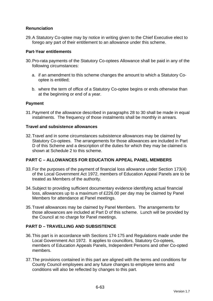# **Renunciation**

29. A Statutory Co-optee may by notice in writing given to the Chief Executive elect to forego any part of their entitlement to an allowance under this scheme.

### **Part-Year entitlements**

- 30. Pro-rata payments of the Statutory Co-optees Allowance shall be paid in any of the following circumstances:
	- a. if an amendment to this scheme changes the amount to which a Statutory Cooptee is entitled;
	- b. where the term of office of a Statutory Co-optee begins or ends otherwise than at the beginning or end of a year.

### **Payment**

31. Payment of the allowance described in paragraphs 28 to 30 shall be made in equal instalments. The frequency of those instalments shall be monthly in arrears.

### **Travel and subsistence allowances**

32. Travel and in some circumstances subsistence allowances may be claimed by Statutory Co-optees. The arrangements for those allowances are included in Part D of this Scheme and a description of the duties for which they may be claimed is shown at Schedule 2 to this scheme.

# **PART C – ALLOWANCES FOR EDUCATION APPEAL PANEL MEMBERS**

- 33. For the purposes of the payment of financial loss allowance under Section 173(4) of the Local Government Act 1972, members of Education Appeal Panels are to be treated as Members of the authority.
- 34. Subject to providing sufficient documentary evidence identifying actual financial loss, allowances up to a maximum of £226.00 per day may be claimed by Panel Members for attendance at Panel meetings.
- 35. Travel allowances may be claimed by Panel Members. The arrangements for those allowances are included at Part D of this scheme. Lunch will be provided by the Council at no charge for Panel meetings.

# **PART D – TRAVELLING AND SUBSISTENCE**

- 36. This part is in accordance with Sections 174-175 and Regulations made under the Local Government Act 1972. It applies to councillors, Statutory Co-optees, members of Education Appeals Panels, Independent Persons and other Co-opted members.
- 37. The provisions contained in this part are aligned with the terms and conditions for County Council employees and any future changes to employee terms and conditions will also be reflected by changes to this part.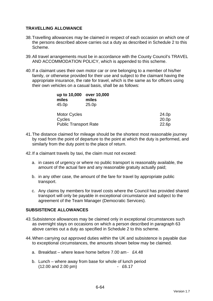### **TRAVELLING ALLOWANCE**

- 38. Travelling allowances may be claimed in respect of each occasion on which one of the persons described above carries out a duty as described in Schedule 2 to this Scheme.
- 39. All travel arrangements must be in accordance with the County Council's TRAVEL AND ACCOMMODATION POLICY, which is appended to this scheme.
- 40. If a claimant uses their own motor car or one belonging to a member of his/her family, or otherwise provided for their use and subject to the claimant having the appropriate insurance, the rate for travel, which is the same as for officers using their own vehicles on a casual basis, shall be as follows:

| up to 10,000<br>miles<br>45.0p | over 10,000<br>miles<br>25.0 <sub>p</sub> |                   |
|--------------------------------|-------------------------------------------|-------------------|
| <b>Motor Cycles</b>            |                                           | 24.0p             |
| Cycles                         |                                           | 20.0 <sub>p</sub> |
| <b>Public Transport Rate</b>   |                                           | 22.6p             |

- 41. The distance claimed for mileage should be the shortest most reasonable journey by road from the point of departure to the point at which the duty is performed, and similarly from the duty point to the place of return.
- 42. If a claimant travels by taxi, the claim must not exceed:
	- a. in cases of urgency or where no public transport is reasonably available, the amount of the actual fare and any reasonable gratuity actually paid;
	- b. in any other case, the amount of the fare for travel by appropriate public transport.
	- c. Any claims by members for travel costs where the Council has provided shared transport will only be payable in exceptional circumstance and subject to the agreement of the Team Manager (Democratic Services).

### **SUBSISTENCE ALLOWANCES**

- 43. Subsistence allowances may be claimed only in exceptional circumstances such as overnight stays on occasions on which a person described in paragraph 63 above carries out a duty as specified in Schedule 2 to this scheme.
- 44. When carrying out approved duties within the UK and subsistence is payable due to exceptional circumstances, the amounts shown below may be claimed.
	- a. Breakfast where leave home before 7.00 am £4.48
	- b. Lunch where away from base for whole of lunch period (12.00 and 2.00 pm) - £6.17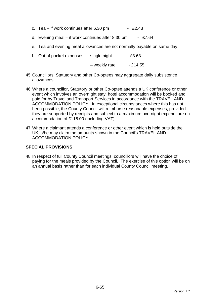- c. Tea if work continues after  $6.30 \text{ pm}$  £2.43
- d. Evening meal if work continues after 8.30 pm £7.64
- e. Tea and evening meal allowances are not normally payable on same day.
- f. Out of pocket expenses  $-$  single night  $-$  £3.63

 $-$  weekly rate  $-$  £14.55

- 45. Councillors, Statutory and other Co-optees may aggregate daily subsistence allowances.
- 46. Where a councillor, Statutory or other Co-optee attends a UK conference or other event which involves an overnight stay, hotel accommodation will be booked and paid for by Travel and Transport Services in accordance with the TRAVEL AND ACCOMMODATION POLICY. In exceptional circumstances where this has not been possible, the County Council will reimburse reasonable expenses, provided they are supported by receipts and subject to a maximum overnight expenditure on accommodation of £115.00 (including VAT).
- 47. Where a claimant attends a conference or other event which is held outside the UK, s/he may claim the amounts shown in the Council's TRAVEL AND ACCOMMODATION POLICY.

### **SPECIAL PROVISIONS**

48. In respect of full County Council meetings, councillors will have the choice of paying for the meals provided by the Council. The exercise of this option will be on an annual basis rather than for each individual County Council meeting.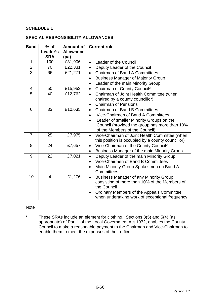# **SCHEDULE 1**

### **SPECIAL RESPONSIBILITY ALLOWANCES**

| <b>Band</b>    | $%$ of                 | <b>Amount of</b>         | <b>Current role</b>                                        |  |
|----------------|------------------------|--------------------------|------------------------------------------------------------|--|
|                | Leader's<br><b>SRA</b> | <b>Allowance</b><br>(pa) |                                                            |  |
| $\mathbf{1}$   | 100                    | £31,906                  | Leader of the Council<br>$\bullet$                         |  |
| $\overline{2}$ | 70                     | £22,331                  | Deputy Leader of the Council<br>$\bullet$                  |  |
| $\overline{3}$ | 66                     | £21,271                  | <b>Chairmen of Band A Committees</b><br>$\bullet$          |  |
|                |                        |                          | <b>Business Manager of Majority Group</b><br>$\bullet$     |  |
|                |                        |                          | Leader of the main Minority Group                          |  |
| $\overline{4}$ | 50                     | £15,953                  | Chairman of County Council*<br>$\bullet$                   |  |
| 5              | 40                     | £12,762                  | Chairman of Joint Health Committee (when<br>$\bullet$      |  |
|                |                        |                          | chaired by a county councillor)                            |  |
|                |                        |                          | <b>Chairman of Pensions</b><br>$\bullet$                   |  |
| 6              | 33                     | £10,635                  | <b>Chairmen of Band B Committees:</b><br>$\bullet$         |  |
|                |                        |                          | Vice-Chairmen of Band A Committees                         |  |
|                |                        |                          | Leader of smaller Minority Groups on the<br>$\bullet$      |  |
|                |                        |                          | Council (provided the group has more than 10%              |  |
|                |                        |                          | of the Members of the Council)                             |  |
| $\overline{7}$ | 25                     | £7,975                   | Vice-Chairman of Joint Health Committee (when<br>$\bullet$ |  |
|                |                        |                          | this position is occupied by a county councillor)          |  |
| 8              | 24                     | £7,657                   | Vice-Chairman of the County Council*<br>$\bullet$          |  |
|                |                        |                          | Business Manager of the main Minority Group<br>$\bullet$   |  |
| 9              | 22                     | £7,021                   | Deputy Leader of the main Minority Group<br>$\bullet$      |  |
|                |                        |                          | Vice-Chairmen of Band B Committees<br>$\bullet$            |  |
|                |                        |                          | Main Minority Group Spokesmen on Band A                    |  |
|                |                        |                          | Committees                                                 |  |
| 10             | $\overline{4}$         | £1,276                   | <b>Business Manager of any Minority Group</b><br>$\bullet$ |  |
|                |                        |                          | consisting of more than 10% of the Members of              |  |
|                |                        |                          | the Council                                                |  |
|                |                        |                          | Ordinary Members of the Appeals Committee<br>$\bullet$     |  |
|                |                        |                          | when undertaking work of exceptional frequency             |  |

#### Note

\* These SRAs include an element for clothing. Sections 3(5) and 5(4) (as appropriate) of Part 1 of the Local Government Act 1972, enables the County Council to make a reasonable payment to the Chairman and Vice-Chairman to enable them to meet the expenses of their office.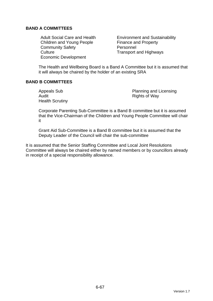### **BAND A COMMITTEES**

Children and Young People Finance and Property Community Safety **Personnel** Culture Culture **Transport and Highways** Economic Development

Adult Social Care and Health **Environment and Sustainability** 

The Health and Wellbeing Board is a Band A Committee but it is assumed that it will always be chaired by the holder of an existing SRA

### **BAND B COMMITTEES**

Audit **Audit** Rights of Way Health Scrutiny

Appeals Sub **Planning and Licensing** 

Corporate Parenting Sub-Committee is a Band B committee but it is assumed that the Vice-Chairman of the Children and Young People Committee will chair it

Grant Aid Sub-Committee is a Band B committee but it is assumed that the Deputy Leader of the Council will chair the sub-committee

It is assumed that the Senior Staffing Committee and Local Joint Resolutions Committee will always be chaired either by named members or by councillors already in receipt of a special responsibility allowance.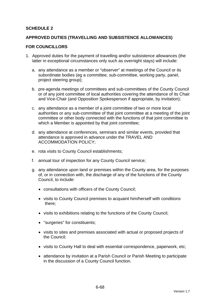### **SCHEDULE 2**

### **APPROVED DUTIES (TRAVELLING AND SUBSISTENCE ALLOWANCES)**

#### **FOR COUNCILLORS**

- 1. Approved duties for the payment of travelling and/or subsistence allowances (the latter in exceptional circumstances only such as overnight stays) will include:
	- a. any attendance as a member or "observer" at meetings of the Council or its subordinate bodies (eg a committee, sub-committee, working party, panel, project steering group);
	- b. pre-agenda meetings of committees and sub-committees of the County Council or of any joint committee of local authorities covering the attendance of its Chair and Vice-Chair (and Opposition Spokesperson if appropriate, by invitation);
	- c. any attendance as a member of a joint committee of two or more local authorities or any sub-committee of that joint committee at a meeting of the joint committee or other body connected with the functions of that joint committee to which a Member is appointed by that joint committee;
	- d. any attendance at conferences, seminars and similar events, provided that attendance is approved in advance under the TRAVEL AND ACCOMMODATION POLICY;
	- e. rota visits to County Council establishments;
	- f. annual tour of inspection for any County Council service;
	- g. any attendance upon land or premises within the County area, for the purposes of, or in connection with, the discharge of any of the functions of the County Council, to include:
		- consultations with officers of the County Council;
		- visits to County Council premises to acquaint him/herself with conditions there;
		- visits to exhibitions relating to the functions of the County Council;
		- "surgeries" for constituents;
		- visits to sites and premises associated with actual or proposed projects of the Council;
		- visits to County Hall to deal with essential correspondence, paperwork, etc;
		- attendance by invitation at a Parish Council or Parish Meeting to participate in the discussion of a County Council function.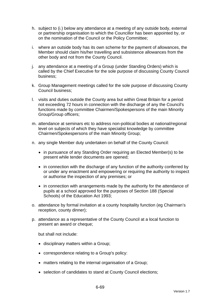- h. subject to (i.) below any attendance at a meeting of any outside body, external or partnership organisation to which the Councillor has been appointed by, or on the nomination of the Council or the Policy Committee;
- i. where an outside body has its own scheme for the payment of allowances, the Member should claim his/her travelling and subsistence allowances from the other body and not from the County Council.
- j. any attendance at a meeting of a Group (under Standing Orders) which is called by the Chief Executive for the sole purpose of discussing County Council business;
- k. Group Management meetings called for the sole purpose of discussing County Council business;
- l. visits and duties outside the County area but within Great Britain for a period not exceeding 72 hours in connection with the discharge of any the Council's functions made by committee Chairmen/Spokespersons of the main Minority Group/Group officers;
- m. attendance at seminars etc to address non-political bodies at national/regional level on subjects of which they have specialist knowledge by committee Chairmen/Spokespersons of the main Minority Group;
- n. any single Member duty undertaken on behalf of the County Council:
	- in pursuance of any Standing Order requiring an Elected Member(s) to be present while tender documents are opened;
	- in connection with the discharge of any function of the authority conferred by or under any enactment and empowering or requiring the authority to inspect or authorise the inspection of any premises; or
	- in connection with arrangements made by the authority for the attendance of pupils at a school approved for the purposes of Section 188 (Special Schools) of the Education Act 1993;
- o. attendance by formal invitation at a county hospitality function (eg Chairman's reception, county dinner);
- p. attendance as a representative of the County Council at a local function to present an award or cheque;

but shall not include:

- disciplinary matters within a Group;
- correspondence relating to a Group's policy:
- matters relating to the internal organisation of a Group;
- selection of candidates to stand at County Council elections;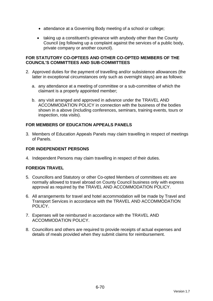- attendance at a Governing Body meeting of a school or college;
- taking up a constituent's grievance with anybody other than the County Council (eg following up a complaint against the services of a public body, private company or another council).

### **FOR STATUTORY CO-OPTEES AND OTHER CO-OPTED MEMBERS OF THE COUNCIL'S COMMITTEES AND SUB-COMMITTEES**

- 2. Approved duties for the payment of travelling and/or subsistence allowances (the latter in exceptional circumstances only such as overnight stays) are as follows:
	- a. any attendance at a meeting of committee or a sub-committee of which the claimant is a properly appointed member;
	- b. any visit arranged and approved in advance under the TRAVEL AND ACCOMMODATION POLICY in connection with the business of the bodies shown in a above (including conferences, seminars, training events, tours or inspection, rota visits).

# **FOR MEMBERS OF EDUCATION APPEALS PANELS**

3. Members of Education Appeals Panels may claim travelling in respect of meetings of Panels.

# **FOR INDEPENDENT PERSONS**

4. Independent Persons may claim travelling in respect of their duties.

# **FOREIGN TRAVEL**

- 5. Councillors and Statutory or other Co-opted Members of committees etc are normally allowed to travel abroad on County Council business only with express approval as required by the TRAVEL AND ACCOMMODATION POLICY.
- 6. All arrangements for travel and hotel accommodation will be made by Travel and Transport Services in accordance with the TRAVEL AND ACCOMMODATION POLICY.
- 7. Expenses will be reimbursed in accordance with the TRAVEL AND ACCOMMODATION POLICY.
- 8. Councillors and others are required to provide receipts of actual expenses and details of meals provided when they submit claims for reimbursement.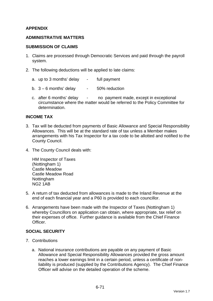### **APPENDIX**

### **ADMINISTRATIVE MATTERS**

#### **SUBMISSION OF CLAIMS**

- 1. Claims are processed through Democratic Services and paid through the payroll system.
- 2. The following deductions will be applied to late claims:
	- a. up to 3 months' delay full payment
	- b.  $3 6$  months' delay  $-50\%$  reduction
	- c. after 6 months' delay no payment made, except in exceptional circumstance where the matter would be referred to the Policy Committee for determination.

#### **INCOME TAX**

- 3. Tax will be deducted from payments of Basic Allowance and Special Responsibility Allowances. This will be at the standard rate of tax unless a Member makes arrangements with his Tax Inspector for a tax code to be allotted and notified to the County Council.
- 4. The County Council deals with:

HM Inspector of Taxes (Nottingham 1) Castle Meadow Castle Meadow Road Nottingham NG2 1AB

- 5. A return of tax deducted from allowances is made to the Inland Revenue at the end of each financial year and a P60 is provided to each councillor.
- 6. Arrangements have been made with the Inspector of Taxes (Nottingham 1) whereby Councillors on application can obtain, where appropriate, tax relief on their expenses of office. Further guidance is available from the Chief Finance Officer.

### **SOCIAL SECURITY**

- 7. Contributions
	- a. National insurance contributions are payable on any payment of Basic Allowance and Special Responsibility Allowances provided the gross amount reaches a lower earnings limit in a certain period, unless a certificate of nonliability is produced (supplied by the Contributions Agency). The Chief Finance Officer will advise on the detailed operation of the scheme.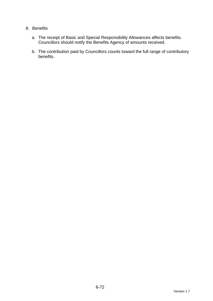### 8. Benefits

- a. The receipt of Basic and Special Responsibility Allowances affects benefits. Councillors should notify the Benefits Agency of amounts received.
- b. The contribution paid by Councillors counts toward the full range of contributory benefits.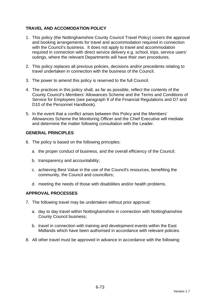# **TRAVEL AND ACCOMODATION POLICY**

- 1. This policy (the Nottinghamshire County Council Travel Policy) covers the approval and booking arrangements for travel and accommodation required in connection with the Council's business. It does not apply to travel and accommodation required in connection with direct service delivery e.g. school, trips, service users' outings, where the relevant Departments will have their own procedures.
- 2. This policy replaces all previous policies, decisions and/or precedents relating to travel undertaken in connection with the business of the Council.
- 3. The power to amend this policy is reserved to the full Council.
- 4. The practices in this policy shall, as far as possible, reflect the contents of the County Council's Members' Allowances Scheme and the Terms and Conditions of Service for Employees (see paragraph 9 of the Financial Regulations and D7 and D10 of the Personnel Handbook).
- 5. In the event that a conflict arises between this Policy and the Members' Allowances Scheme the Monitoring Officer and the Chief Executive will mediate and determine the matter following consultation with the Leader.

### **GENERAL PRINCIPLES**

- 6. The policy is based on the following principles:
	- a. the proper conduct of business, and the overall efficiency of the Council;
	- b. transparency and accountability;
	- c. achieving Best Value in the use of the Council's resources, benefiting the community, the Council and councillors;
	- d. meeting the needs of those with disabilities and/or health problems.

### **APPROVAL PROCESSES**

- 7. The following travel may be undertaken without prior approval:
	- a. day to day travel within Nottinghamshire in connection with Nottinghamshire County Council business;
	- b. travel in connection with training and development events within the East Midlands which have been authorised in accordance with relevant policies.
- 8. All other travel must be approved in advance in accordance with the following: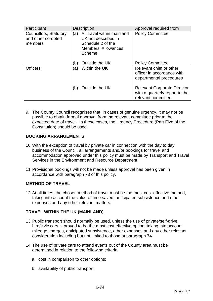| Participant                                             | <b>Description</b>                                                                                                     | Approval required from                                                                     |
|---------------------------------------------------------|------------------------------------------------------------------------------------------------------------------------|--------------------------------------------------------------------------------------------|
| Councillors, Statutory<br>and other co-opted<br>members | All travel within mainland<br>(a)<br>UK not described in<br>Schedule 2 of the<br><b>Members' Allowances</b><br>Scheme. | <b>Policy Committee</b>                                                                    |
|                                                         | Outside the UK<br>(b)                                                                                                  | <b>Policy Committee</b>                                                                    |
| <b>Officers</b>                                         | Within the UK<br>(a)                                                                                                   | Relevant chief or other<br>officer in accordance with<br>departmental procedures           |
|                                                         | Outside the UK<br>(b)                                                                                                  | <b>Relevant Corporate Director</b><br>with a quarterly report to the<br>relevant committee |

9. The County Council recognises that, in cases of genuine urgency, it may not be possible to obtain formal approval from the relevant committee prior to the expected date of travel. In these cases, the Urgency Procedure (Part Five of the Constitution) should be used.

# **BOOKING ARRANGEMENTS**

- 10. With the exception of travel by private car in connection with the day to day business of the Council, all arrangements and/or bookings for travel and accommodation approved under this policy must be made by Transport and Travel Services in the Environment and Resource Department.
- 11. Provisional bookings will not be made unless approval has been given in accordance with paragraph 73 of this policy.

# **METHOD OF TRAVEL**

12. At all times, the chosen method of travel must be the most cost-effective method, taking into account the value of time saved, anticipated subsistence and other expenses and any other relevant matters.

# **TRAVEL WITHIN THE UK (MAINLAND)**

- 13. Public transport should normally be used, unless the use of private/self-drive hire/civic cars is proved to be the most cost effective option, taking into account mileage charges, anticipated subsistence, other expenses and any other relevant consideration including but not limited to those at paragraph 74
- 14. The use of private cars to attend events out of the County area must be determined in relation to the following criteria:
	- a. cost in comparison to other options;
	- b. availability of public transport;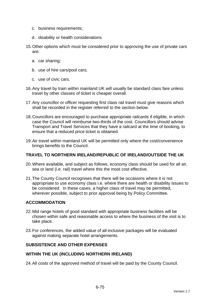- c. business requirements;
- d. disability or health considerations.
- 15. Other options which must be considered prior to approving the use of private cars are:
	- a. car sharing;
	- b. use of hire cars/pool cars;
	- c. use of civic cars.
- 16. Any travel by train within mainland UK will usually be standard class fare unless travel by other classes of ticket is cheaper overall.
- 17. Any councillor or officer requesting first class rail travel must give reasons which shall be recorded in the register referred to the section below.
- 18. Councillors are encouraged to purchase appropriate railcards if eligible, in which case the Council will reimburse two-thirds of the cost. Councillors should advise Transport and Travel Services that they have a railcard at the time of booking, to ensure that a reduced price ticket is obtained.
- 19. Air travel within mainland UK will be permitted only where the cost/convenience brings benefits to the Council.

#### **TRAVEL TO NORTHERN IRELAND/REPUBLIC OF IRELAND/OUTSIDE THE UK**

- 20. Where available, and subject as follows, economy class should be used for all air, sea or land (i.e. rail) travel where this the most cost effective.
- 21. The County Council recognises that there will be occasions where it is not appropriate to use economy class i.e. where there are health or disability issues to be considered. In these cases, a higher class of travel may be permitted, wherever possible, subject to prior approval being by Policy Committee.

### **ACCOMMODATION**

- 22. Mid range hotels of good standard with appropriate business facilities will be chosen within safe and reasonable access to where the business of the visit is to take place.
- 23. For conferences, the added value of all-inclusive packages will be evaluated against making separate hotel arrangements.

#### **SUBSISTENCE AND OTHER EXPENSES**

#### **WITHIN THE UK (INCLUDING NORTHERN IRELAND)**

24. All costs of the approved method of travel will be paid by the County Council.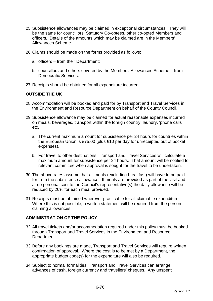- 25. Subsistence allowances may be claimed in exceptional circumstances. They will be the same for councillors, Statutory Co-optees, other co-opted Members and officers. Details of the amounts which may be claimed are in the Members' Allowances Scheme.
- 26. Claims should be made on the forms provided as follows:
	- a. officers from their Department;
	- b. councillors and others covered by the Members' Allowances Scheme from Democratic Services.
- 27. Receipts should be obtained for all expenditure incurred.

#### **OUTSIDE THE UK**

- 28. Accommodation will be booked and paid for by Transport and Travel Services in the Environment and Resource Department on behalf of the County Council.
- 29. Subsistence allowance may be claimed for actual reasonable expenses incurred on meals, beverages, transport within the foreign country, laundry, 'phone calls etc.
	- a. The current maximum amount for subsistence per 24 hours for countries within the European Union is £75.00 (plus £10 per day for unreceipted out of pocket expenses).
	- b. For travel to other destinations, Transport and Travel Services will calculate a maximum amount for subsistence per 24 hours. That amount will be notified to relevant committee when approval is sought for the travel to be undertaken.
- 30. The above rates assume that all meals (excluding breakfast) will have to be paid for from the subsistence allowance. If meals are provided as part of the visit and at no personal cost to the Council's representative(s) the daily allowance will be reduced by 20% for each meal provided.
- 31. Receipts must be obtained wherever practicable for all claimable expenditure. Where this is not possible, a written statement will be required from the person claiming allowances.

#### **ADMINISTRATION OF THE POLICY**

- 32. All travel tickets and/or accommodation required under this policy must be booked through Transport and Travel Services in the Environment and Resource Department.
- 33. Before any bookings are made, Transport and Travel Services will require written confirmation of approval. Where the cost is to be met by a Department, the appropriate budget code(s) for the expenditure will also be required.
- 34. Subject to normal formalities, Transport and Travel Services can arrange advances of cash, foreign currency and travellers' cheques. Any unspent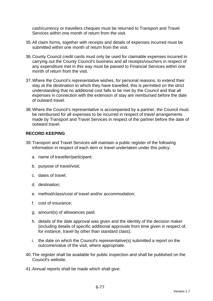cash/currency or travellers cheques must be returned to Transport and Travel Services within one month of return from the visit.

- 35. All claim forms, together with receipts and details of expenses incurred must be submitted within one month of return from the visit.
- 36. County Council credit cards must only be used for claimable expenses incurred in carrying out the County Council's business and all receipts/vouchers in respect of any expenditure met in this way must be passed to Financial Services within one month of return from the visit.
- 37. Where the Council's representative wishes, for personal reasons, to extend their stay at the destination to which they have travelled, this is permitted on the strict understanding that no additional cost falls to be met by the Council and that all expenses in connection with the extension of stay are reimbursed before the date of outward travel.
- 38. Where the Council's representative is accompanied by a partner, the Council must be reimbursed for all expenses to be incurred in respect of travel arrangements made by Transport and Travel Services in respect of the partner before the date of outward travel.

## **RECORD KEEPING**

- 39. Transport and Travel Services will maintain a public register of the following information in respect of each item or travel undertaken under this policy:
	- a. name of traveller/participant;
	- b. purpose of travel/visit;
	- c. dates of travel;
	- d. destination;
	- e. method/class/cost of travel and/or accommodation;
	- f. cost of insurance;
	- g. amount(s) of allowances paid;
	- h. details of the date approval was given and the identity of the decision maker (including details of specific additional approvals from time given in respect of, for instance, travel by other than standard class);
	- i. the date on which the Council's representative(s) submitted a report on the outcome/value of the visit, where appropriate.
- 40. The register shall be available for public inspection and shall be published on the Council's website.
- 41. Annual reports shall be made which shall give: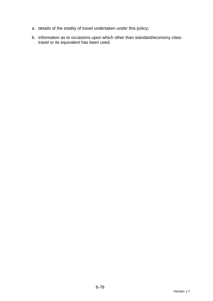- a. details of the totality of travel undertaken under this policy;
- b. information as to occasions upon which other than standard/economy class travel or its equivalent has been used.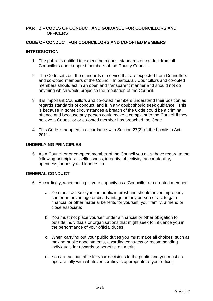#### **PART B – CODES OF CONDUCT AND GUIDANCE FOR COUNCILLORS AND OFFICERS**

## **CODE OF CONDUCT FOR COUNCILLORS AND CO-OPTED MEMBERS**

## **INTRODUCTION**

- 1. The public is entitled to expect the highest standards of conduct from all Councillors and co-opted members of the County Council.
- 2. The Code sets out the standards of service that are expected from Councillors and co-opted members of the Council. In particular, Councillors and co-opted members should act in an open and transparent manner and should not do anything which would prejudice the reputation of the Council.
- 3. It is important Councillors and co-opted members understand their position as regards standards of conduct, and if in any doubt should seek guidance. This is because in some circumstances a breach of the Code could be a criminal offence and because any person could make a complaint to the Council if they believe a Councillor or co-opted member has breached the Code.
- 4. This Code is adopted in accordance with Section 27(2) of the Localism Act 2011.

## **UNDERLYING PRINCIPLES**

5. As a Councillor or co-opted member of the Council you must have regard to the following principles – selflessness, integrity, objectivity, accountability, openness, honesty and leadership.

# **GENERAL CONDUCT**

- 6. Accordingly, when acting in your capacity as a Councillor or co-opted member:
	- a. You must act solely in the public interest and should never improperly confer an advantage or disadvantage on any person or act to gain financial or other material benefits for yourself, your family, a friend or close associate;
	- b. You must not place yourself under a financial or other obligation to outside individuals or organisations that might seek to influence you in the performance of your official duties;
	- c. When carrying out your public duties you must make all choices, such as making public appointments, awarding contracts or recommending individuals for rewards or benefits, on merit;
	- d. You are accountable for your decisions to the public and you must cooperate fully with whatever scrutiny is appropriate to your office;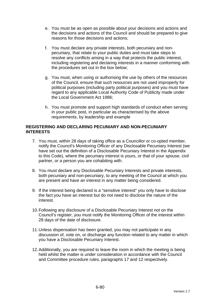- e. You must be as open as possible about your decisions and actions and the decisions and actions of the Council and should be prepared to give reasons for those decisions and actions;
- f. You must declare any private interests, both pecuniary and nonpecuniary, that relate to your public duties and must take steps to resolve any conflicts arising in a way that protects the public interest, including registering and declaring interests in a manner conforming with the procedures set out in the box below;
- g. You must, when using or authorising the use by others of the resources of the Council, ensure that such resources are not used improperly for political purposes (including party political purposes) and you must have regard to any applicable Local Authority Code of Publicity made under the Local Government Act 1986;
- h. You must promote and support high standards of conduct when serving in your public post, in particular as characterised by the above requirements, by leadership and example

### **REGISTERING AND DECLARING PECUNIARY AND NON-PECUNIARY INTERESTS**

- 7. You must, within 28 days of taking office as a Councillor or co-opted member, notify the Council's Monitoring Officer of any Disclosable Pecuniary Interest (we have set out the definition of a Disclosable Pecuniary Interest in the Appendix to this Code), where the pecuniary interest is yours, or that of your spouse, civil partner, or a person you are cohabiting with.
- 8. You must declare any Disclosable Pecuniary Interests and private interests, both pecuniary and non-pecuniary, to any meeting of the Council at which you are present and have an interest in any matter being considered.
- 9. If the interest being declared is a "sensitive interest" you only have to disclose the fact you have an interest but do not need to disclose the nature of the interest.
- 10. Following any disclosure of a Disclosable Pecuniary Interest not on the Council's register, you must notify the Monitoring Officer of the interest within 28 days of the date of disclosure.
- 11. Unless dispensation has been granted, you may not participate in any discussion of, vote on, or discharge any function related to any matter in which you have a Disclosable Pecuniary Interest.
- 12. Additionally, you are required to leave the room in which the meeting is being held whilst the matter is under consideration in accordance with the Council and Committee procedure rules, paragraphs 17 and 12 respectively.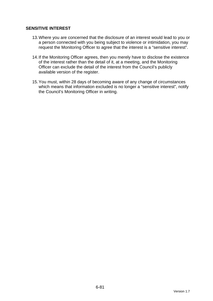## **SENSITIVE INTEREST**

- 13. Where you are concerned that the disclosure of an interest would lead to you or a person connected with you being subject to violence or intimidation, you may request the Monitoring Officer to agree that the interest is a "sensitive interest".
- 14. If the Monitoring Officer agrees, then you merely have to disclose the existence of the interest rather than the detail of it, at a meeting, and the Monitoring Officer can exclude the detail of the interest from the Council's publicly available version of the register.
- 15. You must, within 28 days of becoming aware of any change of circumstances which means that information excluded is no longer a "sensitive interest", notify the Council's Monitoring Officer in writing.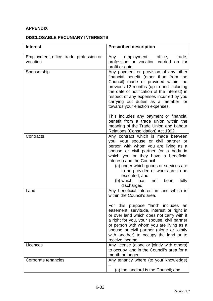# **APPENDIX**

# **DISCLOSABLE PECUNIARY INTERESTS**

| <b>Interest</b>                                      | <b>Prescribed description</b>                                                                                                                                                                                                                                                                                                                                                                               |
|------------------------------------------------------|-------------------------------------------------------------------------------------------------------------------------------------------------------------------------------------------------------------------------------------------------------------------------------------------------------------------------------------------------------------------------------------------------------------|
| Employment, office, trade, profession or<br>vocation | employment, office,<br>Any<br>trade,<br>profession or vocation carried on for<br>profit or gain.                                                                                                                                                                                                                                                                                                            |
| Sponsorship                                          | Any payment or provision of any other<br>financial benefit (other than from the<br>Council) made or provided within the<br>previous 12 months (up to and including<br>the date of notification of the interest) in<br>respect of any expenses incurred by you<br>carrying out duties as a member, or<br>towards your election expenses.                                                                     |
|                                                      | This includes any payment or financial<br>benefit from a trade union within the<br>meaning of the Trade Union and Labour<br>Relations (Consolidation) Act 1992.                                                                                                                                                                                                                                             |
| Contracts                                            | Any contract which is made between<br>you, your spouse or civil partner or<br>person with whom you are living as a<br>spouse or civil partner (or a body in<br>which you or they have a beneficial<br>interest) and the Council<br>(a) under which goods or services are<br>to be provided or works are to be<br>executed; and<br>(b) which<br>fully<br>has<br>not<br>been<br>discharged                    |
| Land                                                 | Any beneficial interest in land which is<br>within the Council's area.<br>For this purpose "land" includes an<br>easement, servitude, interest or right in<br>or over land which does not carry with it<br>a right for you, your spouse, civil partner<br>or person with whom you are living as a<br>spouse or civil partner (alone or jointly<br>with another) to occupy the land or to<br>receive income. |
| Licences                                             | Any licence (alone or jointly with others)<br>to occupy land in the Council's area for a<br>month or longer.                                                                                                                                                                                                                                                                                                |
| Corporate tenancies                                  | Any tenancy where (to your knowledge)<br>(a) the landlord is the Council; and                                                                                                                                                                                                                                                                                                                               |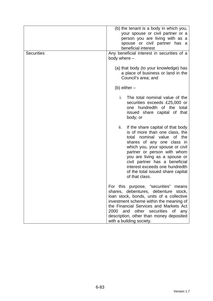| <b>Securities</b> | (b) the tenant is a body in which you,<br>your spouse or civil partner or a<br>person you are living with as a<br>spouse or civil partner has a<br>beneficial interest<br>Any beneficial interest in securities of a<br>body where -                                                                                                                                       |  |
|-------------------|----------------------------------------------------------------------------------------------------------------------------------------------------------------------------------------------------------------------------------------------------------------------------------------------------------------------------------------------------------------------------|--|
|                   | (a) that body (to your knowledge) has<br>a place of business or land in the<br>Council's area; and                                                                                                                                                                                                                                                                         |  |
|                   | (b) either $-$                                                                                                                                                                                                                                                                                                                                                             |  |
|                   | i.<br>The total nominal value of the<br>securities exceeds £25,000 or<br>one hundredth of the total<br>issued share capital of that<br>body; or                                                                                                                                                                                                                            |  |
|                   | ii.<br>If the share capital of that body<br>is of more than one class, the<br>nominal value<br>of the<br>total<br>shares of any one class in<br>which you, your spouse or civil<br>partner or person with whom<br>you are living as a spouse or<br>civil partner has a beneficial<br>interest exceeds one hundredth<br>of the total issued share capital<br>of that class. |  |
|                   | For this purpose, "securities"<br>means<br>shares, debentures, debenture stock,<br>loan stock, bonds, units of a collective<br>investment scheme within the meaning of<br>the Financial Services and Markets Act<br>2000<br>and other securities of<br>any<br>description, other than money deposited<br>with a building society.                                          |  |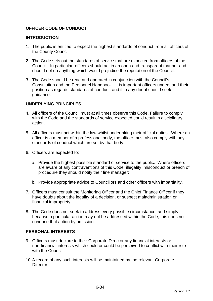# **OFFICER CODE OF CONDUCT**

#### **INTRODUCTION**

- 1. The public is entitled to expect the highest standards of conduct from all officers of the County Council.
- 2. The Code sets out the standards of service that are expected from officers of the Council. In particular, officers should act in an open and transparent manner and should not do anything which would prejudice the reputation of the Council.
- 3. The Code should be read and operated in conjunction with the Council's Constitution and the Personnel Handbook. It is important officers understand their position as regards standards of conduct, and if in any doubt should seek guidance.

## **UNDERLYING PRINCIPLES**

- 4. All officers of the Council must at all times observe this Code. Failure to comply with the Code and the standards of service expected could result in disciplinary action.
- 5. All officers must act within the law whilst undertaking their official duties. Where an officer is a member of a professional body, the officer must also comply with any standards of conduct which are set by that body.
- 6. Officers are expected to:
	- a. Provide the highest possible standard of service to the public. Where officers are aware of any contraventions of this Code, illegality, misconduct or breach of procedure they should notify their line manager;
	- b. Provide appropriate advice to Councillors and other officers with impartiality.
- 7. Officers must consult the Monitoring Officer and the Chief Finance Officer if they have doubts about the legality of a decision, or suspect maladministration or financial impropriety.
- 8. The Code does not seek to address every possible circumstance, and simply because a particular action may not be addressed within the Code, this does not condone that action by omission.

#### **PERSONAL INTERESTS**

- 9. Officers must declare to their Corporate Director any financial interests or non-financial interests which could or could be perceived to conflict with their role with the Council.
- 10. A record of any such interests will be maintained by the relevant Corporate **Director**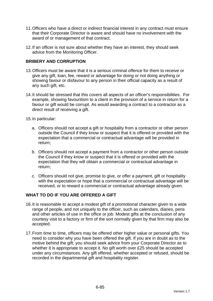- 11. Officers who have a direct or indirect financial interest in any contract must ensure that their Corporate Director is aware and should have no involvement with the award of or management of that contract.
- 12. If an officer is not sure about whether they have an interest, they should seek advice from the Monitoring Officer.

## **BRIBERY AND CORRUPTION**

- 13. Officers must be aware that it is a serious criminal offence for them to receive or give any gift, loan, fee, reward or advantage for doing or not doing anything or showing favour or disfavour to any person in their official capacity as a result of any such gift, etc.
- 14. It should be stressed that this covers all aspects of an officer's responsibilities. For example, showing favouritism to a client in the provision of a service in return for a favour or gift would be corrupt. As would awarding a contract to a contractor as a direct result of receiving a gift.
- 15. In particular:
	- a. Officers should not accept a gift or hospitality from a contractor or other person outside the Council if they know or suspect that it is offered or provided with the expectation that a commercial or contractual advantage will be provided in return;
	- b. Officers should not accept a payment from a contractor or other person outside the Council if they know or suspect that it is offered or provided with the expectation that they will obtain a commercial or contractual advantage in return;
	- c. Officers should not give, promise to give, or offer a payment, gift or hospitality with the expectation or hope that a commercial or contractual advantage will be received, or to reward a commercial or contractual advantage already given.

#### **WHAT TO DO IF YOU ARE OFFERED A GIFT**

- 16. It is reasonable to accept a modest gift of a promotional character given to a wide range of people, and not uniquely to the officer, such as calendars, diaries, pens and other articles of use in the office or job. Modest gifts at the conclusion of any courtesy visit to a factory or firm of the sort normally given by that firm may also be accepted.
- 17. From time to time, officers may be offered other higher value or personal gifts. You need to consider why you have been offered the gift. If you are in doubt as to the motive behind the gift, you should seek advice from your Corporate Director as to whether it is appropriate to accept it. No gift worth over £25 should be accepted under any circumstances. Any gift offered, whether accepted or refused, should be recorded in the departmental gift and hospitality register.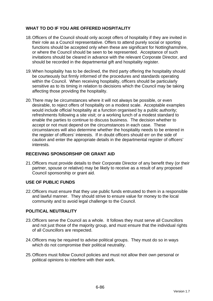# **WHAT TO DO IF YOU ARE OFFERED HOSPITALITY**

- 18. Officers of the Council should only accept offers of hospitality if they are invited in their role as a Council representative. Offers to attend purely social or sporting functions should be accepted only when these are significant for Nottinghamshire, or where the Council should be seen to be represented. Acceptance of such invitations should be cleared in advance with the relevant Corporate Director, and should be recorded in the departmental gift and hospitality register.
- 19. When hospitality has to be declined, the third party offering the hospitality should be courteously but firmly informed of the procedures and standards operating within the Council. When receiving hospitality, officers should be particularly sensitive as to its timing in relation to decisions which the Council may be taking affecting those providing the hospitality.
- 20. There may be circumstances where it will not always be possible, or even desirable, to reject offers of hospitality on a modest scale. Acceptable examples would include official hospitality at a function organised by a public authority; refreshments following a site visit; or a working lunch of a modest standard to enable the parties to continue to discuss business. The decision whether to accept or not must depend on the circumstances in each case. These circumstances will also determine whether the hospitality needs to be entered in the register of officers' interests. If in doubt officers should err on the side of caution and enter the appropriate details in the departmental register of officers' interests.

# **RECEIVING SPONSORSHIP OR GRANT AID**

21. Officers must provide details to their Corporate Director of any benefit they (or their partner, spouse or relative) may be likely to receive as a result of any proposed Council sponsorship or grant aid.

# **USE OF PUBLIC FUNDS**

22. Officers must ensure that they use public funds entrusted to them in a responsible and lawful manner. They should strive to ensure value for money to the local community and to avoid legal challenge to the Council.

# **POLITICAL NEUTRALITY**

- 23. Officers serve the Council as a whole. It follows they must serve all Councillors and not just those of the majority group, and must ensure that the individual rights of all Councillors are respected.
- 24. Officers may be required to advise political groups. They must do so in ways which do not compromise their political neutrality.
- 25. Officers must follow Council policies and must not allow their own personal or political opinions to interfere with their work.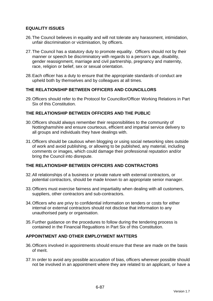## **EQUALITY ISSUES**

- 26. The Council believes in equality and will not tolerate any harassment, intimidation, unfair discrimination or victimisation, by officers.
- 27. The Council has a statutory duty to promote equality. Officers should not by their manner or speech be discriminatory with regards to a person's age, disability, gender reassignment, marriage and civil partnership, pregnancy and maternity, race, religion or belief, sex or sexual orientation.
- 28. Each officer has a duty to ensure that the appropriate standards of conduct are upheld both by themselves and by colleagues at all times.

## **THE RELATIONSHIP BETWEEN OFFICERS AND COUNCILLORS**

29. Officers should refer to the Protocol for Councillor/Officer Working Relations in Part Six of this Constitution.

## **THE RELATIONSHIP BETWEEN OFFICERS AND THE PUBLIC**

- 30. Officers should always remember their responsibilities to the community of Nottinghamshire and ensure courteous, efficient and impartial service delivery to all groups and individuals they have dealings with.
- 31. Officers should be cautious when blogging or using social networking sites outside of work and avoid publishing, or allowing to be published, any material, including comments or images, which could damage their professional reputation and/or bring the Council into disrepute.

## **THE RELATIONSHIP BETWEEN OFFICERS AND CONTRACTORS**

- 32. All relationships of a business or private nature with external contractors, or potential contractors, should be made known to an appropriate senior manager.
- 33. Officers must exercise fairness and impartiality when dealing with all customers, suppliers, other contractors and sub-contractors.
- 34. Officers who are privy to confidential information on tenders or costs for either internal or external contractors should not disclose that information to any unauthorised party or organisation.
- 35. Further guidance on the procedures to follow during the tendering process is contained in the Financial Regualtions in Part Six of this Constitution.

#### **APPOINTMENT AND OTHER EMPLOYMENT MATTERS**

- 36. Officers involved in appointments should ensure that these are made on the basis of merit.
- 37. In order to avoid any possible accusation of bias, officers wherever possible should not be involved in an appointment where they are related to an applicant, or have a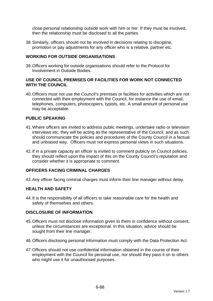close personal relationship outside work with him or her. If they must be involved, then the relationship must be disclosed to all the parties.

38. Similarly, officers should not be involved in decisions relating to discipline, promotion or pay adjustments for any officer who is a relative, partner etc.

### **WORKING FOR OUTSIDE ORGANISATIONS**

39. Officers working for outside organisations should refer to the Protocol for Involvement in Outside Bodies.

### **USE OF COUNCIL PREMISES OR FACILITIES FOR WORK NOT CONNECTED WITH THE COUNCIL**

40. Officers must not use the Council's premises or facilities for activities which are not connected with their employment with the Council, for instance the use of email, telephones, computers, photocopiers, typists, etc. A small amount of personal use may be acceptable.

## **PUBLIC SPEAKING**

- 41. Where officers are invited to address public meetings, undertake radio or television interviews etc, they will be acting as the representative of the Council, and as such should communicate the policies and procedures of the County Council in a factual and unbiased way. Officers must not express personal views in such situations.
- 42. If in a private capacity an officer is invited to comment publicly on Council policies, they should reflect upon the impact of this on the County Council's reputation and consider whether it is appropriate to comment.

### **OFFICERS FACING CRIMINAL CHARGES**

43. Any officer facing criminal charges must inform their line manager without delay.

#### **HEALTH AND SAFETY**

44. It is the responsibility of all officers to take reasonable care for the health and safety of themselves and others.

#### **DISCLOSURE OF INFORMATION**

- 45. Officers must not disclose information given to them in confidence without consent, unless the circumstances are exceptional. In this situation, advice should be sought from their line manager.
- 46. Officers disclosing personal information must comply with the Data Protection Act.
- 47. Officers should not use confidential information obtained in the course of their employment with the Council for personal use, nor should they pass it on to others who might use it for unauthorised purposes.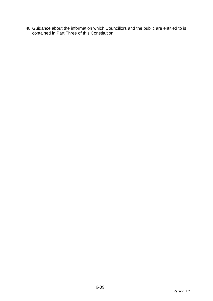48. Guidance about the information which Councillors and the public are entitled to is contained in Part Three of this Constitution.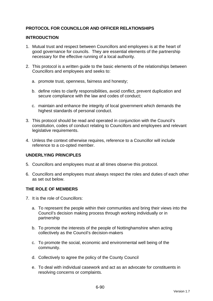# **PROTOCOL FOR COUNCILLOR AND OFFICER RELATIONSHIPS**

### **INTRODUCTION**

- 1. Mutual trust and respect between Councillors and employees is at the heart of good governance for councils. They are essential elements of the partnership necessary for the effective running of a local authority.
- 2. This protocol is a written guide to the basic elements of the relationships between Councillors and employees and seeks to:
	- a. promote trust, openness, fairness and honesty;
	- b. define roles to clarify responsibilities, avoid conflict, prevent duplication and secure compliance with the law and codes of conduct;
	- c. maintain and enhance the integrity of local government which demands the highest standards of personal conduct.
- 3. This protocol should be read and operated in conjunction with the Council's constitution, codes of conduct relating to Councillors and employees and relevant legislative requirements.
- 4. Unless the context otherwise requires, reference to a Councillor will include reference to a co-opted member.

# **UNDERLYING PRINCIPLES**

- 5. Councillors and employees must at all times observe this protocol.
- 6. Councillors and employees must always respect the roles and duties of each other as set out below.

#### **THE ROLE OF MEMBERS**

- 7. It is the role of Councillors:
	- a. To represent the people within their communities and bring their views into the Council's decision making process through working individually or in partnership
	- b. To promote the interests of the people of Nottinghamshire when acting collectively as the Council's decision-makers
	- c. To promote the social, economic and environmental well being of the community.
	- d. Collectively to agree the policy of the County Council
	- e. To deal with individual casework and act as an advocate for constituents in resolving concerns or complaints.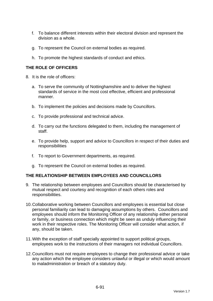- f. To balance different interests within their electoral division and represent the division as a whole.
- g. To represent the Council on external bodies as required.
- h. To promote the highest standards of conduct and ethics.

## **THE ROLE OF OFFICERS**

- 8. It is the role of officers:
	- a. To serve the community of Nottinghamshire and to deliver the highest standards of service in the most cost effective, efficient and professional manner.
	- b. To implement the policies and decisions made by Councillors.
	- c. To provide professional and technical advice.
	- d. To carry out the functions delegated to them, including the management of staff.
	- e. To provide help, support and advice to Councillors in respect of their duties and responsibilities
	- f. To report to Government departments, as required.
	- g. To represent the Council on external bodies as required.

# **THE RELATIONSHIP BETWEEN EMPLOYEES AND COUNCILLORS**

- 9. The relationship between employees and Councillors should be characterised by mutual respect and courtesy and recognition of each others roles and responsibilities.
- 10. Collaborative working between Councillors and employees is essential but close personal familiarity can lead to damaging assumptions by others. Councillors and employees should inform the Monitoring Officer of any relationship either personal or family, or business connection which might be seen as unduly influencing their work in their respective roles. The Monitoring Officer will consider what action, if any, should be taken.
- 11. With the exception of staff specially appointed to support political groups, employees work to the instructions of their managers not individual Councillors.
- 12. Councillors must not require employees to change their professional advice or take any action which the employee considers unlawful or illegal or which would amount to maladministration or breach of a statutory duty.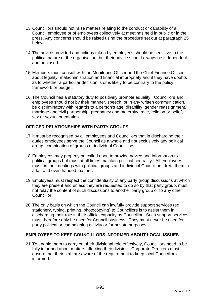- 13. Councillors should not raise matters relating to the conduct or capability of a Council employee or of employees collectively at meetings held in public or in the press. Any concerns should be raised using the procedure set out at paragraph 25 below.
- 14. The advice provided and actions taken by employees should be sensitive to the political nature of the organisation, but their advice should always be independent and unbiased.
- 15. Members must consult with the Monitoring Officer and the Chief Finance Officer about legality, maladministration and financial impropriety and if they have doubts as to whether a particular decision is or is likely to be contrary to the policy framework or budget.
- 16. The Council has a statutory duty to positively promote equality. Councillors and employees should not by their manner, speech, or in any written communication, be discriminatory with regards to a person's age, disability, gender reassignment, marriage and civil partnership, pregnancy and maternity, race, religion or belief, sex or sexual orientation.

# **OFFICER RELATIONSHIPS WITH PARTY GROUPS**

- 17. It must be recognised by all employees and Councillors that in discharging their duties employees serve the Council as a whole and not exclusively any political group, combination of groups or individual Councillors.
- 18. Employees may properly be called upon to provide advice and information to political groups but must at all times maintain political neutrality. All employees must, in their dealings with political groups and individual Councillors, treat them in a fair and even handed manner.
- 19. Employees must respect the confidentiality of any party group discussions at which they are present and unless they are requested to do so by that party group, must not relay the content of such discussions to another party group or to any other Councillor.
- 20. The only basis on which the Council can lawfully provide support services (eg stationery, typing, printing, photocopying) to Councillors is to assist them in discharging their role in their official capacity as Councillor. Such support services must therefore only be used for Council business. They must never be used for party political or campaigning activity or for private purposes.

# **EMPLOYEES TO KEEP COUNCILLORS INFORMED ABOUT LOCAL ISSUES**

21. To enable them to carry out their divisional role effectively, Councillors need to be fully informed about matters affecting their division. Corporate Directors must ensure that their staff are aware of the requirement to keep local Councillors informed.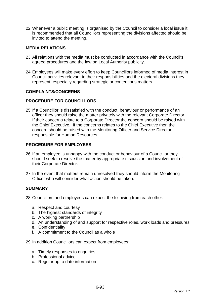22. Whenever a public meeting is organised by the Council to consider a local issue it is recommended that all Councillors representing the divisions affected should be invited to attend the meeting.

### **MEDIA RELATIONS**

- 23. All relations with the media must be conducted in accordance with the Council's agreed procedures and the law on Local Authority publicity.
- 24. Employees will make every effort to keep Councillors informed of media interest in Council activities relevant to their responsibilities and the electoral divisions they represent, especially regarding strategic or contentious matters.

#### **COMPLAINTS/CONCERNS**

#### **PROCEDURE FOR COUNCILLORS**

25. If a Councillor is dissatisfied with the conduct, behaviour or performance of an officer they should raise the matter privately with the relevant Corporate Director. If their concerns relate to a Corporate Director the concern should be raised with the Chief Executive. If the concerns relates to the Chief Executive then the concern should be raised with the Monitoring Officer and Service Director responsible for Human Resources.

## **PROCEDURE FOR EMPLOYEES**

- 26. If an employee is unhappy with the conduct or behaviour of a Councillor they should seek to resolve the matter by appropriate discussion and involvement of their Corporate Director.
- 27. In the event that matters remain unresolved they should inform the Monitoring Officer who will consider what action should be taken.

#### **SUMMARY**

28. Councillors and employees can expect the following from each other:

- a. Respect and courtesy
- b. The highest standards of integrity
- c. A working partnership
- d. An understanding of and support for respective roles, work loads and pressures
- e. Confidentiality
- f. A commitment to the Council as a whole
- 29. In addition Councillors can expect from employees:
	- a. Timely responses to enquiries
	- b. Professional advice
	- c. Regular up to date information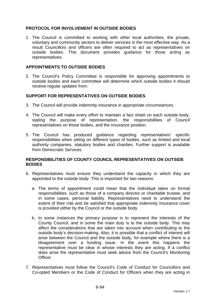## **PROTOCOL FOR INVOLVEMENT IN OUTSIDE BODIES**

1. The Council is committed to working with other local authorities, the private, voluntary and community sectors to deliver services in the most effective way. As a result Councillors and officers are often required to act as representatives on outside bodies. This document provides guidance for those acting as representatives.

### **APPOINTMENTS TO OUTSIDE BODIES**

2. The Council's Policy Committee is responsible for approving appointments to outside bodies and each committee will determine which outside bodies it should receive regular updates from.

## **SUPPORT FOR REPRESENTATIVES ON OUTSIDE BODIES**

- 3. The Council will provide indemnity insurance in appropriate circumstances.
- 4. The Council will make every effort to maintain a fact sheet on each outside body, stating the purpose of representation, the responsibilities of Council representatives on those bodies, and the insurance position.
- 5. The Council has produced guidance regarding representatives' specific responsibilities when sitting on different types of bodies, such as limited and local authority companies, statutory bodies and charities. Further support is available from Democratic Services.

#### **RESPONSIBILITIES OF COUNTY COUNCIL REPRESENTATIVES ON OUTSIDE BODIES**

- 6. Representatives must ensure they understand the capacity in which they are appointed to the outside body. This is important for two reasons:
	- a. The terms of appointment could mean that the individual takes on formal responsibilities, such as those of a company director or charitable trustee, and in some cases, personal liability. Representatives need to understand the extent of their role and be satisfied that appropriate indemnity insurance cover is provided either by the Council or the outside body.
	- b. In some instances the primary purpose is to represent the interests of the County Council, and in some the main duty is to the outside body. This may affect the considerations that are taken into account when contributing to the outside body's decision-making. Also, it is possible that a conflict of interest will arise between the Council and the outside body, for example where there is a disagreement over a funding issue. In the event this happens the representative must be clear in whose interests they are acting. If a conflict does arise the representative must seek advice from the Council's Monitoring Officer.
- 7. Representatives must follow the Council's Code of Conduct for Councillors and Co-opted Members or the Code of Conduct for Officers when they are acting in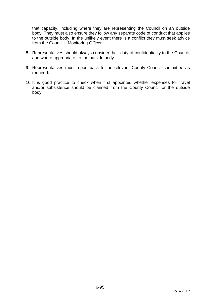that capacity, including where they are representing the Council on an outside body. They must also ensure they follow any separate code of conduct that applies to the outside body. In the unlikely event there is a conflict they must seek advice from the Council's Monitoring Officer.

- 8. Representatives should always consider their duty of confidentiality to the Council, and where appropriate, to the outside body.
- 9. Representatives must report back to the relevant County Council committee as required.
- 10. It is good practice to check when first appointed whether expenses for travel and/or subsistence should be claimed from the County Council or the outside body.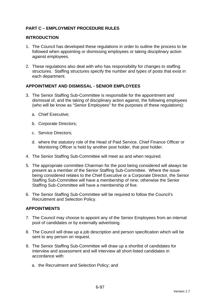# **PART C – EMPLOYMENT PROCEDURE RULES**

#### **INTRODUCTION**

- 1. The Council has developed these regulations in order to outline the process to be followed when appointing or dismissing employees or taking disciplinary action against employees.
- 2. These regulations also deal with who has responsibility for changes to staffing structures. Staffing structures specify the number and types of posts that exist in each department.

## **APPOINTMENT AND DISMISSAL - SENIOR EMPLOYEES**

- 3. The Senior Staffing Sub-Committee is responsible for the appointment and dismissal of, and the taking of disciplinary action against, the following employees (who will be know as "Senior Employees" for the purposes of these regulations):
	- a. Chief Executive;
	- b. Corporate Directors;
	- c. Service Directors;
	- d. where the statutory role of the Head of Paid Service, Chief Finance Officer or Monitoring Officer is held by another post holder, that post holder.
- 4. The Senior Staffing Sub-Committee will meet as and when required.
- 5. The appropriate committee Chairman for the post being considered will always be present as a member of the Senior Staffing Sub-Committee. Where the issue being considered relates to the Chief Executive or a Corporate Director, the Senior Staffing Sub-Committee will have a membership of nine; otherwise the Senior Staffing Sub-Committee will have a membership of five.
- 6. The Senior Staffing Sub-Committee will be required to follow the Council's Recruitment and Selection Policy.

#### **APPOINTMENTS**

- 7. The Council may choose to appoint any of the Senior Employees from an internal pool of candidates or by externally advertising.
- 8. The Council will draw up a job description and person specification which will be sent to any person on request.
- 9. The Senior Staffing Sub-Committee will draw up a shortlist of candidates for interview and assessment and will interview all short-listed candidates in accordance with:
	- a. the Recruitment and Selection Policy; and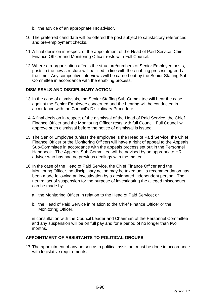- b. the advice of an appropriate HR advisor.
- 10. The preferred candidate will be offered the post subject to satisfactory references and pre-employment checks.
- 11. A final decision in respect of the appointment of the Head of Paid Service, Chief Finance Officer and Monitoring Officer rests with Full Council.
- 12. Where a reorganisation affects the structure/numbers of Senior Employee posts, posts in the new structure will be filled in line with the enabling process agreed at the time. Any competitive interviews will be carried out by the Senior Staffing Sub-Committee in accordance with the enabling process.

#### **DISMISSALS AND DISCIPLINARY ACTION**

- 13. In the case of dismissals, the Senior Staffing Sub-Committee will hear the case against the Senior Employee concerned and the hearing will be conducted in accordance with the Council's Disciplinary Procedure.
- 14. A final decision in respect of the dismissal of the Head of Paid Service, the Chief Finance Officer and the Monitoring Officer rests with full Council. Full Council will approve such dismissal before the notice of dismissal is issued.
- 15. The Senior Employee (unless the employee is the Head of Paid Service, the Chief Finance Officer or the Monitoring Officer) will have a right of appeal to the Appeals Sub-Committee in accordance with the appeals process set out in the Personnel Handbook. The Appeals Sub-Committee will be advised by an appropriate HR adviser who has had no previous dealings with the matter.
- 16. In the case of the Head of Paid Service, the Chief Finance Officer and the Monitoring Officer, no disciplinary action may be taken until a recommendation has been made following an investigation by a designated independent person. The neutral act of suspension for the purpose of investigating the alleged misconduct can be made by:
	- a. the Monitoring Officer in relation to the Head of Paid Service; or
	- b. the Head of Paid Service in relation to the Chief Finance Officer or the Monitoring Officer,

in consultation with the Council Leader and Chairman of the Personnel Committee and any suspension will be on full pay and for a period of no longer than two months.

### **APPOINTMENT OF ASSISTANTS TO POLITICAL GROUPS**

17. The appointment of any person as a political assistant must be done in accordance with legislative requirements.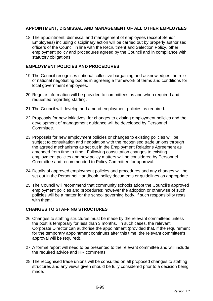# **APPOINTMENT, DISMISSAL AND MANAGEMENT OF ALL OTHER EMPLOYEES**

18. The appointment, dismissal and management of employees (except Senior Employees) including disciplinary action will be carried out by properly authorised officers of the Council in line with the Recruitment and Selection Policy, other employment policy and procedures agreed by the Council and in compliance with statutory obligations.

## **EMPLOYMENT POLICIES AND PROCEDURES**

- 19. The Council recognises national collective bargaining and acknowledges the role of national negotiating bodies in agreeing a framework of terms and conditions for local government employees.
- 20. Regular information will be provided to committees as and when required and requested regarding staffing.
- 21. The Council will develop and amend employment policies as required.
- 22. Proposals for new initiatives, for changes to existing employment policies and the development of management guidance will be developed by Personnel Committee.
- 23. Proposals for new employment policies or changes to existing policies will be subject to consultation and negotiation with the recognised trade unions through the agreed mechanisms as set out in the Employment Relations Agreement as amended from time to time. Following consultation changes to existing employment policies and new policy matters will be considered by Personnel Committee and recommended to Policy Committee for approval.
- 24. Details of approved employment policies and procedures and any changes will be set out in the Personnel Handbook, policy documents or guidelines as appropriate.
- 25. The Council will recommend that community schools adopt the Council's approved employment policies and procedures; however the adoption or otherwise of such policies will be a matter for the school governing body, if such responsibility rests with them.

# **CHANGES TO STAFFING STRUCTURES**

- 26. Changes to staffing structures must be made by the relevant committees unless the post is temporary for less than 3 months. In such cases, the relevant Corporate Director can authorise the appointment (provided that, if the requirement for the temporary appointment continues after this time, the relevant committee's approval will be required).
- 27. A formal report will need to be presented to the relevant committee and will include the required advice and HR comments.
- 28. The recognised trade unions will be consulted on all proposed changes to staffing structures and any views given should be fully considered prior to a decision being made.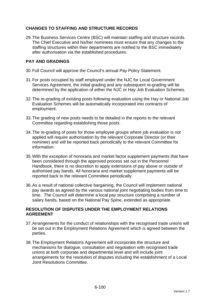# **CHANGES TO STAFFING AND STRUCTURE RECORDS**

29. The Business Services Centre (BSC) will maintain staffing and structure records. The Chief Executive and his/her nominees must ensure that any changes to the staffing structures within their departments are notified to the BSC immediately after authorisation via the established procedures.

# **PAY AND GRADINGS**

- 30. Full Council will approve the Council's annual Pay Policy Statement.
- 31. For posts occupied by staff employed under the NJC for Local Government Services Agreement, the initial grading and any subsequent re-grading will be determined by the application of either the NJC or Hay Job Evaluation Schemes.
- 32. The re-grading of existing posts following evaluation using the Hay or National Job Evaluation Schemes will be automatically incorporated into contracts of employment.
- 33. The grading of new posts needs to be detailed in the reports to the relevant Committee regarding establishing those posts.
- 34. The re-grading of posts for those employee groups where job evaluation is not applied will require authorisation by the relevant Corporate Director (or their nominee) and will be reported back periodically to the relevant Committee for information.
- 35. With the exception of honoraria and market factor supplement payments that have been considered through the approved process set out in the Personnel Handbook, there is no discretion to apply extensions of pay above or outside of authorised pay bands. All honoraria and market supplement payments will be reported back to the relevant Committee periodically.
- 36. As a result of national collective bargaining, the Council will implement national pay awards as agreed by the various national joint negotiating bodies from time to time. The Council will determine a local pay structure comprising a number of salary bands, based on the National Pay Spine, extended as appropriate.

# **RESOLUTION OF DISPUTES UNDER THE EMPLOYMENT RELATIONS AGREEMENT**

- 37. Arrangements for the conduct of relationships with the recognised trade unions will be set out in the Employment Relations Agreement which is agreed between the parties.
- 38. The Employment Relations Agreement will incorporate the structure and mechanisms for dialogue, consultation and negotiation with recognised trade unions at both corporate and departmental level and will include joint arrangements for the resolution of disputes including the establishment of a Local Joint Resolutions Committee.